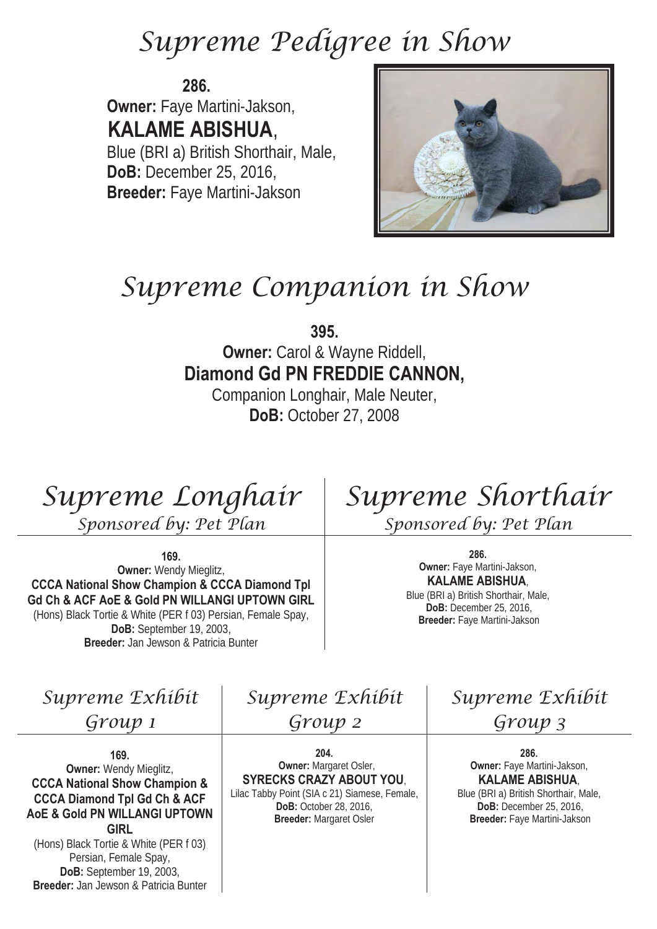# Supreme Pedigree in Show

**286. Owner:** Faye Martini-Jakson,  **KALAME ABISHUA**, Blue (BRI a) British Shorthair, Male, **DoB:** December 25, 2016, **Breeder:** Faye Martini-Jakson



# Supreme Companion in Show

**395.**

**Owner:** Carol & Wayne Riddell, **Diamond Gd PN FREDDIE CANNON,** 

Companion Longhair, Male Neuter, **DoB:** October 27, 2008

Supreme Longhair

Sponsored by: Pet Plan

**169.** 

**Owner:** Wendy Mieglitz, **CCCA National Show Champion & CCCA Diamond Tpl Gd Ch & ACF AoE & Gold PN WILLANGI UPTOWN GIRL** (Hons) Black Tortie & White (PER f 03) Persian, Female Spay, **DoB:** September 19, 2003, **Breeder:** Jan Jewson & Patricia Bunter

Supreme Shorthair Sponsored by: Pet Plan

**286. Owner:** Faye Martini-Jakson, **KALAME ABISHUA**, Blue (BRI a) British Shorthair, Male, **DoB:** December 25, 2016, **Breeder:** Faye Martini-Jakson

Supreme Exhibit

Group 1

**169. Owner:** Wendy Mieglitz, **CCCA National Show Champion & CCCA Diamond Tpl Gd Ch & ACF AoE & Gold PN WILLANGI UPTOWN GIRL**

(Hons) Black Tortie & White (PER f 03) Persian, Female Spay, **DoB:** September 19, 2003, **Breeder:** Jan Jewson & Patricia Bunter Supreme Exhibit

Group 2

**204. Owner:** Margaret Osler, **SYRECKS CRAZY ABOUT YOU**, Lilac Tabby Point (SIA c 21) Siamese, Female, **DoB:** October 28, 2016,

**Breeder:** Margaret Osler

Supreme Exhibit Group 3

> **286. Owner:** Faye Martini-Jakson, **KALAME ABISHUA**,

Blue (BRI a) British Shorthair, Male, **DoB:** December 25, 2016, **Breeder:** Faye Martini-Jakson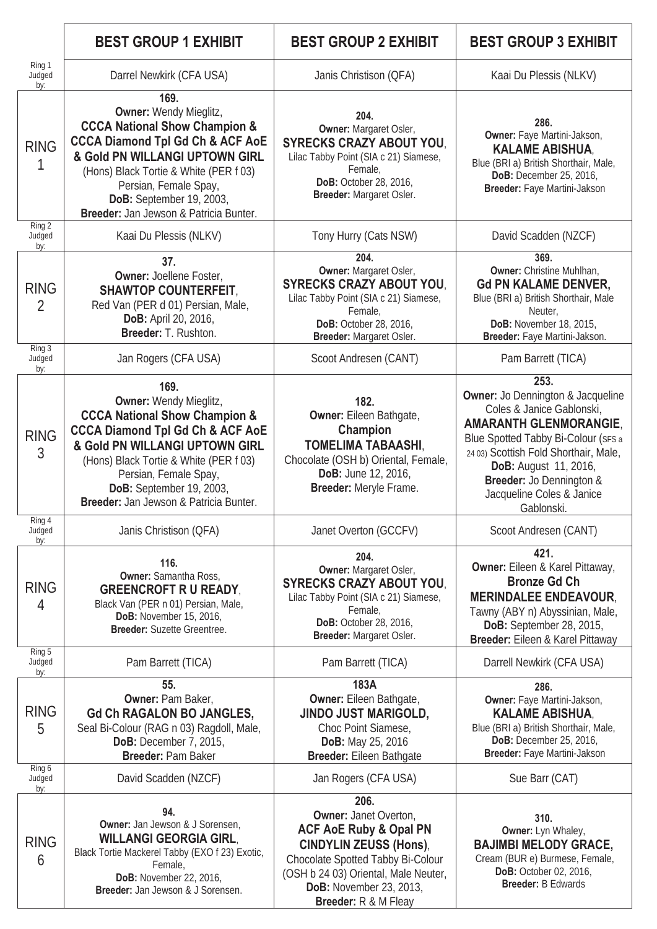|                               | <b>BEST GROUP 1 EXHIBIT</b>                                                                                                                                                                                                                                                                                        | <b>BEST GROUP 2 EXHIBIT</b>                                                                                                                                                                                                                       | <b>BEST GROUP 3 EXHIBIT</b>                                                                                                                                                                                                                                                                           |  |
|-------------------------------|--------------------------------------------------------------------------------------------------------------------------------------------------------------------------------------------------------------------------------------------------------------------------------------------------------------------|---------------------------------------------------------------------------------------------------------------------------------------------------------------------------------------------------------------------------------------------------|-------------------------------------------------------------------------------------------------------------------------------------------------------------------------------------------------------------------------------------------------------------------------------------------------------|--|
| Ring 1<br>Judged<br>by:       | Darrel Newkirk (CFA USA)                                                                                                                                                                                                                                                                                           | Janis Christison (QFA)                                                                                                                                                                                                                            | Kaai Du Plessis (NLKV)                                                                                                                                                                                                                                                                                |  |
| <b>RING</b><br>Ring 2         | 169.<br><b>Owner: Wendy Mieglitz,</b><br><b>CCCA National Show Champion &amp;</b><br><b>CCCA Diamond Tpl Gd Ch &amp; ACF AoE</b><br>& Gold PN WILLANGI UPTOWN GIRL<br>(Hons) Black Tortie & White (PER f 03)<br>Persian, Female Spay,<br>DoB: September 19, 2003,<br>Breeder: Jan Jewson & Patricia Bunter.        | 204.<br>Owner: Margaret Osler,<br><b>SYRECKS CRAZY ABOUT YOU,</b><br>Lilac Tabby Point (SIA c 21) Siamese,<br>Female,<br>DoB: October 28, 2016,<br>Breeder: Margaret Osler.                                                                       | 286.<br>Owner: Faye Martini-Jakson,<br><b>KALAME ABISHUA,</b><br>Blue (BRI a) British Shorthair, Male,<br>DoB: December 25, 2016,<br>Breeder: Faye Martini-Jakson                                                                                                                                     |  |
| Judged<br>by:                 | Kaai Du Plessis (NLKV)                                                                                                                                                                                                                                                                                             | Tony Hurry (Cats NSW)                                                                                                                                                                                                                             | David Scadden (NZCF)                                                                                                                                                                                                                                                                                  |  |
| <b>RING</b><br>$\overline{2}$ | 37.<br><b>Owner: Joellene Foster,</b><br><b>SHAWTOP COUNTERFEIT,</b><br>Red Van (PER d 01) Persian, Male,<br>DoB: April 20, 2016,<br>Breeder: T. Rushton.                                                                                                                                                          | 204.<br>Owner: Margaret Osler,<br><b>SYRECKS CRAZY ABOUT YOU,</b><br>Lilac Tabby Point (SIA c 21) Siamese,<br>Female,<br><b>DoB:</b> October 28, 2016,<br>Breeder: Margaret Osler.                                                                | 369.<br>Owner: Christine Muhlhan,<br><b>Gd PN KALAME DENVER,</b><br>Blue (BRI a) British Shorthair, Male<br>Neuter,<br><b>DoB:</b> November 18, 2015,<br>Breeder: Faye Martini-Jakson.                                                                                                                |  |
| Ring 3<br>Judged<br>by:       | Jan Rogers (CFA USA)                                                                                                                                                                                                                                                                                               | Scoot Andresen (CANT)                                                                                                                                                                                                                             | Pam Barrett (TICA)                                                                                                                                                                                                                                                                                    |  |
| <b>RING</b><br>3              | 169.<br><b>Owner: Wendy Mieglitz,</b><br><b>CCCA National Show Champion &amp;</b><br><b>CCCA Diamond Tpl Gd Ch &amp; ACF AoE</b><br>& Gold PN WILLANGI UPTOWN GIRL<br>(Hons) Black Tortie & White (PER f 03)<br>Persian, Female Spay,<br><b>DoB:</b> September 19, 2003,<br>Breeder: Jan Jewson & Patricia Bunter. | 182.<br><b>Owner:</b> Eileen Bathgate,<br>Champion<br><b>TOMELIMA TABAASHI,</b><br>Chocolate (OSH b) Oriental, Female,<br>DoB: June 12, 2016,<br>Breeder: Meryle Frame.                                                                           | 253.<br><b>Owner:</b> Jo Dennington & Jacqueline<br>Coles & Janice Gablonski,<br><b>AMARANTH GLENMORANGIE,</b><br>Blue Spotted Tabby Bi-Colour (SFS a<br>24 03) Scottish Fold Shorthair, Male,<br><b>DoB:</b> August 11, 2016,<br>Breeder: Jo Dennington &<br>Jacqueline Coles & Janice<br>Gablonski. |  |
| Ring 4<br>Judged<br>by:       | Janis Christison (QFA)                                                                                                                                                                                                                                                                                             | Janet Overton (GCCFV)                                                                                                                                                                                                                             | Scoot Andresen (CANT)                                                                                                                                                                                                                                                                                 |  |
| <b>RING</b><br>4              | 116.<br><b>Owner:</b> Samantha Ross,<br><b>GREENCROFT R U READY,</b><br>Black Van (PER n 01) Persian, Male,<br>DoB: November 15, 2016,<br>Breeder: Suzette Greentree.                                                                                                                                              | 204.<br>Owner: Margaret Osler,<br><b>SYRECKS CRAZY ABOUT YOU,</b><br>Lilac Tabby Point (SIA c 21) Siamese,<br>Female,<br>DoB: October 28, 2016,<br>Breeder: Margaret Osler.                                                                       | 421.<br>Owner: Eileen & Karel Pittaway,<br><b>Bronze Gd Ch</b><br><b>MERINDALEE ENDEAVOUR,</b><br>Tawny (ABY n) Abyssinian, Male,<br><b>DoB:</b> September 28, 2015,<br>Breeder: Eileen & Karel Pittaway                                                                                              |  |
| Ring 5<br>Judged<br>by:       | Pam Barrett (TICA)                                                                                                                                                                                                                                                                                                 | Pam Barrett (TICA)                                                                                                                                                                                                                                | Darrell Newkirk (CFA USA)                                                                                                                                                                                                                                                                             |  |
| <b>RING</b><br>5              | 55.<br>Owner: Pam Baker,<br><b>Gd Ch RAGALON BO JANGLES,</b><br>Seal Bi-Colour (RAG n 03) Ragdoll, Male,<br><b>DoB:</b> December 7, 2015,<br>Breeder: Pam Baker                                                                                                                                                    | 183A<br><b>Owner:</b> Eileen Bathgate,<br><b>JINDO JUST MARIGOLD,</b><br>Choc Point Siamese,<br>DoB: May 25, 2016<br><b>Breeder:</b> Eileen Bathgate                                                                                              | 286.<br>Owner: Faye Martini-Jakson,<br><b>KALAME ABISHUA,</b><br>Blue (BRI a) British Shorthair, Male,<br>DoB: December 25, 2016,<br>Breeder: Faye Martini-Jakson                                                                                                                                     |  |
| Ring 6<br>Judged<br>by:       | David Scadden (NZCF)                                                                                                                                                                                                                                                                                               | Jan Rogers (CFA USA)                                                                                                                                                                                                                              | Sue Barr (CAT)                                                                                                                                                                                                                                                                                        |  |
| <b>RING</b><br>6              | 94.<br><b>Owner:</b> Jan Jewson & J Sorensen,<br><b>WILLANGI GEORGIA GIRL,</b><br>Black Tortie Mackerel Tabby (EXO f 23) Exotic,<br>Female,<br>DoB: November 22, 2016,<br>Breeder: Jan Jewson & J Sorensen.                                                                                                        | 206.<br><b>Owner: Janet Overton,</b><br><b>ACF AoE Ruby &amp; Opal PN</b><br><b>CINDYLIN ZEUSS (Hons),</b><br>Chocolate Spotted Tabby Bi-Colour<br>(OSH b 24 03) Oriental, Male Neuter,<br><b>DoB:</b> November 23, 2013,<br>Breeder: R & M Fleay | 310.<br>Owner: Lyn Whaley,<br><b>BAJIMBI MELODY GRACE,</b><br>Cream (BUR e) Burmese, Female,<br>DoB: October 02, 2016,<br><b>Breeder: B Edwards</b>                                                                                                                                                   |  |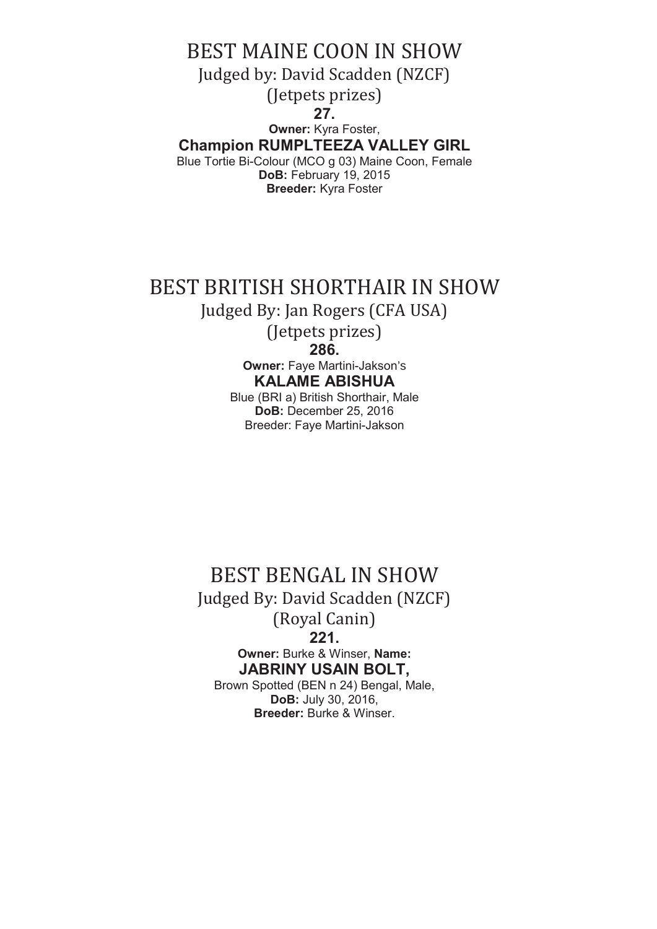BEST MAINE COON IN SHOW Judged by: David Scadden (NZCF) (Jetpets prizes) **27. Owner:** Kyra Foster, **Champion RUMPLTEEZA VALLEY GIRL** Blue Tortie Bi-Colour (MCO g 03) Maine Coon, Female **DoB:** February 19, 2015 **Breeder:** Kyra Foster

## BEST BRITISH SHORTHAIR IN SHOW

Judged By: Jan Rogers (CFA USA)

(Jetpets prizes) **286.**

**Owner:** Faye Martini-Jakson's **KALAME ABISHUA** 

Blue (BRI a) British Shorthair, Male **DoB:** December 25, 2016 Breeder: Faye Martini-Jakson

BEST BENGAL IN SHOW Judged By: David Scadden (NZCF) (Royal Canin) **221. Owner:** Burke & Winser, **Name: JABRINY USAIN BOLT,**  Brown Spotted (BEN n 24) Bengal, Male, **DoB:** July 30, 2016,

**Breeder:** Burke & Winser.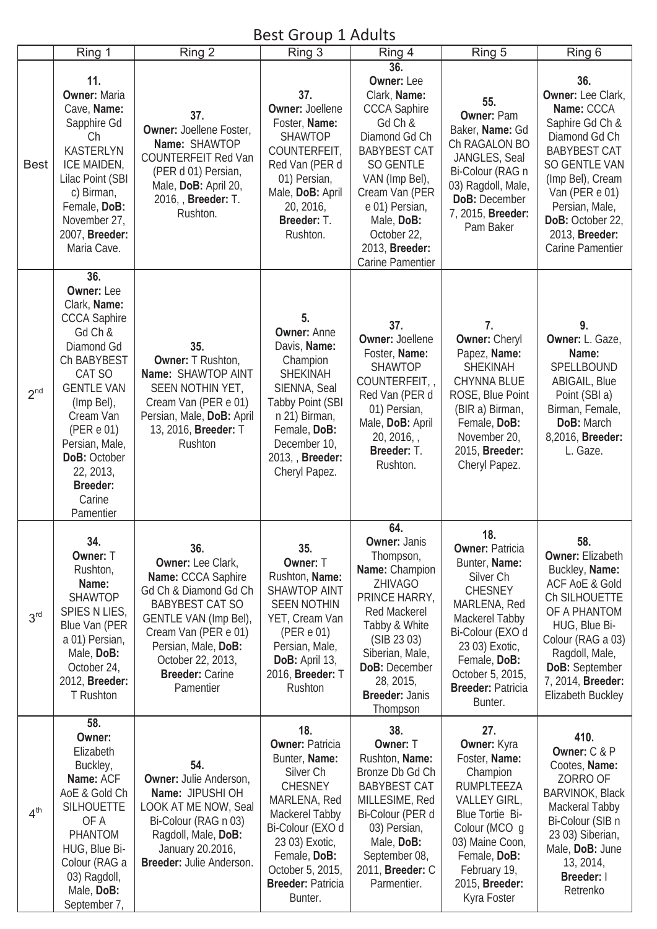#### Best Group 1 Adults

|                 | Ring 1                                                                                                                                                                                                                                                                   | Ring 2                                                                                                                                                                                                                                | DEST OF DUP I HUBITS<br>Ring 3                                                                                                                                                                                                              | Ring 4                                                                                                                                                                                                                                                   | Ring 5                                                                                                                                                                                                                                      | Ring 6                                                                                                                                                                                                                                             |
|-----------------|--------------------------------------------------------------------------------------------------------------------------------------------------------------------------------------------------------------------------------------------------------------------------|---------------------------------------------------------------------------------------------------------------------------------------------------------------------------------------------------------------------------------------|---------------------------------------------------------------------------------------------------------------------------------------------------------------------------------------------------------------------------------------------|----------------------------------------------------------------------------------------------------------------------------------------------------------------------------------------------------------------------------------------------------------|---------------------------------------------------------------------------------------------------------------------------------------------------------------------------------------------------------------------------------------------|----------------------------------------------------------------------------------------------------------------------------------------------------------------------------------------------------------------------------------------------------|
| <b>Best</b>     | 11.<br><b>Owner: Maria</b><br>Cave, Name:<br>Sapphire Gd<br>Ch<br><b>KASTERLYN</b><br>ICE MAIDEN,<br>Lilac Point (SBI<br>c) Birman,<br>Female, DoB:<br>November 27,<br>2007, Breeder:<br>Maria Cave.                                                                     | 37.<br>Owner: Joellene Foster,<br>Name: SHAWTOP<br><b>COUNTERFEIT Red Van</b><br>(PER d 01) Persian,<br>Male, DoB: April 20,<br>2016, Breeder: T.<br>Rushton.                                                                         | 37.<br><b>Owner: Joellene</b><br>Foster, Name:<br><b>SHAWTOP</b><br>COUNTERFEIT,<br>Red Van (PER d<br>01) Persian,<br>Male, DoB: April<br>20, 2016,<br>Breeder: T.<br>Rushton.                                                              | 36.<br><b>Owner: Lee</b><br>Clark, Name:<br><b>CCCA Saphire</b><br>Gd Ch &<br>Diamond Gd Ch<br><b>BABYBEST CAT</b><br>SO GENTLE<br>VAN (Imp Bel),<br>Cream Van (PER<br>e 01) Persian,<br>Male, DoB:<br>October 22,<br>2013, Breeder:<br>Carine Pamentier | 55.<br><b>Owner: Pam</b><br>Baker, Name: Gd<br>Ch RAGALON BO<br>JANGLES, Seal<br>Bi-Colour (RAG n<br>03) Ragdoll, Male,<br><b>DoB: December</b><br>7, 2015, Breeder:<br>Pam Baker                                                           | 36.<br>Owner: Lee Clark,<br>Name: CCCA<br>Saphire Gd Ch &<br>Diamond Gd Ch<br><b>BABYBEST CAT</b><br><b>SO GENTLE VAN</b><br>(Imp Bel), Cream<br>Van (PER e 01)<br>Persian, Male,<br>DoB: October 22,<br>2013, Breeder:<br><b>Carine Pamentier</b> |
| 2 <sup>nd</sup> | 36.<br><b>Owner: Lee</b><br>Clark, Name:<br><b>CCCA Saphire</b><br>Gd Ch &<br>Diamond Gd<br>Ch BABYBEST<br>CAT SO<br><b>GENTLE VAN</b><br>(Imp Bel),<br>Cream Van<br>(PER e 01)<br>Persian, Male,<br>DoB: October<br>22, 2013,<br><b>Breeder:</b><br>Carine<br>Pamentier | 35.<br><b>Owner: T Rushton,</b><br>Name: SHAWTOP AINT<br>SEEN NOTHIN YET,<br>Cream Van (PER e 01)<br>Persian, Male, DoB: April<br>13, 2016, Breeder: T<br>Rushton                                                                     | 5.<br><b>Owner: Anne</b><br>Davis, Name:<br>Champion<br><b>SHEKINAH</b><br>SIENNA, Seal<br><b>Tabby Point (SBI</b><br>n 21) Birman,<br>Female, DoB:<br>December 10,<br>2013, Breeder:<br>Cheryl Papez.                                      | 37.<br><b>Owner: Joellene</b><br>Foster, Name:<br><b>SHAWTOP</b><br>COUNTERFEIT,<br>Red Van (PER d<br>01) Persian,<br>Male, DoB: April<br>$20, 2016,$ ,<br>Breeder: T.<br>Rushton.                                                                       | 7.<br><b>Owner: Cheryl</b><br>Papez, Name:<br><b>SHEKINAH</b><br><b>CHYNNA BLUE</b><br>ROSE, Blue Point<br>(BIR a) Birman,<br>Female, DoB:<br>November 20,<br>2015, Breeder:<br>Cheryl Papez.                                               | 9.<br>Owner: L. Gaze,<br>Name:<br>SPELLBOUND<br>ABIGAIL, Blue<br>Point (SBI a)<br>Birman, Female,<br>DoB: March<br>8,2016, Breeder:<br>L. Gaze.                                                                                                    |
| 3 <sup>rd</sup> | 34.<br>Owner: T<br>Rushton,<br>Name:<br><b>SHAWTOP</b><br>SPIES N LIES,<br>Blue Van (PER<br>a 01) Persian,<br>Male, DoB:<br>October 24,<br>2012, Breeder:<br>T Rushton                                                                                                   | 36.<br>Owner: Lee Clark,<br>Name: CCCA Saphire<br>Gd Ch & Diamond Gd Ch<br><b>BABYBEST CAT SO</b><br>GENTLE VAN (Imp Bel),<br>Cream Van (PER e 01)<br>Persian, Male, DoB:<br>October 22, 2013,<br><b>Breeder: Carine</b><br>Pamentier | 35.<br>Owner: T<br>Rushton, Name:<br><b>SHAWTOP AINT</b><br><b>SEEN NOTHIN</b><br>YET, Cream Van<br>(PER e 01)<br>Persian, Male,<br>DoB: April 13,<br>2016, Breeder: T<br>Rushton                                                           | 64.<br><b>Owner: Janis</b><br>Thompson,<br>Name: Champion<br>ZHIVAGO<br>PRINCE HARRY,<br><b>Red Mackerel</b><br>Tabby & White<br>(SIB 23 03)<br>Siberian, Male,<br>DoB: December<br>28, 2015,<br><b>Breeder: Janis</b><br>Thompson                       | 18.<br><b>Owner: Patricia</b><br>Bunter, Name:<br>Silver <sub>Ch</sub><br><b>CHESNEY</b><br>MARLENA, Red<br>Mackerel Tabby<br>Bi-Colour (EXO d<br>23 03) Exotic,<br>Female, DoB:<br>October 5, 2015,<br><b>Breeder: Patricia</b><br>Bunter. | 58.<br><b>Owner: Elizabeth</b><br>Buckley, Name:<br><b>ACF AoE &amp; Gold</b><br>Ch SILHOUETTE<br>OF A PHANTOM<br>HUG, Blue Bi-<br>Colour (RAG a 03)<br>Ragdoll, Male,<br>DoB: September<br>7, 2014, Breeder:<br>Elizabeth Buckley                 |
| 4 <sup>th</sup> | 58.<br>Owner:<br>Elizabeth<br>Buckley,<br>Name: ACF<br>AoE & Gold Ch<br><b>SILHOUETTE</b><br>OF A<br>PHANTOM<br>HUG, Blue Bi-<br>Colour (RAG a<br>03) Ragdoll,<br>Male, DoB:<br>September 7,                                                                             | 54.<br>Owner: Julie Anderson,<br>Name: JIPUSHI OH<br>LOOK AT ME NOW, Seal<br>Bi-Colour (RAG n 03)<br>Ragdoll, Male, DoB:<br>January 20.2016,<br>Breeder: Julie Anderson.                                                              | 18.<br><b>Owner: Patricia</b><br>Bunter, Name:<br>Silver <sub>Ch</sub><br><b>CHESNEY</b><br>MARLENA, Red<br>Mackerel Tabby<br>Bi-Colour (EXO d<br>23 03) Exotic,<br>Female, DoB:<br>October 5, 2015,<br><b>Breeder: Patricia</b><br>Bunter. | 38.<br>Owner: T<br>Rushton, Name:<br>Bronze Db Gd Ch<br><b>BABYBEST CAT</b><br>MILLESIME, Red<br>Bi-Colour (PER d<br>03) Persian,<br>Male, DoB:<br>September 08,<br>2011, <b>Breeder:</b> C<br>Parmentier.                                               | 27.<br>Owner: Kyra<br>Foster, Name:<br>Champion<br><b>RUMPLTEEZA</b><br>VALLEY GIRL,<br><b>Blue Tortie Bi-</b><br>Colour (MCO q<br>03) Maine Coon,<br>Female, DoB:<br>February 19,<br>2015, Breeder:<br>Kyra Foster                         | 410.<br>Owner: C & P<br>Cootes, Name:<br>ZORRO OF<br><b>BARVINOK, Black</b><br>Mackeral Tabby<br>Bi-Colour (SIB n<br>23 03) Siberian,<br>Male, DoB: June<br>13, 2014,<br>Breeder: I<br>Retrenko                                                    |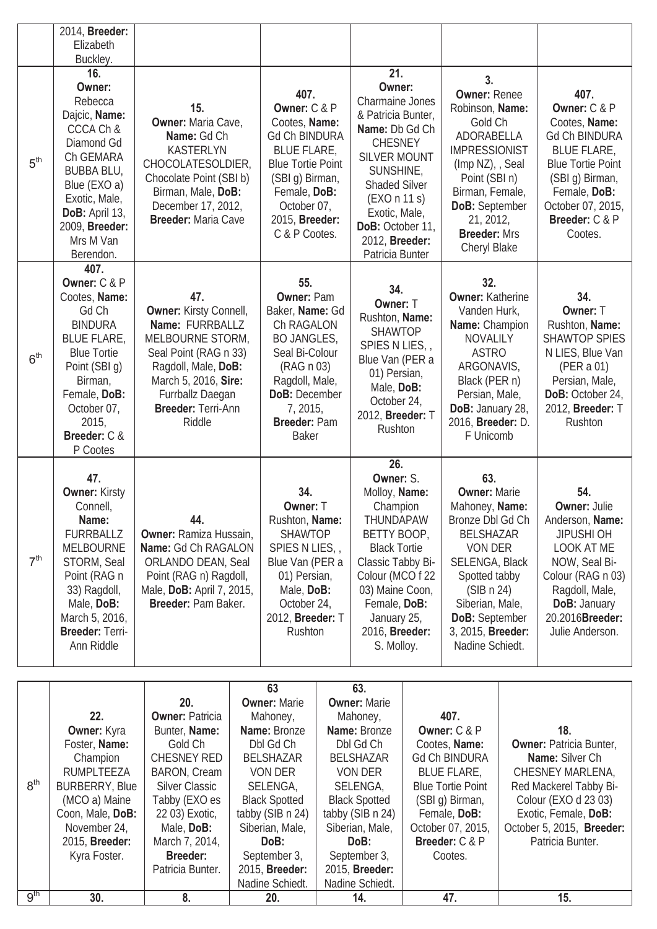|                 | 2014, Breeder:<br>Elizabeth<br>Buckley.                                                                                                                                                                      |                                                                                                                                                                                                                                    |                                                                                                                                                                                                                                                  |                                                                                                                                                                                                                                                         |                                                                                                                                                                                                                                      |                                                                                                                                                                                                         |
|-----------------|--------------------------------------------------------------------------------------------------------------------------------------------------------------------------------------------------------------|------------------------------------------------------------------------------------------------------------------------------------------------------------------------------------------------------------------------------------|--------------------------------------------------------------------------------------------------------------------------------------------------------------------------------------------------------------------------------------------------|---------------------------------------------------------------------------------------------------------------------------------------------------------------------------------------------------------------------------------------------------------|--------------------------------------------------------------------------------------------------------------------------------------------------------------------------------------------------------------------------------------|---------------------------------------------------------------------------------------------------------------------------------------------------------------------------------------------------------|
| 5 <sup>th</sup> | 16.<br>Owner:<br>Rebecca<br>Dajcic, Name:<br>CCCA Ch &<br>Diamond Gd<br>Ch GEMARA<br><b>BUBBA BLU,</b><br>Blue (EXO a)<br>Exotic, Male,<br>DoB: April 13,<br>2009, Breeder:<br>Mrs M Van<br>Berendon.        | 15.<br><b>Owner: Maria Cave,</b><br>Name: Gd Ch<br><b>KASTERLYN</b><br>CHOCOLATESOLDIER,<br>Chocolate Point (SBI b)<br>Birman, Male, DoB:<br>December 17, 2012,<br><b>Breeder: Maria Cave</b>                                      | 407.<br>Owner: C & P<br>Cootes, Name:<br><b>Gd Ch BINDURA</b><br><b>BLUE FLARE,</b><br><b>Blue Tortie Point</b><br>(SBI g) Birman,<br>Female, DoB:<br>October 07,<br>2015, Breeder:<br>C & P Cootes.                                             | 21.<br>Owner:<br><b>Charmaine Jones</b><br>& Patricia Bunter,<br>Name: Db Gd Ch<br><b>CHESNEY</b><br><b>SILVER MOUNT</b><br>SUNSHINE,<br><b>Shaded Silver</b><br>(EXO n 11 s)<br>Exotic, Male,<br>DoB: October 11,<br>2012, Breeder:<br>Patricia Bunter | 3.<br><b>Owner: Renee</b><br>Robinson, Name:<br>Gold Ch<br>ADORABELLA<br><b>IMPRESSIONIST</b><br>(Imp NZ), , Seal<br>Point (SBI n)<br>Birman, Female,<br>DoB: September<br>21, 2012,<br><b>Breeder: Mrs</b><br>Cheryl Blake          | 407.<br>Owner: C & P<br>Cootes, Name:<br><b>Gd Ch BINDURA</b><br><b>BLUE FLARE,</b><br><b>Blue Tortie Point</b><br>(SBI g) Birman,<br>Female, DoB:<br>October 07, 2015,<br>Breeder: C & P<br>Cootes.    |
| 6 <sup>th</sup> | 407.<br>Owner: C & P<br>Cootes, Name:<br>Gd Ch<br><b>BINDURA</b><br><b>BLUE FLARE,</b><br><b>Blue Tortie</b><br>Point (SBI g)<br>Birman,<br>Female, DoB:<br>October 07,<br>2015,<br>Breeder: C &<br>P Cootes | 47.<br><b>Owner: Kirsty Connell,</b><br>Name: FURRBALLZ<br>MELBOURNE STORM,<br>Seal Point (RAG n 33)<br>Ragdoll, Male, DoB:<br>March 5, 2016, Sire:<br>Furrballz Daegan<br>Breeder: Terri-Ann<br>Riddle                            | 55.<br><b>Owner: Pam</b><br>Baker, Name: Gd<br>Ch RAGALON<br><b>BO JANGLES,</b><br>Seal Bi-Colour<br>(RAG n 03)<br>Ragdoll, Male,<br>DoB: December<br>7, 2015,<br>Breeder: Pam<br><b>Baker</b>                                                   | 34.<br>Owner: T<br>Rushton, Name:<br><b>SHAWTOP</b><br>SPIES N LIES,<br>Blue Van (PER a<br>01) Persian,<br>Male, DoB:<br>October 24,<br>2012, Breeder: T<br>Rushton                                                                                     | 32.<br><b>Owner: Katherine</b><br>Vanden Hurk,<br>Name: Champion<br><b>NOVALILY</b><br><b>ASTRO</b><br>ARGONAVIS,<br>Black (PER n)<br>Persian, Male,<br>DoB: January 28,<br>2016, Breeder: D.<br>F Unicomb                           | 34.<br>Owner: T<br>Rushton, Name:<br><b>SHAWTOP SPIES</b><br>N LIES, Blue Van<br>(PER a 01)<br>Persian, Male,<br>DoB: October 24,<br>2012, Breeder: T<br>Rushton                                        |
| 7 <sup>th</sup> | 47.<br><b>Owner: Kirsty</b><br>Connell,<br>Name:<br><b>FURRBALLZ</b><br><b>MELBOURNE</b><br>STORM, Seal<br>Point (RAG n<br>33) Ragdoll,<br>Male, DoB:<br>March 5, 2016,<br>Breeder: Terri-<br>Ann Riddle     | 44.<br><b>Owner: Ramiza Hussain,</b><br>Name: Gd Ch RAGALON<br>ORLANDO DEAN, Seal<br>Point (RAG n) Ragdoll,<br>Male, DoB: April 7, 2015,<br>Breeder: Pam Baker.                                                                    | 34.<br>Owner: T<br>Rushton, Name:<br><b>SHAWTOP</b><br>SPIES N LIES,<br>Blue Van (PER a<br>01) Persian,<br>Male, DoB:<br>October 24,<br>2012, Breeder: T<br>Rushton                                                                              | 26.<br>Owner: S.<br>Molloy, Name:<br>Champion<br>THUNDAPAW<br>BETTY BOOP,<br><b>Black Tortie</b><br>Classic Tabby Bi-<br>Colour (MCO f 22<br>03) Maine Coon,<br>Female, DoB:<br>January 25,<br>2016, Breeder:<br>S. Molloy.                             | 63.<br><b>Owner: Marie</b><br>Mahoney, Name:<br>Bronze Dbl Gd Ch<br><b>BELSHAZAR</b><br>VON DER<br>SELENGA, Black<br>Spotted tabby<br>(SIB n 24)<br>Siberian, Male,<br><b>DoB:</b> September<br>3, 2015, Breeder:<br>Nadine Schiedt. | 54.<br><b>Owner: Julie</b><br>Anderson, Name:<br><b>JIPUSHI OH</b><br>LOOK AT ME<br>NOW, Seal Bi-<br>Colour (RAG n 03)<br>Ragdoll, Male,<br><b>DoB: January</b><br>20.2016Breeder:<br>Julie Anderson.   |
| 8 <sup>th</sup> | 22.<br>Owner: Kyra<br>Foster, Name:<br>Champion<br>RUMPLTEEZA<br><b>BURBERRY, Blue</b><br>(MCO a) Maine<br>Coon, Male, DoB:<br>November 24,<br>2015, Breeder:<br>Kyra Foster.                                | 20.<br><b>Owner: Patricia</b><br>Bunter, Name:<br>Gold Ch<br><b>CHESNEY RED</b><br>BARON, Cream<br><b>Silver Classic</b><br>Tabby (EXO es<br>22 03) Exotic,<br>Male, DoB:<br>March 7, 2014,<br><b>Breeder:</b><br>Patricia Bunter. | 63<br><b>Owner: Marie</b><br>Mahoney,<br>Name: Bronze<br>Dbl Gd Ch<br><b>BELSHAZAR</b><br><b>VON DER</b><br>SELENGA,<br><b>Black Spotted</b><br>tabby (SIB n 24)<br>Siberian, Male,<br>DoB:<br>September 3,<br>2015, Breeder:<br>Nadine Schiedt. | 63.<br><b>Owner: Marie</b><br>Mahoney,<br>Name: Bronze<br>Dbl Gd Ch<br><b>BELSHAZAR</b><br>VON DER<br>SELENGA,<br><b>Black Spotted</b><br>tabby (SIB n 24)<br>Siberian, Male,<br>DoB:<br>September 3,<br>2015, Breeder:<br>Nadine Schiedt.              | 407.<br>Owner: C & P<br>Cootes, Name:<br><b>Gd Ch BINDURA</b><br><b>BLUE FLARE,</b><br><b>Blue Tortie Point</b><br>(SBI g) Birman,<br>Female, DoB:<br>October 07, 2015,<br>Breeder: C & P<br>Cootes.                                 | 18.<br><b>Owner: Patricia Bunter,</b><br>Name: Silver Ch<br>CHESNEY MARLENA,<br>Red Mackerel Tabby Bi-<br>Colour (EXO d 23 03)<br>Exotic, Female, DoB:<br>October 5, 2015, Breeder:<br>Patricia Bunter. |

9th **30. 8. 20. 14. 47. 15.**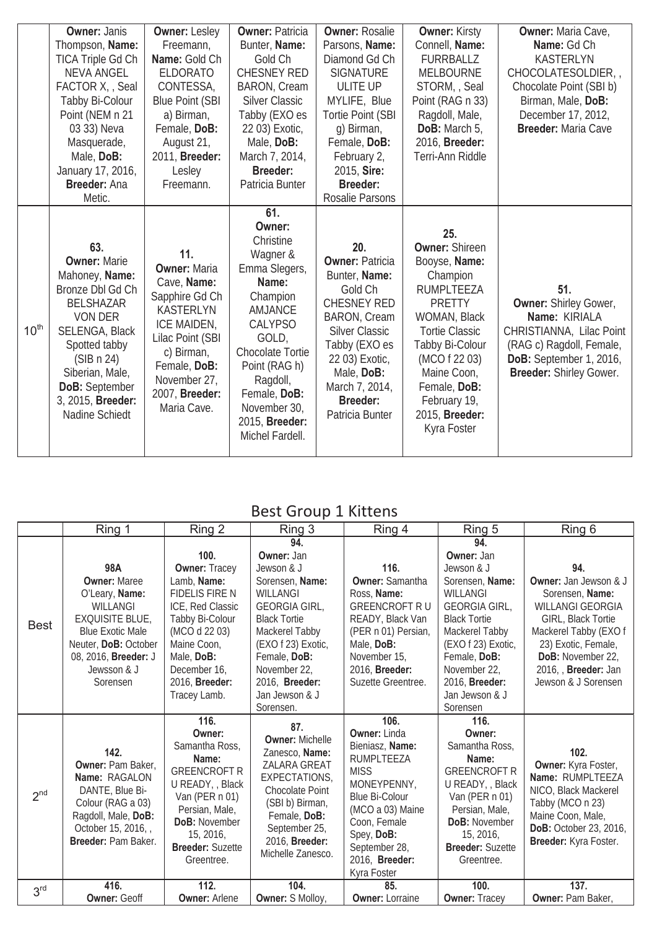|                  | <b>Owner: Janis</b>                                                                                                                                                                                                                        | <b>Owner: Lesley</b>                                                                                                                                                                              | <b>Owner: Patricia</b>                                                                                                                                                                                                                          | <b>Owner: Rosalie</b>                                                                                                                                                                                                                    | <b>Owner: Kirsty</b>                                                                                                                                                                                                                                         | <b>Owner: Maria Cave,</b>                                                                                                                                   |
|------------------|--------------------------------------------------------------------------------------------------------------------------------------------------------------------------------------------------------------------------------------------|---------------------------------------------------------------------------------------------------------------------------------------------------------------------------------------------------|-------------------------------------------------------------------------------------------------------------------------------------------------------------------------------------------------------------------------------------------------|------------------------------------------------------------------------------------------------------------------------------------------------------------------------------------------------------------------------------------------|--------------------------------------------------------------------------------------------------------------------------------------------------------------------------------------------------------------------------------------------------------------|-------------------------------------------------------------------------------------------------------------------------------------------------------------|
|                  | Thompson, Name:                                                                                                                                                                                                                            | Freemann,                                                                                                                                                                                         | Bunter, Name:                                                                                                                                                                                                                                   | Parsons, Name:                                                                                                                                                                                                                           | Connell, Name:                                                                                                                                                                                                                                               | Name: Gd Ch                                                                                                                                                 |
|                  | <b>TICA Triple Gd Ch</b>                                                                                                                                                                                                                   | Name: Gold Ch                                                                                                                                                                                     | Gold Ch                                                                                                                                                                                                                                         | Diamond Gd Ch                                                                                                                                                                                                                            | <b>FURRBALLZ</b>                                                                                                                                                                                                                                             | <b>KASTERLYN</b>                                                                                                                                            |
|                  | <b>NEVA ANGEL</b>                                                                                                                                                                                                                          | <b>ELDORATO</b>                                                                                                                                                                                   | <b>CHESNEY RED</b>                                                                                                                                                                                                                              | <b>SIGNATURE</b>                                                                                                                                                                                                                         | <b>MELBOURNE</b>                                                                                                                                                                                                                                             | CHOCOLATESOLDIER,                                                                                                                                           |
|                  | FACTOR X, Seal                                                                                                                                                                                                                             | CONTESSA,                                                                                                                                                                                         | <b>BARON, Cream</b>                                                                                                                                                                                                                             | <b>ULITE UP</b>                                                                                                                                                                                                                          | STORM, , Seal                                                                                                                                                                                                                                                | Chocolate Point (SBI b)                                                                                                                                     |
|                  | Tabby Bi-Colour                                                                                                                                                                                                                            | <b>Blue Point (SBI</b>                                                                                                                                                                            | <b>Silver Classic</b>                                                                                                                                                                                                                           | MYLIFE, Blue                                                                                                                                                                                                                             | Point (RAG n 33)                                                                                                                                                                                                                                             | Birman, Male, DoB:                                                                                                                                          |
|                  | Point (NEM n 21                                                                                                                                                                                                                            | a) Birman,                                                                                                                                                                                        | Tabby (EXO es                                                                                                                                                                                                                                   | <b>Tortie Point (SBI</b>                                                                                                                                                                                                                 | Ragdoll, Male,                                                                                                                                                                                                                                               | December 17, 2012,                                                                                                                                          |
|                  | 03 33) Neva                                                                                                                                                                                                                                | Female, DoB:                                                                                                                                                                                      | 22 03) Exotic,                                                                                                                                                                                                                                  | g) Birman,                                                                                                                                                                                                                               | DoB: March 5,                                                                                                                                                                                                                                                | Breeder: Maria Cave                                                                                                                                         |
|                  | Masquerade,                                                                                                                                                                                                                                | August 21,                                                                                                                                                                                        | Male, DoB:                                                                                                                                                                                                                                      | Female, DoB:                                                                                                                                                                                                                             | 2016, Breeder:                                                                                                                                                                                                                                               |                                                                                                                                                             |
|                  | Male, DoB:                                                                                                                                                                                                                                 | 2011, Breeder:                                                                                                                                                                                    | March 7, 2014,                                                                                                                                                                                                                                  | February 2,                                                                                                                                                                                                                              | Terri-Ann Riddle                                                                                                                                                                                                                                             |                                                                                                                                                             |
|                  | January 17, 2016,                                                                                                                                                                                                                          | Lesley                                                                                                                                                                                            | <b>Breeder:</b>                                                                                                                                                                                                                                 | 2015, Sire:                                                                                                                                                                                                                              |                                                                                                                                                                                                                                                              |                                                                                                                                                             |
|                  | Breeder: Ana                                                                                                                                                                                                                               | Freemann.                                                                                                                                                                                         | Patricia Bunter                                                                                                                                                                                                                                 | <b>Breeder:</b>                                                                                                                                                                                                                          |                                                                                                                                                                                                                                                              |                                                                                                                                                             |
|                  | Metic.                                                                                                                                                                                                                                     |                                                                                                                                                                                                   |                                                                                                                                                                                                                                                 | Rosalie Parsons                                                                                                                                                                                                                          |                                                                                                                                                                                                                                                              |                                                                                                                                                             |
| $10^{\text{th}}$ | 63.<br><b>Owner: Marie</b><br>Mahoney, Name:<br>Bronze Dbl Gd Ch<br><b>BELSHAZAR</b><br><b>VON DER</b><br><b>SELENGA, Black</b><br>Spotted tabby<br>(SIB n 24)<br>Siberian, Male,<br>DoB: September<br>3, 2015, Breeder:<br>Nadine Schiedt | 11.<br><b>Owner: Maria</b><br>Cave, Name:<br>Sapphire Gd Ch<br><b>KASTERLYN</b><br>ICE MAIDEN,<br>Lilac Point (SBI<br>c) Birman,<br>Female, DoB:<br>November 27,<br>2007, Breeder:<br>Maria Cave. | 61.<br>Owner:<br>Christine<br>Wagner &<br>Emma Slegers,<br>Name:<br>Champion<br>AMJANCE<br><b>CALYPSO</b><br>GOLD,<br><b>Chocolate Tortie</b><br>Point (RAG h)<br>Ragdoll,<br>Female, DoB:<br>November 30,<br>2015, Breeder:<br>Michel Fardell. | 20.<br><b>Owner: Patricia</b><br>Bunter, Name:<br>Gold Ch<br><b>CHESNEY RED</b><br><b>BARON, Cream</b><br><b>Silver Classic</b><br>Tabby (EXO es<br>22 03) Exotic,<br>Male, DoB:<br>March 7, 2014,<br><b>Breeder:</b><br>Patricia Bunter | 25.<br><b>Owner: Shireen</b><br>Booyse, Name:<br>Champion<br><b>RUMPLTEEZA</b><br><b>PRETTY</b><br>WOMAN, Black<br><b>Tortie Classic</b><br>Tabby Bi-Colour<br>(MCO f 22 03)<br>Maine Coon,<br>Female, DoB:<br>February 19,<br>2015, Breeder:<br>Kyra Foster | 51.<br>Owner: Shirley Gower,<br>Name: KIRIALA<br>CHRISTIANNA, Lilac Point<br>(RAG c) Ragdoll, Female,<br>DoB: September 1, 2016,<br>Breeder: Shirley Gower. |

## Best Group 1 Kittens

|                 | Ring 1                                                                                                                                                                                          | Ring 2                                                                                                                                                                                                 | Ring 3                                                                                                                                                                                                                                 | Ring 4                                                                                                                                                                                                                         | Ring 5                                                                                                                                                                                                                                | Ring 6                                                                                                                                                                                                                             |
|-----------------|-------------------------------------------------------------------------------------------------------------------------------------------------------------------------------------------------|--------------------------------------------------------------------------------------------------------------------------------------------------------------------------------------------------------|----------------------------------------------------------------------------------------------------------------------------------------------------------------------------------------------------------------------------------------|--------------------------------------------------------------------------------------------------------------------------------------------------------------------------------------------------------------------------------|---------------------------------------------------------------------------------------------------------------------------------------------------------------------------------------------------------------------------------------|------------------------------------------------------------------------------------------------------------------------------------------------------------------------------------------------------------------------------------|
| <b>Best</b>     | 98A<br><b>Owner: Maree</b><br>O'Leary, Name:<br><b>WILLANGI</b><br><b>EXQUISITE BLUE,</b><br><b>Blue Exotic Male</b><br>Neuter, DoB: October<br>08, 2016, Breeder: J<br>Jewsson & J<br>Sorensen | 100.<br><b>Owner: Tracey</b><br>Lamb, Name:<br>FIDELIS FIRE N<br>ICE, Red Classic<br>Tabby Bi-Colour<br>(MCO d 22 03)<br>Maine Coon,<br>Male, DoB:<br>December 16,<br>2016, Breeder:<br>Tracey Lamb.   | 94.<br>Owner: Jan<br>Jewson & J<br>Sorensen, Name:<br>WILLANGI<br><b>GEORGIA GIRL,</b><br><b>Black Tortie</b><br>Mackerel Tabby<br>(EXO f 23) Exotic,<br>Female, DoB:<br>November 22,<br>2016, Breeder:<br>Jan Jewson & J<br>Sorensen. | 116.<br><b>Owner: Samantha</b><br>Ross, Name:<br><b>GREENCROFT RU</b><br>READY, Black Van<br>(PER n 01) Persian,<br>Male, DoB:<br>November 15,<br>2016, <b>Breeder:</b><br>Suzette Greentree.                                  | 94.<br>Owner: Jan<br>Jewson & J<br>Sorensen, Name:<br>WILLANGI<br><b>GEORGIA GIRL,</b><br><b>Black Tortie</b><br>Mackerel Tabby<br>(EXO f 23) Exotic,<br>Female, DoB:<br>November 22,<br>2016, Breeder:<br>Jan Jewson & J<br>Sorensen | 94.<br><b>Owner:</b> Jan Jewson & J<br>Sorensen, Name:<br><b>WILLANGI GEORGIA</b><br>GIRL, Black Tortie<br>Mackerel Tabby (EXO f<br>23) Exotic, Female,<br>DoB: November 22,<br>2016, , <b>Breeder:</b> Jan<br>Jewson & J Sorensen |
| 2 <sup>nd</sup> | 142.<br>Owner: Pam Baker,<br>Name: RAGALON<br>DANTE, Blue Bi-<br>Colour (RAG a 03)<br>Ragdoll, Male, DoB:<br>October 15, 2016,<br>Breeder: Pam Baker.                                           | 116.<br>Owner:<br>Samantha Ross,<br>Name:<br><b>GREENCROFT R</b><br>U READY, , Black<br>Van (PER n 01)<br>Persian, Male,<br><b>DoB: November</b><br>15, 2016,<br><b>Breeder: Suzette</b><br>Greentree. | 87.<br><b>Owner: Michelle</b><br>Zanesco, Name:<br><b>ZALARA GREAT</b><br><b>EXPECTATIONS,</b><br><b>Chocolate Point</b><br>(SBI b) Birman,<br>Female, DoB:<br>September 25,<br>2016, Breeder:<br>Michelle Zanesco.                    | 106.<br><b>Owner: Linda</b><br>Bieniasz, Name:<br><b>RUMPLTEEZA</b><br><b>MISS</b><br>MONEYPENNY,<br><b>Blue Bi-Colour</b><br>(MCO a 03) Maine<br>Coon, Female<br>Spey, DoB:<br>September 28,<br>2016, Breeder:<br>Kyra Foster | 116.<br>Owner:<br>Samantha Ross,<br>Name:<br><b>GREENCROFT R</b><br>U READY, , Black<br>Van (PER n 01)<br>Persian, Male,<br><b>DoB: November</b><br>15, 2016,<br><b>Breeder: Suzette</b><br>Greentree.                                | 102.<br>Owner: Kyra Foster,<br>Name: RUMPLTEEZA<br>NICO, Black Mackerel<br>Tabby (MCO n 23)<br>Maine Coon, Male,<br>DoB: October 23, 2016,<br>Breeder: Kyra Foster.                                                                |
| 3 <sup>rd</sup> | 416.<br><b>Owner: Geoff</b>                                                                                                                                                                     | 112.<br><b>Owner: Arlene</b>                                                                                                                                                                           | 104.<br><b>Owner: S Molloy,</b>                                                                                                                                                                                                        | 85.<br><b>Owner: Lorraine</b>                                                                                                                                                                                                  | 100.<br><b>Owner: Tracey</b>                                                                                                                                                                                                          | 137.<br>Owner: Pam Baker,                                                                                                                                                                                                          |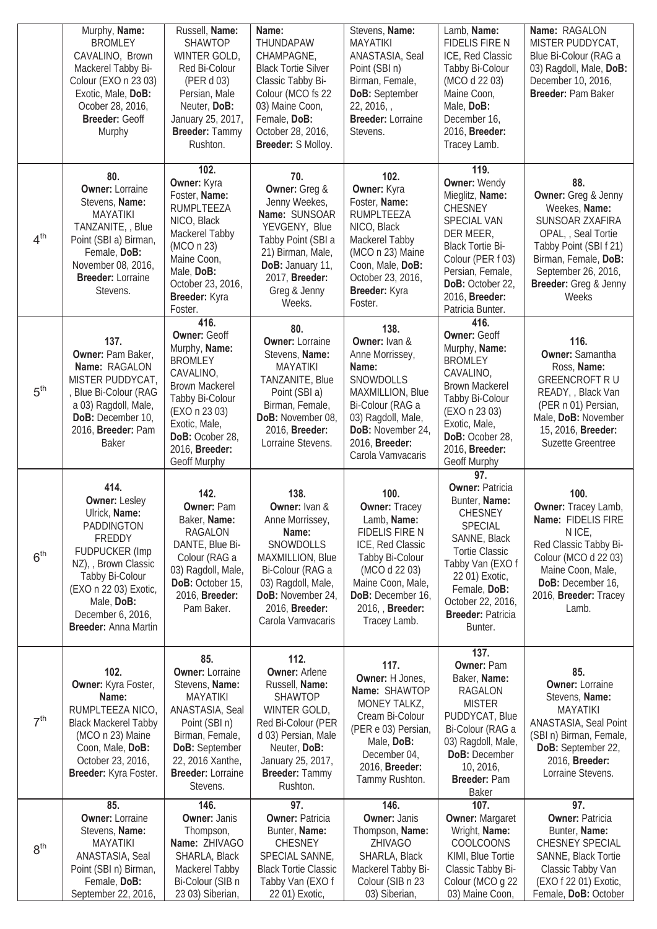|                 | Murphy, Name:<br><b>BROMLEY</b><br>CAVALINO, Brown<br>Mackerel Tabby Bi-<br>Colour (EXO n 23 03)<br>Exotic, Male, DoB:<br>Ocober 28, 2016,<br>Breeder: Geoff<br>Murphy                                                             | Russell, Name:<br><b>SHAWTOP</b><br>WINTER GOLD,<br>Red Bi-Colour<br>(PER d 03)<br>Persian, Male<br>Neuter, DoB:<br>January 25, 2017,<br>Breeder: Tammy<br>Rushton.                                                   | Name:<br>THUNDAPAW<br>CHAMPAGNE,<br><b>Black Tortie Silver</b><br>Classic Tabby Bi-<br>Colour (MCO fs 22<br>03) Maine Coon,<br>Female, DoB:<br>October 28, 2016,<br>Breeder: S Molloy.                  | Stevens, Name:<br><b>MAYATIKI</b><br>ANASTASIA, Seal<br>Point (SBI n)<br>Birman, Female,<br>DoB: September<br>22, 2016, ,<br><b>Breeder: Lorraine</b><br>Stevens.                                 | Lamb, Name:<br><b>FIDELIS FIRE N</b><br>ICE, Red Classic<br>Tabby Bi-Colour<br>(MCO d 22 03)<br>Maine Coon,<br>Male, DoB:<br>December 16,<br>2016, Breeder:<br>Tracey Lamb.                                                                   | Name: RAGALON<br>MISTER PUDDYCAT,<br>Blue Bi-Colour (RAG a<br>03) Ragdoll, Male, DoB:<br>December 10, 2016,<br>Breeder: Pam Baker                                                                     |
|-----------------|------------------------------------------------------------------------------------------------------------------------------------------------------------------------------------------------------------------------------------|-----------------------------------------------------------------------------------------------------------------------------------------------------------------------------------------------------------------------|---------------------------------------------------------------------------------------------------------------------------------------------------------------------------------------------------------|---------------------------------------------------------------------------------------------------------------------------------------------------------------------------------------------------|-----------------------------------------------------------------------------------------------------------------------------------------------------------------------------------------------------------------------------------------------|-------------------------------------------------------------------------------------------------------------------------------------------------------------------------------------------------------|
| 4 <sup>th</sup> | 80.<br><b>Owner: Lorraine</b><br>Stevens, Name:<br><b>MAYATIKI</b><br>TANZANITE, , Blue<br>Point (SBI a) Birman,<br>Female, DoB:<br>November 08, 2016,<br><b>Breeder: Lorraine</b><br>Stevens.                                     | 102.<br>Owner: Kyra<br>Foster, Name:<br>RUMPLTEEZA<br>NICO, Black<br>Mackerel Tabby<br>(MCO n 23)<br>Maine Coon,<br>Male, DoB:<br>October 23, 2016,<br>Breeder: Kyra<br>Foster.                                       | 70.<br>Owner: Greg &<br>Jenny Weekes,<br>Name: SUNSOAR<br>YEVGENY, Blue<br>Tabby Point (SBI a<br>21) Birman, Male,<br>DoB: January 11,<br>2017, Breeder:<br>Greg & Jenny<br>Weeks.                      | 102.<br>Owner: Kyra<br>Foster, Name:<br>RUMPLTEEZA<br>NICO, Black<br>Mackerel Tabby<br>(MCO n 23) Maine<br>Coon, Male, DoB:<br>October 23, 2016,<br>Breeder: Kyra<br>Foster.                      | 119.<br><b>Owner: Wendy</b><br>Mieglitz, Name:<br><b>CHESNEY</b><br>SPECIAL VAN<br>DER MEER,<br><b>Black Tortie Bi-</b><br>Colour (PER f 03)<br>Persian, Female,<br>DoB: October 22,<br>2016, Breeder:<br>Patricia Bunter.                    | 88.<br><b>Owner:</b> Greg & Jenny<br>Weekes, Name:<br>SUNSOAR ZXAFIRA<br>OPAL, Seal Tortie<br>Tabby Point (SBI f 21)<br>Birman, Female, DoB:<br>September 26, 2016,<br>Breeder: Greg & Jenny<br>Weeks |
| 5 <sup>th</sup> | 137.<br>Owner: Pam Baker,<br>Name: RAGALON<br>MISTER PUDDYCAT,<br><b>Blue Bi-Colour (RAG</b><br>a 03) Ragdoll, Male,<br>DoB: December 10,<br>2016, Breeder: Pam<br><b>Baker</b>                                                    | 416.<br><b>Owner: Geoff</b><br>Murphy, Name:<br><b>BROMLEY</b><br>CAVALINO,<br><b>Brown Mackerel</b><br>Tabby Bi-Colour<br>(EXO n 23 03)<br>Exotic, Male,<br>DoB: Ocober 28,<br>2016, Breeder:<br><b>Geoff Murphy</b> | 80.<br><b>Owner: Lorraine</b><br>Stevens, Name:<br><b>MAYATIKI</b><br>TANZANITE, Blue<br>Point (SBI a)<br>Birman, Female,<br>DoB: November 08,<br>2016, Breeder:<br>Lorraine Stevens.                   | 138.<br>Owner: Ivan &<br>Anne Morrissey,<br>Name:<br>SNOWDOLLS<br>MAXMILLION, Blue<br>Bi-Colour (RAG a<br>03) Ragdoll, Male,<br>DoB: November 24,<br>2016, Breeder:<br>Carola Vamvacaris          | 416.<br><b>Owner: Geoff</b><br>Murphy, Name:<br><b>BROMLEY</b><br>CAVALINO,<br><b>Brown Mackerel</b><br>Tabby Bi-Colour<br>(EXO n 23 03)<br>Exotic, Male,<br>DoB: Ocober 28,<br>2016, Breeder:<br>Geoff Murphy                                | 116.<br><b>Owner: Samantha</b><br>Ross, Name:<br><b>GREENCROFT RU</b><br>READY, , Black Van<br>(PER n 01) Persian,<br>Male, DoB: November<br>15, 2016, Breeder:<br><b>Suzette Greentree</b>           |
| 6 <sup>th</sup> | 414.<br><b>Owner: Lesley</b><br>Ulrick, Name:<br>PADDINGTON<br>FREDDY<br><b>FUDPUCKER (Imp</b><br>NZ), Brown Classic<br>Tabby Bi-Colour<br>(EXO n 22 03) Exotic,<br>Male, DoB:<br>December 6, 2016,<br><b>Breeder: Anna Martin</b> | 142.<br><b>Owner: Pam</b><br>Baker, Name:<br>RAGALON<br>DANTE, Blue Bi-<br>Colour (RAG a<br>03) Ragdoll, Male,<br>DoB: October 15,<br>2016, Breeder:<br>Pam Baker.                                                    | 138.<br>Owner: Ivan &<br>Anne Morrissey,<br>Name:<br>SNOWDOLLS<br>MAXMILLION, Blue<br>Bi-Colour (RAG a<br>03) Ragdoll, Male,<br>DoB: November 24,<br>2016, Breeder:<br>Carola Vamvacaris                | 100.<br><b>Owner: Tracey</b><br>Lamb, Name:<br>FIDELIS FIRE N<br>ICE, Red Classic<br>Tabby Bi-Colour<br>(MCO d 22 03)<br>Maine Coon, Male,<br>DoB: December 16,<br>2016, Breeder:<br>Tracey Lamb. | 97.<br><b>Owner: Patricia</b><br>Bunter, Name:<br><b>CHESNEY</b><br><b>SPECIAL</b><br>SANNE, Black<br><b>Tortie Classic</b><br>Tabby Van (EXO f<br>22 01) Exotic,<br>Female, DoB:<br>October 22, 2016,<br><b>Breeder: Patricia</b><br>Bunter. | 100.<br>Owner: Tracey Lamb,<br>Name: FIDELIS FIRE<br>N ICE,<br>Red Classic Tabby Bi-<br>Colour (MCO d 22 03)<br>Maine Coon, Male,<br>DoB: December 16,<br>2016, Breeder: Tracey<br>Lamb.              |
| 7 <sup>th</sup> | 102.<br>Owner: Kyra Foster,<br>Name:<br>RUMPLTEEZA NICO,<br><b>Black Mackerel Tabby</b><br>(MCO n 23) Maine<br>Coon, Male, DoB:<br>October 23, 2016,<br>Breeder: Kyra Foster.                                                      | 85.<br><b>Owner: Lorraine</b><br>Stevens, Name:<br><b>MAYATIKI</b><br>ANASTASIA, Seal<br>Point (SBI n)<br>Birman, Female,<br>DoB: September<br>22, 2016 Xanthe,<br><b>Breeder: Lorraine</b><br>Stevens.               | 112.<br><b>Owner: Arlene</b><br>Russell, Name:<br><b>SHAWTOP</b><br>WINTER GOLD,<br>Red Bi-Colour (PER<br>d 03) Persian, Male<br>Neuter, DoB:<br>January 25, 2017,<br><b>Breeder: Tammy</b><br>Rushton. | 117.<br>Owner: H Jones,<br>Name: SHAWTOP<br>MONEY TALKZ,<br>Cream Bi-Colour<br>(PER e 03) Persian,<br>Male, DoB:<br>December 04,<br>2016, Breeder:<br>Tammy Rushton.                              | 137.<br><b>Owner: Pam</b><br>Baker, Name:<br><b>RAGALON</b><br><b>MISTER</b><br>PUDDYCAT, Blue<br>Bi-Colour (RAG a<br>03) Ragdoll, Male,<br>DoB: December<br>10, 2016,<br>Breeder: Pam<br><b>Baker</b>                                        | 85.<br><b>Owner: Lorraine</b><br>Stevens, Name:<br><b>MAYATIKI</b><br>ANASTASIA, Seal Point<br>(SBI n) Birman, Female,<br>DoB: September 22,<br>2016, Breeder:<br>Lorraine Stevens.                   |
| 8 <sup>th</sup> | 85.<br><b>Owner: Lorraine</b><br>Stevens, Name:<br><b>MAYATIKI</b><br>ANASTASIA, Seal<br>Point (SBI n) Birman,<br>Female, DoB:<br>September 22, 2016,                                                                              | 146.<br><b>Owner: Janis</b><br>Thompson,<br>Name: ZHIVAGO<br>SHARLA, Black<br>Mackerel Tabby<br>Bi-Colour (SIB n<br>23 03) Siberian,                                                                                  | 97.<br><b>Owner: Patricia</b><br>Bunter, Name:<br><b>CHESNEY</b><br>SPECIAL SANNE,<br><b>Black Tortie Classic</b><br>Tabby Van (EXO f<br>22 01) Exotic,                                                 | 146.<br><b>Owner: Janis</b><br>Thompson, Name:<br>ZHIVAGO<br>SHARLA, Black<br>Mackerel Tabby Bi-<br>Colour (SIB n 23<br>03) Siberian,                                                             | 107.<br><b>Owner: Margaret</b><br>Wright, Name:<br>COOLCOONS<br>KIMI, Blue Tortie<br>Classic Tabby Bi-<br>Colour (MCO g 22<br>03) Maine Coon,                                                                                                 | 97.<br><b>Owner: Patricia</b><br>Bunter, Name:<br>CHESNEY SPECIAL<br>SANNE, Black Tortie<br>Classic Tabby Van<br>(EXO f 22 01) Exotic,<br>Female, DoB: October                                        |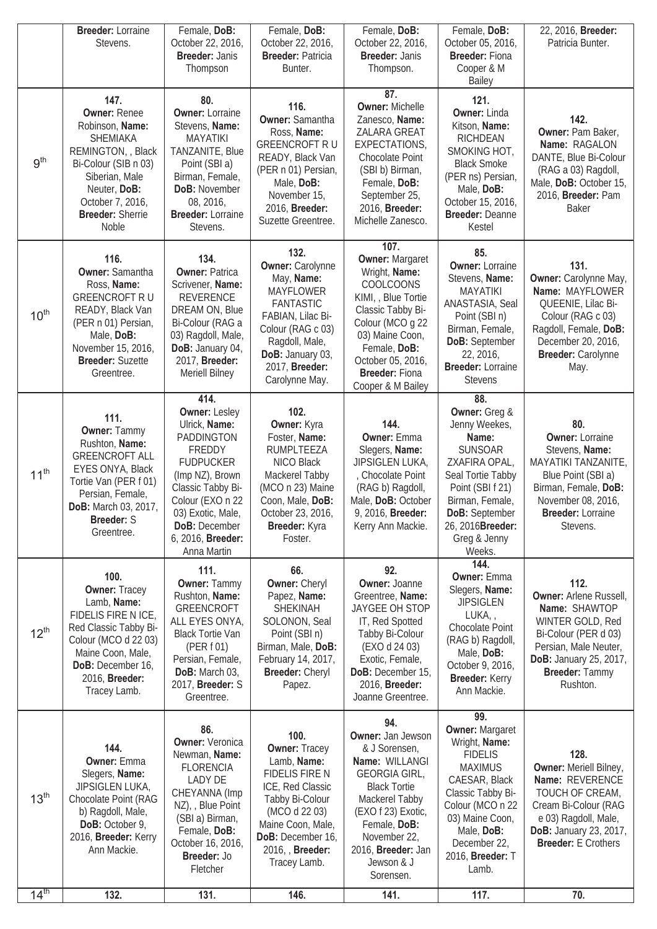|                  | <b>Breeder: Lorraine</b><br>Stevens.                                                                                                                                                                      | Female, DoB:<br>October 22, 2016,                                                                                                                                                                                              | Female, DoB:<br>October 22, 2016,                                                                                                                                                                         | Female, DoB:<br>October 22, 2016,                                                                                                                                                                                                         | Female, DoB:<br>October 05, 2016,                                                                                                                                                                                          | 22, 2016, Breeder:<br>Patricia Bunter.                                                                                                                                                            |
|------------------|-----------------------------------------------------------------------------------------------------------------------------------------------------------------------------------------------------------|--------------------------------------------------------------------------------------------------------------------------------------------------------------------------------------------------------------------------------|-----------------------------------------------------------------------------------------------------------------------------------------------------------------------------------------------------------|-------------------------------------------------------------------------------------------------------------------------------------------------------------------------------------------------------------------------------------------|----------------------------------------------------------------------------------------------------------------------------------------------------------------------------------------------------------------------------|---------------------------------------------------------------------------------------------------------------------------------------------------------------------------------------------------|
|                  |                                                                                                                                                                                                           | <b>Breeder: Janis</b><br>Thompson                                                                                                                                                                                              | <b>Breeder: Patricia</b><br>Bunter.                                                                                                                                                                       | <b>Breeder: Janis</b><br>Thompson.                                                                                                                                                                                                        | <b>Breeder: Fiona</b><br>Cooper & M<br><b>Bailey</b>                                                                                                                                                                       |                                                                                                                                                                                                   |
| 9 <sup>th</sup>  | 147.<br><b>Owner: Renee</b><br>Robinson, Name:<br>SHEMIAKA<br>REMINGTON, , Black<br>Bi-Colour (SIB n 03)<br>Siberian, Male<br>Neuter, DoB:<br>October 7, 2016,<br><b>Breeder: Sherrie</b><br><b>Noble</b> | 80.<br><b>Owner: Lorraine</b><br>Stevens, Name:<br><b>MAYATIKI</b><br>TANZANITE, Blue<br>Point (SBI a)<br>Birman, Female,<br>DoB: November<br>08, 2016,<br><b>Breeder: Lorraine</b><br>Stevens.                                | 116.<br><b>Owner: Samantha</b><br>Ross, Name:<br><b>GREENCROFT RU</b><br>READY, Black Van<br>(PER n 01) Persian,<br>Male, DoB:<br>November 15,<br>2016, Breeder:<br>Suzette Greentree.                    | 87.<br><b>Owner: Michelle</b><br>Zanesco, Name:<br>ZALARA GREAT<br>EXPECTATIONS,<br>Chocolate Point<br>(SBI b) Birman,<br>Female, DoB:<br>September 25,<br>2016, Breeder:<br>Michelle Zanesco.                                            | 121.<br><b>Owner: Linda</b><br>Kitson, Name:<br><b>RICHDEAN</b><br>SMOKING HOT,<br><b>Black Smoke</b><br>(PER ns) Persian,<br>Male, DoB:<br>October 15, 2016,<br>Breeder: Deanne<br>Kestel                                 | 142.<br>Owner: Pam Baker,<br>Name: RAGALON<br>DANTE, Blue Bi-Colour<br>(RAG a 03) Ragdoll,<br>Male, DoB: October 15,<br>2016, Breeder: Pam<br><b>Baker</b>                                        |
| 10 <sup>th</sup> | 116.<br>Owner: Samantha<br>Ross, Name:<br><b>GREENCROFT RU</b><br>READY, Black Van<br>(PER n 01) Persian,<br>Male, DoB:<br>November 15, 2016,<br><b>Breeder: Suzette</b><br>Greentree.                    | 134.<br><b>Owner: Patrica</b><br>Scrivener, Name:<br><b>REVERENCE</b><br>DREAM ON, Blue<br>Bi-Colour (RAG a<br>03) Ragdoll, Male,<br>DoB: January 04,<br>2017, Breeder:<br>Meriell Bilney                                      | 132.<br><b>Owner: Carolynne</b><br>May, Name:<br><b>MAYFLOWER</b><br><b>FANTASTIC</b><br>FABIAN, Lilac Bi-<br>Colour (RAG c 03)<br>Ragdoll, Male,<br>DoB: January 03,<br>2017, Breeder:<br>Carolynne May. | 107.<br><b>Owner: Margaret</b><br>Wright, Name:<br><b>COOLCOONS</b><br>KIMI, , Blue Tortie<br>Classic Tabby Bi-<br>Colour (MCO g 22<br>03) Maine Coon,<br>Female, DoB:<br>October 05, 2016,<br><b>Breeder: Fiona</b><br>Cooper & M Bailey | 85.<br><b>Owner: Lorraine</b><br>Stevens, Name:<br><b>MAYATIKI</b><br>ANASTASIA, Seal<br>Point (SBI n)<br>Birman, Female,<br>DoB: September<br>22, 2016,<br><b>Breeder: Lorraine</b><br><b>Stevens</b>                     | 131.<br>Owner: Carolynne May,<br>Name: MAYFLOWER<br>QUEENIE, Lilac Bi-<br>Colour (RAG c 03)<br>Ragdoll, Female, DoB:<br>December 20, 2016,<br>Breeder: Carolynne<br>May.                          |
| 11 <sup>th</sup> | 111.<br><b>Owner: Tammy</b><br>Rushton, Name:<br><b>GREENCROFT ALL</b><br>EYES ONYA, Black<br>Tortie Van (PER f 01)<br>Persian, Female,<br>DoB: March 03, 2017,<br><b>Breeder: S</b><br>Greentree.        | 414.<br><b>Owner: Lesley</b><br>Ulrick, Name:<br>PADDINGTON<br>FREDDY<br><b>FUDPUCKER</b><br>(Imp NZ), Brown<br>Classic Tabby Bi-<br>Colour (EXO n 22<br>03) Exotic, Male<br>DoB: December<br>6, 2016, Breeder:<br>Anna Martin | 102.<br>Owner: Kyra<br>Foster, Name:<br><b>RUMPLTEEZA</b><br>NICO Black<br>Mackerel Tabby<br>(MCO n 23) Maine<br>Coon, Male, DoB:<br>October 23, 2016,<br>Breeder: Kyra<br>Foster.                        | 144.<br><b>Owner: Emma</b><br>Slegers, Name:<br>JIPSIGLEN LUKA,<br>, Chocolate Point<br>(RAG b) Ragdoll,<br>Male, DoB: October<br>9, 2016, Breeder:<br>Kerry Ann Mackie.                                                                  | 88.<br>Owner: Greg &<br>Jenny Weekes,<br>Name:<br><b>SUNSOAR</b><br>ZXAFIRA OPAL,<br>Seal Tortie Tabby<br>Point (SBI f 21)<br>Birman, Female,<br><b>DoB:</b> September<br>26, 2016Breeder:<br>Greg & Jenny<br>Weeks.       | 80.<br><b>Owner: Lorraine</b><br>Stevens, Name:<br>MAYATIKI TANZANITE,<br>Blue Point (SBI a)<br>Birman, Female, DoB:<br>November 08, 2016,<br><b>Breeder:</b> Lorraine<br>Stevens.                |
| $12^{th}$        | 100.<br><b>Owner: Tracey</b><br>Lamb, Name:<br>FIDELIS FIRE N ICE,<br>Red Classic Tabby Bi-<br>Colour (MCO d 22 03)<br>Maine Coon, Male,<br>DoB: December 16,<br>2016, Breeder:<br>Tracey Lamb.           | 111.<br><b>Owner: Tammy</b><br>Rushton, Name:<br><b>GREENCROFT</b><br>ALL EYES ONYA,<br><b>Black Tortie Van</b><br>(PER f 01)<br>Persian, Female,<br>DoB: March 03,<br>2017, <b>Breeder:</b> S<br>Greentree.                   | 66.<br>Owner: Cheryl<br>Papez, Name:<br>SHEKINAH<br>SOLONON, Seal<br>Point (SBI n)<br>Birman, Male, DoB:<br>February 14, 2017,<br><b>Breeder: Cheryl</b><br>Papez.                                        | 92.<br><b>Owner: Joanne</b><br>Greentree, Name:<br>JAYGEE OH STOP<br>IT, Red Spotted<br>Tabby Bi-Colour<br>(EXO d 24 03)<br>Exotic, Female,<br>DoB: December 15,<br>2016, Breeder:<br>Joanne Greentree.                                   | 144.<br><b>Owner: Emma</b><br>Slegers, Name:<br><b>JIPSIGLEN</b><br>LUKA,<br>Chocolate Point<br>(RAG b) Ragdoll,<br>Male, DoB:<br>October 9, 2016,<br><b>Breeder: Kerry</b><br>Ann Mackie.                                 | 112.<br><b>Owner: Arlene Russell,</b><br>Name: SHAWTOP<br>WINTER GOLD, Red<br>Bi-Colour (PER d 03)<br>Persian, Male Neuter,<br><b>DoB:</b> January 25, 2017,<br><b>Breeder: Tammy</b><br>Rushton. |
| 13 <sup>th</sup> | 144.<br><b>Owner: Emma</b><br>Slegers, Name:<br>JIPSIGLEN LUKA,<br>Chocolate Point (RAG<br>b) Ragdoll, Male,<br>DoB: October 9,<br>2016, Breeder: Kerry<br>Ann Mackie.                                    | 86.<br><b>Owner: Veronica</b><br>Newman, Name:<br><b>FLORENCIA</b><br>LADY DE<br>CHEYANNA (Imp<br>NZ), Blue Point<br>(SBI a) Birman,<br>Female, DoB:<br>October 16, 2016,<br>Breeder: Jo<br>Fletcher                           | 100.<br><b>Owner: Tracey</b><br>Lamb, Name:<br>FIDELIS FIRE N<br>ICE, Red Classic<br>Tabby Bi-Colour<br>(MCO d 22 03)<br>Maine Coon, Male,<br>DoB: December 16,<br>2016, Breeder:<br>Tracey Lamb.         | 94.<br>Owner: Jan Jewson<br>& J Sorensen,<br>Name: WILLANGI<br>GEORGIA GIRL,<br><b>Black Tortie</b><br>Mackerel Tabby<br>(EXO f 23) Exotic,<br>Female, DoB:<br>November 22,<br>2016, Breeder: Jan<br>Jewson & J<br>Sorensen.              | 99.<br>Owner: Margaret<br>Wright, Name:<br><b>FIDELIS</b><br><b>MAXIMUS</b><br>CAESAR, Black<br>Classic Tabby Bi-<br>Colour (MCO n 22<br>03) Maine Coon,<br>Male, DoB:<br>December 22,<br>2016, <b>Breeder:</b> T<br>Lamb. | 128.<br>Owner: Meriell Bilney,<br>Name: REVERENCE<br>TOUCH OF CREAM,<br>Cream Bi-Colour (RAG<br>e 03) Ragdoll, Male,<br>DoB: January 23, 2017,<br><b>Breeder:</b> E Crothers                      |
| 14 <sup>th</sup> | 132.                                                                                                                                                                                                      | 131.                                                                                                                                                                                                                           | 146.                                                                                                                                                                                                      | 141.                                                                                                                                                                                                                                      | 117.                                                                                                                                                                                                                       | 70.                                                                                                                                                                                               |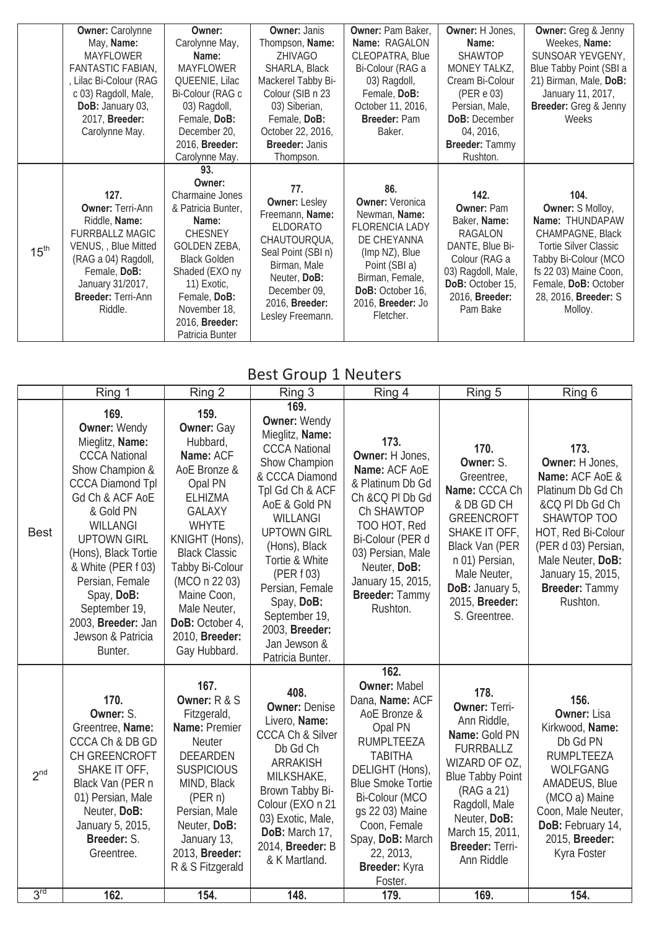|                  | <b>Owner: Carolynne</b>                                                                                                                                                                               | Owner:                                                                                                                                                                                                                                | <b>Owner: Janis</b>                                                                                                                                                                           | Owner: Pam Baker,                                                                                                                                                                                  | Owner: H Jones,                                                                                                                                                  | <b>Owner:</b> Greg & Jenny                                                                                                                                                                                         |
|------------------|-------------------------------------------------------------------------------------------------------------------------------------------------------------------------------------------------------|---------------------------------------------------------------------------------------------------------------------------------------------------------------------------------------------------------------------------------------|-----------------------------------------------------------------------------------------------------------------------------------------------------------------------------------------------|----------------------------------------------------------------------------------------------------------------------------------------------------------------------------------------------------|------------------------------------------------------------------------------------------------------------------------------------------------------------------|--------------------------------------------------------------------------------------------------------------------------------------------------------------------------------------------------------------------|
|                  | May, Name:                                                                                                                                                                                            | Carolynne May,                                                                                                                                                                                                                        | Thompson, Name:                                                                                                                                                                               | Name: RAGALON                                                                                                                                                                                      | Name:                                                                                                                                                            | Weekes, Name:                                                                                                                                                                                                      |
|                  | <b>MAYFLOWER</b>                                                                                                                                                                                      | Name:                                                                                                                                                                                                                                 | ZHIVAGO                                                                                                                                                                                       | CLEOPATRA, Blue                                                                                                                                                                                    | <b>SHAWTOP</b>                                                                                                                                                   | SUNSOAR YEVGENY,                                                                                                                                                                                                   |
|                  | FANTASTIC FABIAN,                                                                                                                                                                                     | <b>MAYFLOWER</b>                                                                                                                                                                                                                      | SHARLA, Black                                                                                                                                                                                 | Bi-Colour (RAG a                                                                                                                                                                                   | MONEY TALKZ,                                                                                                                                                     | Blue Tabby Point (SBI a                                                                                                                                                                                            |
|                  | , Lilac Bi-Colour (RAG                                                                                                                                                                                | QUEENIE, Lilac                                                                                                                                                                                                                        | Mackerel Tabby Bi-                                                                                                                                                                            | 03) Ragdoll,                                                                                                                                                                                       | Cream Bi-Colour                                                                                                                                                  | 21) Birman, Male, DoB:                                                                                                                                                                                             |
|                  | c 03) Ragdoll, Male,                                                                                                                                                                                  | Bi-Colour (RAG c                                                                                                                                                                                                                      | Colour (SIB n 23                                                                                                                                                                              | Female, DoB:                                                                                                                                                                                       | (PERe 03)                                                                                                                                                        | January 11, 2017,                                                                                                                                                                                                  |
|                  | DoB: January 03,                                                                                                                                                                                      | 03) Ragdoll,                                                                                                                                                                                                                          | 03) Siberian,                                                                                                                                                                                 | October 11, 2016,                                                                                                                                                                                  | Persian, Male,                                                                                                                                                   | Breeder: Greg & Jenny                                                                                                                                                                                              |
|                  | 2017, Breeder:                                                                                                                                                                                        | Female, DoB:                                                                                                                                                                                                                          | Female, DoB:                                                                                                                                                                                  | <b>Breeder: Pam</b>                                                                                                                                                                                | <b>DoB:</b> December                                                                                                                                             | Weeks                                                                                                                                                                                                              |
|                  | Carolynne May.                                                                                                                                                                                        | December 20,                                                                                                                                                                                                                          | October 22, 2016,                                                                                                                                                                             | Baker.                                                                                                                                                                                             | 04, 2016,                                                                                                                                                        |                                                                                                                                                                                                                    |
|                  |                                                                                                                                                                                                       | 2016, Breeder:                                                                                                                                                                                                                        | <b>Breeder: Janis</b>                                                                                                                                                                         |                                                                                                                                                                                                    | Breeder: Tammy                                                                                                                                                   |                                                                                                                                                                                                                    |
|                  |                                                                                                                                                                                                       | Carolynne May.                                                                                                                                                                                                                        | Thompson.                                                                                                                                                                                     |                                                                                                                                                                                                    | Rushton.                                                                                                                                                         |                                                                                                                                                                                                                    |
|                  |                                                                                                                                                                                                       | 93.                                                                                                                                                                                                                                   |                                                                                                                                                                                               |                                                                                                                                                                                                    |                                                                                                                                                                  |                                                                                                                                                                                                                    |
| 15 <sup>th</sup> | 127.<br><b>Owner: Terri-Ann</b><br>Riddle, Name:<br><b>FURRBALLZ MAGIC</b><br>VENUS, , Blue Mitted<br>(RAG a 04) Ragdoll,<br>Female, DoB:<br>January 31/2017,<br><b>Breeder: Terri-Ann</b><br>Riddle. | Owner:<br><b>Charmaine Jones</b><br>& Patricia Bunter,<br>Name:<br><b>CHESNEY</b><br><b>GOLDEN ZEBA,</b><br><b>Black Golden</b><br>Shaded (EXO ny<br>11) Exotic,<br>Female, DoB:<br>November 18,<br>2016, Breeder:<br>Patricia Bunter | 77.<br><b>Owner: Lesley</b><br>Freemann, Name:<br><b>ELDORATO</b><br>CHAUTOURQUA,<br>Seal Point (SBI n)<br>Birman, Male<br>Neuter, DoB:<br>December 09,<br>2016, Breeder:<br>Lesley Freemann. | 86.<br><b>Owner: Veronica</b><br>Newman, Name:<br><b>FLORENCIA LADY</b><br>DE CHEYANNA<br>(Imp NZ), Blue<br>Point (SBI a)<br>Birman, Female,<br>DoB: October 16,<br>2016, Breeder: Jo<br>Fletcher. | 142.<br><b>Owner: Pam</b><br>Baker, Name:<br>RAGALON<br>DANTE, Blue Bi-<br>Colour (RAG a<br>03) Ragdoll, Male,<br>DoB: October 15,<br>2016, Breeder:<br>Pam Bake | 104.<br><b>Owner: S Molloy,</b><br>Name: THUNDAPAW<br>CHAMPAGNE, Black<br><b>Tortie Silver Classic</b><br>Tabby Bi-Colour (MCO<br>fs 22 03) Maine Coon,<br>Female, DoB: October<br>28, 2016, Breeder: S<br>Molloy. |

#### Best Group 1 Neuters

|                 | Ring 1                                                                                                                                                                                                                                                                                                                                       | Ring 2                                                                                                                                                                                                                                                                                             | Ring 3                                                                                                                                                                                                                                                                                                                                   | Ring 4                                                                                                                                                                                                                                                                            | Ring 5                                                                                                                                                                                                                                 | Ring 6                                                                                                                                                                                                                        |
|-----------------|----------------------------------------------------------------------------------------------------------------------------------------------------------------------------------------------------------------------------------------------------------------------------------------------------------------------------------------------|----------------------------------------------------------------------------------------------------------------------------------------------------------------------------------------------------------------------------------------------------------------------------------------------------|------------------------------------------------------------------------------------------------------------------------------------------------------------------------------------------------------------------------------------------------------------------------------------------------------------------------------------------|-----------------------------------------------------------------------------------------------------------------------------------------------------------------------------------------------------------------------------------------------------------------------------------|----------------------------------------------------------------------------------------------------------------------------------------------------------------------------------------------------------------------------------------|-------------------------------------------------------------------------------------------------------------------------------------------------------------------------------------------------------------------------------|
| <b>Best</b>     | 169.<br><b>Owner: Wendy</b><br>Mieglitz, Name:<br><b>CCCA National</b><br>Show Champion &<br><b>CCCA Diamond Tpl</b><br>Gd Ch & ACF AoE<br>& Gold PN<br>WILLANGI<br><b>UPTOWN GIRL</b><br>(Hons), Black Tortie<br>& White (PER f 03)<br>Persian, Female<br>Spay, DoB:<br>September 19,<br>2003, Breeder: Jan<br>Jewson & Patricia<br>Bunter. | 159.<br><b>Owner: Gay</b><br>Hubbard,<br>Name: ACF<br>AoE Bronze &<br>Opal PN<br><b>ELHIZMA</b><br><b>GALAXY</b><br><b>WHYTE</b><br>KNIGHT (Hons),<br><b>Black Classic</b><br>Tabby Bi-Colour<br>(MCO n 22 03)<br>Maine Coon,<br>Male Neuter,<br>DoB: October 4,<br>2010, Breeder:<br>Gay Hubbard. | 169.<br><b>Owner: Wendy</b><br>Mieglitz, Name:<br><b>CCCA National</b><br>Show Champion<br>& CCCA Diamond<br>Tpl Gd Ch & ACF<br>AoE & Gold PN<br>WILLANGI<br><b>UPTOWN GIRL</b><br>(Hons), Black<br>Tortie & White<br>(PER f 03)<br>Persian, Female<br>Spay, DoB:<br>September 19,<br>2003, Breeder:<br>Jan Jewson &<br>Patricia Bunter. | 173.<br>Owner: H Jones,<br>Name: ACF AoE<br>& Platinum Db Gd<br>Ch &CQ PI Db Gd<br>Ch SHAWTOP<br>TOO HOT, Red<br>Bi-Colour (PER d<br>03) Persian, Male<br>Neuter, DoB:<br>January 15, 2015,<br>Breeder: Tammy<br>Rushton.                                                         | 170.<br>Owner: S.<br>Greentree,<br>Name: CCCA Ch<br>& DB GD CH<br><b>GREENCROFT</b><br>SHAKE IT OFF,<br><b>Black Van (PER</b><br>n 01) Persian,<br>Male Neuter,<br>DoB: January 5,<br>2015, Breeder:<br>S. Greentree.                  | 173.<br>Owner: H Jones,<br>Name: ACF AoE &<br>Platinum Db Gd Ch<br>&CQ PI Db Gd Ch<br>SHAWTOP TOO<br>HOT, Red Bi-Colour<br>(PER d 03) Persian,<br>Male Neuter, DoB:<br>January 15, 2015,<br><b>Breeder: Tammy</b><br>Rushton. |
| 2 <sup>nd</sup> | 170.<br>Owner: S.<br>Greentree, Name:<br>CCCA Ch & DB GD<br>CH GREENCROFT<br>SHAKE IT OFF,<br>Black Van (PER n<br>01) Persian, Male<br>Neuter, DoB:<br>January 5, 2015,<br>Breeder: S.<br>Greentree.                                                                                                                                         | 167.<br>Owner: R & S<br>Fitzgerald,<br>Name: Premier<br>Neuter<br><b>DEEARDEN</b><br><b>SUSPICIOUS</b><br>MIND, Black<br>(PER n)<br>Persian, Male<br>Neuter, DoB:<br>January 13,<br>2013, Breeder:<br>R & S Fitzgerald                                                                             | 408.<br><b>Owner: Denise</b><br>Livero, Name:<br><b>CCCA Ch &amp; Silver</b><br>Db Gd Ch<br>ARRAKISH<br>MILKSHAKE,<br>Brown Tabby Bi-<br>Colour (EXO n 21<br>03) Exotic, Male,<br>DoB: March 17,<br>2014, Breeder: B<br>& K Martland.                                                                                                    | 162.<br><b>Owner: Mabel</b><br>Dana, Name: ACF<br>AoE Bronze &<br>Opal PN<br><b>RUMPLTEEZA</b><br><b>TABITHA</b><br>DELIGHT (Hons),<br><b>Blue Smoke Tortie</b><br>Bi-Colour (MCO<br>gs 22 03) Maine<br>Coon, Female<br>Spay, DoB: March<br>22, 2013,<br>Breeder: Kyra<br>Foster. | 178.<br><b>Owner: Terri-</b><br>Ann Riddle,<br>Name: Gold PN<br><b>FURRBALLZ</b><br>WIZARD OF OZ,<br><b>Blue Tabby Point</b><br>(RAG a 21)<br>Ragdoll, Male<br>Neuter, DoB:<br>March 15, 2011,<br><b>Breeder: Terri-</b><br>Ann Riddle | 156.<br><b>Owner: Lisa</b><br>Kirkwood, Name:<br>Db Gd PN<br><b>RUMPLTEEZA</b><br><b>WOLFGANG</b><br>AMADEUS, Blue<br>(MCO a) Maine<br>Coon, Male Neuter,<br>DoB: February 14,<br>2015, Breeder:<br>Kyra Foster               |
| 3 <sup>rd</sup> | 162.                                                                                                                                                                                                                                                                                                                                         | 154.                                                                                                                                                                                                                                                                                               | 148.                                                                                                                                                                                                                                                                                                                                     | 179.                                                                                                                                                                                                                                                                              | 169.                                                                                                                                                                                                                                   | 154.                                                                                                                                                                                                                          |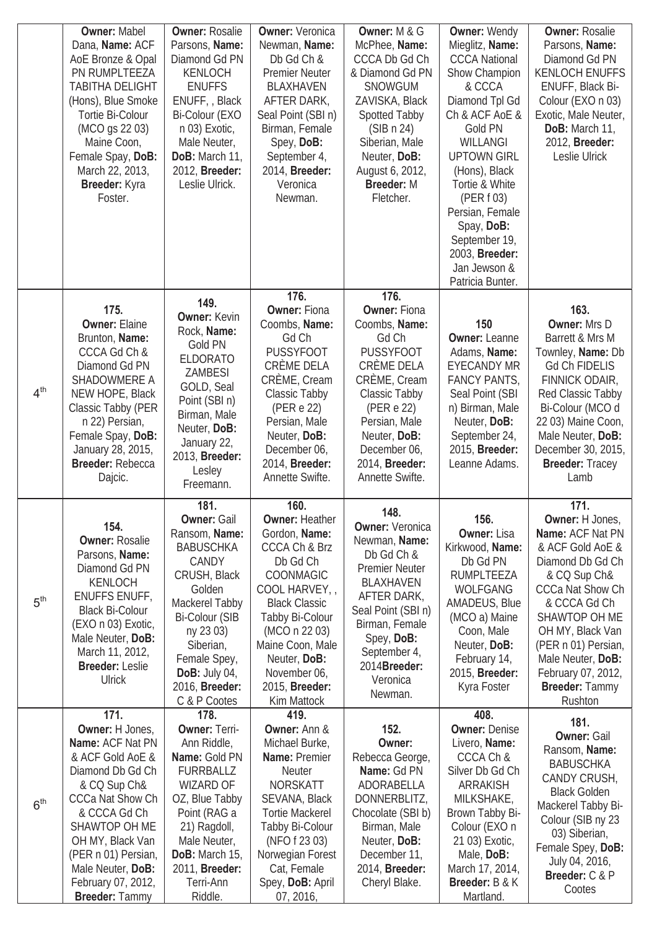|                 | <b>Owner: Mabel</b><br>Dana, Name: ACF<br>AoE Bronze & Opal<br>PN RUMPLTEEZA<br><b>TABITHA DELIGHT</b><br>(Hons), Blue Smoke<br>Tortie Bi-Colour<br>(MCO gs 22 03)<br>Maine Coon,<br>Female Spay, DoB:<br>March 22, 2013,<br>Breeder: Kyra<br>Foster.                          | <b>Owner: Rosalie</b><br>Parsons, Name:<br>Diamond Gd PN<br>KENLOCH<br><b>ENUFFS</b><br>ENUFF, Black<br>Bi-Colour (EXO<br>n 03) Exotic,<br>Male Neuter,<br>DoB: March 11,<br>2012, Breeder:<br>Leslie Ulrick.                                     | <b>Owner: Veronica</b><br>Newman, Name:<br>Db Gd Ch &<br><b>Premier Neuter</b><br><b>BLAXHAVEN</b><br>AFTER DARK,<br>Seal Point (SBI n)<br>Birman, Female<br>Spey, DoB:<br>September 4,<br>2014, Breeder:<br>Veronica<br>Newman.<br>176.                         | Owner: M & G<br>McPhee, Name:<br>CCCA Db Gd Ch<br>& Diamond Gd PN<br><b>SNOWGUM</b><br>ZAVISKA, Black<br>Spotted Tabby<br>(SIB n 24)<br>Siberian, Male<br>Neuter, DoB:<br>August 6, 2012,<br><b>Breeder: M</b><br>Fletcher.<br>176. | <b>Owner: Wendy</b><br>Mieglitz, Name:<br><b>CCCA National</b><br>Show Champion<br>& CCCA<br>Diamond Tpl Gd<br>Ch & ACF AoE &<br>Gold PN<br><b>WILLANGI</b><br><b>UPTOWN GIRL</b><br>(Hons), Black<br>Tortie & White<br>(PER f 03)<br>Persian, Female<br>Spay, DoB:<br>September 19,<br>2003, Breeder:<br>Jan Jewson &<br>Patricia Bunter. | <b>Owner: Rosalie</b><br>Parsons, Name:<br>Diamond Gd PN<br><b>KENLOCH ENUFFS</b><br>ENUFF, Black Bi-<br>Colour (EXO n 03)<br>Exotic, Male Neuter,<br>DoB: March 11,<br>2012, Breeder:<br>Leslie Ulrick                                                                     |
|-----------------|--------------------------------------------------------------------------------------------------------------------------------------------------------------------------------------------------------------------------------------------------------------------------------|---------------------------------------------------------------------------------------------------------------------------------------------------------------------------------------------------------------------------------------------------|------------------------------------------------------------------------------------------------------------------------------------------------------------------------------------------------------------------------------------------------------------------|-------------------------------------------------------------------------------------------------------------------------------------------------------------------------------------------------------------------------------------|--------------------------------------------------------------------------------------------------------------------------------------------------------------------------------------------------------------------------------------------------------------------------------------------------------------------------------------------|-----------------------------------------------------------------------------------------------------------------------------------------------------------------------------------------------------------------------------------------------------------------------------|
| 4 <sup>th</sup> | 175.<br><b>Owner: Elaine</b><br>Brunton, Name:<br>CCCA Gd Ch &<br>Diamond Gd PN<br>SHADOWMERE A<br>NEW HOPE, Black<br>Classic Tabby (PER<br>n 22) Persian,<br>Female Spay, DoB:<br>January 28, 2015,<br><b>Breeder: Rebecca</b><br>Dajcic.                                     | 149.<br><b>Owner: Kevin</b><br>Rock, Name:<br>Gold PN<br><b>ELDORATO</b><br><b>ZAMBESI</b><br>GOLD, Seal<br>Point (SBI n)<br>Birman, Male<br>Neuter, DoB:<br>January 22,<br>2013, Breeder:<br>Lesley<br>Freemann.                                 | <b>Owner: Fiona</b><br>Coombs, Name:<br>Gd Ch<br><b>PUSSYFOOT</b><br>CRÈME DELA<br>CRÈME, Cream<br>Classic Tabby<br>(PER e 22)<br>Persian, Male<br>Neuter, DoB:<br>December 06,<br>2014, Breeder:<br>Annette Swifte.                                             | <b>Owner: Fiona</b><br>Coombs, Name:<br>Gd Ch<br><b>PUSSYFOOT</b><br>CRÈME DELA<br>CRÈME, Cream<br>Classic Tabby<br>(PER e 22)<br>Persian, Male<br>Neuter, DoB:<br>December 06,<br>2014, Breeder:<br>Annette Swifte.                | 150<br><b>Owner: Leanne</b><br>Adams, Name:<br><b>EYECANDY MR</b><br><b>FANCY PANTS,</b><br>Seal Point (SBI<br>n) Birman, Male<br>Neuter, DoB:<br>September 24,<br>2015, Breeder:<br>Leanne Adams.                                                                                                                                         | 163.<br>Owner: Mrs D<br>Barrett & Mrs M<br>Townley, Name: Db<br><b>Gd Ch FIDELIS</b><br>FINNICK ODAIR,<br>Red Classic Tabby<br>Bi-Colour (MCO d<br>22 03) Maine Coon,<br>Male Neuter, DoB:<br>December 30, 2015,<br><b>Breeder: Tracey</b><br>Lamb                          |
| 5 <sup>th</sup> | 154.<br><b>Owner: Rosalie</b><br>Parsons, Name:<br>Diamond Gd PN<br>KENLOCH<br><b>ENUFFS ENUFF,</b><br><b>Black Bi-Colour</b><br>(EXO n 03) Exotic,<br>Male Neuter, DoB:<br>March 11, 2012,<br><b>Breeder: Leslie</b><br><b>Ulrick</b>                                         | 181.<br><b>Owner: Gail</b><br>Ransom, Name:<br><b>BABUSCHKA</b><br>CANDY<br>CRUSH, Black<br>Golden<br>Mackerel Tabby<br><b>Bi-Colour (SIB</b><br>ny 23 03)<br>Siberian,<br>Female Spey,<br><b>DoB:</b> July 04,<br>2016, Breeder:<br>C & P Cootes | 160.<br><b>Owner: Heather</b><br>Gordon, Name:<br>CCCA Ch & Brz<br>Db Gd Ch<br>COONMAGIC<br>COOL HARVEY,<br><b>Black Classic</b><br>Tabby Bi-Colour<br>(MCO n 22 03)<br>Maine Coon, Male<br>Neuter, DoB:<br>November 06,<br>2015, <b>Breeder:</b><br>Kim Mattock | 148.<br><b>Owner: Veronica</b><br>Newman, Name:<br>Db Gd Ch &<br><b>Premier Neuter</b><br>BLAXHAVEN<br>AFTER DARK,<br>Seal Point (SBI n)<br>Birman, Female<br>Spey, DoB:<br>September 4,<br>2014Breeder:<br>Veronica<br>Newman.     | 156.<br><b>Owner: Lisa</b><br>Kirkwood, Name:<br>Db Gd PN<br><b>RUMPLTEEZA</b><br><b>WOLFGANG</b><br>AMADEUS, Blue<br>(MCO a) Maine<br>Coon, Male<br>Neuter, DoB:<br>February 14,<br>2015, <b>Breeder:</b><br>Kyra Foster                                                                                                                  | 171.<br>Owner: H Jones,<br>Name: ACF Nat PN<br>& ACF Gold AoE &<br>Diamond Db Gd Ch<br>& CQ Sup Ch&<br>CCCa Nat Show Ch<br>& CCCA Gd Ch<br>SHAWTOP OH ME<br>OH MY, Black Van<br>(PER n 01) Persian,<br>Male Neuter, DoB:<br>February 07, 2012,<br>Breeder: Tammy<br>Rushton |
| 6 <sup>th</sup> | 171.<br>Owner: H Jones,<br>Name: ACF Nat PN<br>& ACF Gold AoE &<br>Diamond Db Gd Ch<br>& CQ Sup Ch&<br><b>CCCa Nat Show Ch</b><br>& CCCA Gd Ch<br>SHAWTOP OH ME<br>OH MY, Black Van<br>(PER n 01) Persian,<br>Male Neuter, DoB:<br>February 07, 2012,<br><b>Breeder: Tammy</b> | 178.<br><b>Owner: Terri-</b><br>Ann Riddle,<br>Name: Gold PN<br><b>FURRBALLZ</b><br><b>WIZARD OF</b><br>OZ, Blue Tabby<br>Point (RAG a<br>21) Ragdoll,<br>Male Neuter,<br>DoB: March 15,<br>2011, Breeder:<br>Terri-Ann<br>Riddle.                | 419.<br><b>Owner: Ann &amp;</b><br>Michael Burke,<br>Name: Premier<br><b>Neuter</b><br><b>NORSKATT</b><br>SEVANA, Black<br><b>Tortie Mackerel</b><br>Tabby Bi-Colour<br>(NFO f 23 03)<br>Norwegian Forest<br>Cat, Female<br>Spey, DoB: April<br>07, 2016,        | 152.<br>Owner:<br>Rebecca George,<br>Name: Gd PN<br>ADORABELLA<br>DONNERBLITZ,<br>Chocolate (SBI b)<br>Birman, Male<br>Neuter, DoB:<br>December 11,<br>2014, Breeder:<br>Cheryl Blake.                                              | 408.<br><b>Owner: Denise</b><br>Livero, Name:<br>CCCA Ch &<br>Silver Db Gd Ch<br>ARRAKISH<br>MILKSHAKE,<br>Brown Tabby Bi-<br>Colour (EXO n<br>21 03) Exotic,<br>Male, DoB:<br>March 17, 2014,<br>Breeder: B & K<br>Martland.                                                                                                              | 181.<br><b>Owner: Gail</b><br>Ransom, Name:<br><b>BABUSCHKA</b><br>CANDY CRUSH,<br><b>Black Golden</b><br>Mackerel Tabby Bi-<br>Colour (SIB ny 23<br>03) Siberian,<br>Female Spey, DoB:<br>July 04, 2016,<br>Breeder: C & P<br>Cootes                                       |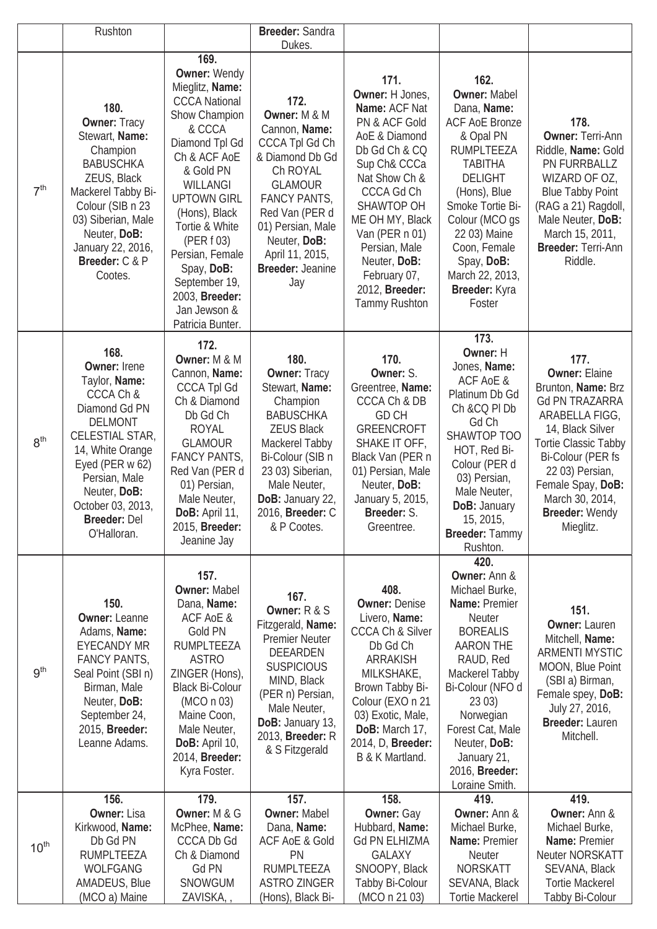|                  | Rushton                                                                                                                                                                                                                                     |                                                                                                                                                                                                                                                                                                                                             | Breeder: Sandra<br>Dukes.                                                                                                                                                                                                                          |                                                                                                                                                                                                                                                                                                        |                                                                                                                                                                                                                                                                                             |                                                                                                                                                                                                                                                                 |
|------------------|---------------------------------------------------------------------------------------------------------------------------------------------------------------------------------------------------------------------------------------------|---------------------------------------------------------------------------------------------------------------------------------------------------------------------------------------------------------------------------------------------------------------------------------------------------------------------------------------------|----------------------------------------------------------------------------------------------------------------------------------------------------------------------------------------------------------------------------------------------------|--------------------------------------------------------------------------------------------------------------------------------------------------------------------------------------------------------------------------------------------------------------------------------------------------------|---------------------------------------------------------------------------------------------------------------------------------------------------------------------------------------------------------------------------------------------------------------------------------------------|-----------------------------------------------------------------------------------------------------------------------------------------------------------------------------------------------------------------------------------------------------------------|
| 7 <sup>th</sup>  | 180.<br><b>Owner: Tracy</b><br>Stewart, Name:<br>Champion<br><b>BABUSCHKA</b><br>ZEUS, Black<br>Mackerel Tabby Bi-<br>Colour (SIB n 23<br>03) Siberian, Male<br>Neuter, DoB:<br>January 22, 2016,<br>Breeder: C & P<br>Cootes.              | 169.<br><b>Owner: Wendy</b><br>Mieglitz, Name:<br><b>CCCA National</b><br>Show Champion<br>& CCCA<br>Diamond Tpl Gd<br>Ch & ACF AoE<br>& Gold PN<br>WILLANGI<br><b>UPTOWN GIRL</b><br>(Hons), Black<br>Tortie & White<br>(PER f 03)<br>Persian, Female<br>Spay, DoB:<br>September 19,<br>2003, Breeder:<br>Jan Jewson &<br>Patricia Bunter. | 172.<br>Owner: M & M<br>Cannon, Name:<br><b>CCCA Tpl Gd Ch</b><br>& Diamond Db Gd<br>Ch ROYAL<br><b>GLAMOUR</b><br><b>FANCY PANTS,</b><br>Red Van (PER d<br>01) Persian, Male<br>Neuter, DoB:<br>April 11, 2015,<br><b>Breeder: Jeanine</b><br>Jay | 171.<br>Owner: H Jones,<br><b>Name: ACF Nat</b><br>PN & ACF Gold<br>AoE & Diamond<br>Db Gd Ch & CQ<br>Sup Ch& CCCa<br>Nat Show Ch &<br><b>CCCA Gd Ch</b><br>SHAWTOP OH<br>ME OH MY, Black<br>Van (PER n 01)<br>Persian, Male<br>Neuter, DoB:<br>February 07,<br>2012, Breeder:<br><b>Tammy Rushton</b> | 162.<br><b>Owner: Mabel</b><br>Dana, Name:<br><b>ACF AoE Bronze</b><br>& Opal PN<br><b>RUMPLTEEZA</b><br><b>TABITHA</b><br><b>DELIGHT</b><br>(Hons), Blue<br>Smoke Tortie Bi-<br>Colour (MCO gs<br>22 03) Maine<br>Coon, Female<br>Spay, DoB:<br>March 22, 2013,<br>Breeder: Kyra<br>Foster | 178.<br><b>Owner: Terri-Ann</b><br>Riddle, Name: Gold<br>PN FURRBALLZ<br>WIZARD OF OZ,<br><b>Blue Tabby Point</b><br>(RAG a 21) Ragdoll,<br>Male Neuter, DoB:<br>March 15, 2011,<br>Breeder: Terri-Ann<br>Riddle.                                               |
| 8 <sup>th</sup>  | 168.<br><b>Owner: Irene</b><br>Taylor, Name:<br>CCCA Ch &<br>Diamond Gd PN<br><b>DELMONT</b><br>CELESTIAL STAR,<br>14, White Orange<br>Eyed (PER w 62)<br>Persian, Male<br>Neuter, DoB:<br>October 03, 2013,<br>Breeder: Del<br>O'Halloran. | 172.<br>Owner: M & M<br>Cannon, Name:<br><b>CCCA Tpl Gd</b><br>Ch & Diamond<br>Db Gd Ch<br><b>ROYAL</b><br><b>GLAMOUR</b><br><b>FANCY PANTS,</b><br>Red Van (PER d<br>01) Persian,<br>Male Neuter,<br>DoB: April 11,<br>2015, Breeder:<br>Jeanine Jay                                                                                       | 180.<br><b>Owner: Tracy</b><br>Stewart, Name:<br>Champion<br><b>BABUSCHKA</b><br><b>ZEUS Black</b><br>Mackerel Tabby<br>Bi-Colour (SIB n<br>23 03) Siberian,<br>Male Neuter,<br>DoB: January 22,<br>2016, <b>Breeder:</b> C<br>& P Cootes.         | 170.<br>Owner: S.<br>Greentree, Name:<br>CCCA Ch & DB<br><b>GD CH</b><br><b>GREENCROFT</b><br>SHAKE IT OFF,<br>Black Van (PER n<br>01) Persian, Male<br>Neuter, DoB:<br>January 5, 2015,<br><b>Breeder:</b> S<br>Greentree.                                                                            | 173.<br>Owner: H<br>Jones, Name:<br>ACF AoE &<br>Platinum Db Gd<br>Ch &CQ PI Db<br>Gd Ch<br>SHAWTOP TOO<br>HOT, Red Bi-<br>Colour (PER d<br>03) Persian,<br>Male Neuter,<br>DoB: January<br>15, 2015,<br>Breeder: Tammy<br>Rushton.                                                         | 177.<br><b>Owner: Elaine</b><br>Brunton, Name: Brz<br><b>Gd PN TRAZARRA</b><br>ARABELLA FIGG,<br>14, Black Silver<br><b>Tortie Classic Tabby</b><br>Bi-Colour (PER fs<br>22 03) Persian,<br>Female Spay, DoB:<br>March 30, 2014,<br>Breeder: Wendy<br>Mieglitz. |
| 9 <sup>th</sup>  | 150.<br><b>Owner: Leanne</b><br>Adams, Name:<br><b>EYECANDY MR</b><br><b>FANCY PANTS,</b><br>Seal Point (SBI n)<br>Birman, Male<br>Neuter, DoB:<br>September 24,<br>2015, Breeder:<br>Leanne Adams.                                         | 157.<br><b>Owner: Mabel</b><br>Dana, Name:<br>ACF AoE &<br>Gold PN<br><b>RUMPLTEEZA</b><br><b>ASTRO</b><br>ZINGER (Hons),<br><b>Black Bi-Colour</b><br>(MCO n 03)<br>Maine Coon,<br>Male Neuter,<br>DoB: April 10,<br>2014, Breeder:<br>Kyra Foster.                                                                                        | 167.<br>Owner: $R & S$<br>Fitzgerald, Name:<br><b>Premier Neuter</b><br><b>DEEARDEN</b><br><b>SUSPICIOUS</b><br>MIND, Black<br>(PER n) Persian,<br>Male Neuter,<br>DoB: January 13,<br>2013, <b>Breeder:</b> R<br>& S Fitzgerald                   | 408.<br><b>Owner: Denise</b><br>Livero, Name:<br><b>CCCA Ch &amp; Silver</b><br>Db Gd Ch<br><b>ARRAKISH</b><br>MILKSHAKE,<br>Brown Tabby Bi-<br>Colour (EXO n 21<br>03) Exotic, Male,<br>DoB: March 17,<br>2014, D, Breeder:<br>B & K Martland.                                                        | 420.<br>Owner: Ann &<br>Michael Burke,<br><b>Name: Premier</b><br><b>Neuter</b><br><b>BOREALIS</b><br><b>AARON THE</b><br>RAUD, Red<br>Mackerel Tabby<br>Bi-Colour (NFO d<br>2303)<br>Norwegian<br>Forest Cat, Male<br>Neuter, DoB:<br>January 21,<br>2016, Breeder:<br>Loraine Smith.      | 151.<br><b>Owner: Lauren</b><br>Mitchell, Name:<br><b>ARMENTI MYSTIC</b><br>MOON, Blue Point<br>(SBI a) Birman,<br>Female spey, DoB:<br>July 27, 2016,<br>Breeder: Lauren<br>Mitchell.                                                                          |
| 10 <sup>th</sup> | 156.<br><b>Owner: Lisa</b><br>Kirkwood, Name:<br>Db Gd PN<br><b>RUMPLTEEZA</b><br><b>WOLFGANG</b><br>AMADEUS, Blue<br>(MCO a) Maine                                                                                                         | 179.<br>Owner: M & G<br>McPhee, Name:<br><b>CCCA Db Gd</b><br>Ch & Diamond<br>Gd PN<br>SNOWGUM<br>ZAVISKA,                                                                                                                                                                                                                                  | 157.<br><b>Owner: Mabel</b><br>Dana, Name:<br><b>ACF AoE &amp; Gold</b><br>PN<br><b>RUMPLTEEZA</b><br><b>ASTRO ZINGER</b><br>(Hons), Black Bi-                                                                                                     | 158.<br>Owner: Gay<br>Hubbard, Name:<br><b>Gd PN ELHIZMA</b><br><b>GALAXY</b><br>SNOOPY, Black<br>Tabby Bi-Colour<br>(MCO n 21 03)                                                                                                                                                                     | 419.<br><b>Owner: Ann &amp;</b><br>Michael Burke,<br><b>Name: Premier</b><br><b>Neuter</b><br><b>NORSKATT</b><br>SEVANA, Black<br><b>Tortie Mackerel</b>                                                                                                                                    | 419.<br><b>Owner: Ann &amp;</b><br>Michael Burke,<br><b>Name: Premier</b><br>Neuter NORSKATT<br>SEVANA, Black<br><b>Tortie Mackerel</b><br>Tabby Bi-Colour                                                                                                      |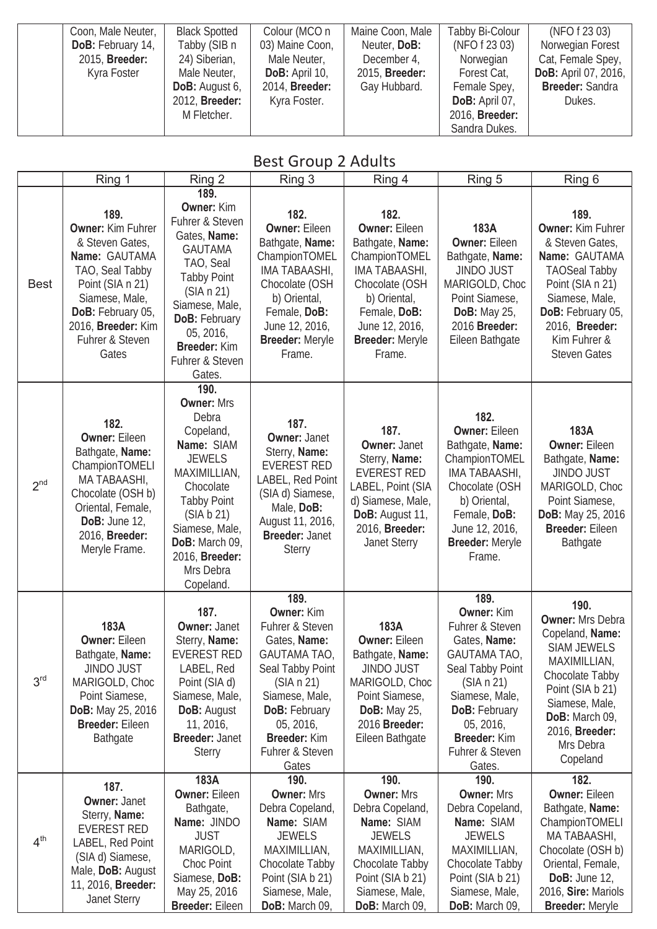| Coon, Male Neuter,    | <b>Black Spotted</b>  | Colour (MCO n   | Maine Coon, Male      | Tabby Bi-Colour | (NFO f 23 03)               |
|-----------------------|-----------------------|-----------------|-----------------------|-----------------|-----------------------------|
| DoB: February 14,     | Tabby (SIB n          | 03) Maine Coon, | Neuter, DoB:          | (NFO f 23 03)   | Norwegian Forest            |
| 2015, <b>Breeder:</b> | 24) Siberian,         | Male Neuter,    | December 4,           | Norwegian       | Cat, Female Spey,           |
| Kyra Foster           | Male Neuter,          | DoB: April 10,  | 2015, <b>Breeder:</b> | Forest Cat,     | <b>DoB:</b> April 07, 2016, |
|                       | <b>DoB:</b> August 6, | 2014, Breeder:  | Gay Hubbard.          | Female Spey,    | <b>Breeder: Sandra</b>      |
|                       | 2012, Breeder:        | Kyra Foster.    |                       | DoB: April 07,  | Dukes.                      |
|                       | M Fletcher.           |                 |                       | 2016, Breeder:  |                             |
|                       |                       |                 |                       | Sandra Dukes.   |                             |

#### Best Group 2 Adults

|                 | Ring 1                                                                                                                                                                                        | Ring 2                                                                                                                                                                                                                          | Ring 3                                                                                                                                                                                                                          | Ring 4                                                                                                                                                                                    | Ring 5                                                                                                                                                                                                      | Ring 6                                                                                                                                                                                                           |
|-----------------|-----------------------------------------------------------------------------------------------------------------------------------------------------------------------------------------------|---------------------------------------------------------------------------------------------------------------------------------------------------------------------------------------------------------------------------------|---------------------------------------------------------------------------------------------------------------------------------------------------------------------------------------------------------------------------------|-------------------------------------------------------------------------------------------------------------------------------------------------------------------------------------------|-------------------------------------------------------------------------------------------------------------------------------------------------------------------------------------------------------------|------------------------------------------------------------------------------------------------------------------------------------------------------------------------------------------------------------------|
|                 |                                                                                                                                                                                               | 189.                                                                                                                                                                                                                            |                                                                                                                                                                                                                                 |                                                                                                                                                                                           |                                                                                                                                                                                                             |                                                                                                                                                                                                                  |
| <b>Best</b>     | 189.<br>Owner: Kim Fuhrer<br>& Steven Gates,<br>Name: GAUTAMA<br>TAO, Seal Tabby<br>Point (SIA n 21)<br>Siamese, Male,<br>DoB: February 05,<br>2016, Breeder: Kim<br>Fuhrer & Steven<br>Gates | <b>Owner: Kim</b><br>Fuhrer & Steven<br>Gates, Name:<br><b>GAUTAMA</b><br>TAO, Seal<br><b>Tabby Point</b><br>(SIA n 21)<br>Siamese, Male,<br><b>DoB: February</b><br>05, 2016,<br>Breeder: Kim<br>Fuhrer & Steven<br>Gates.     | 182.<br><b>Owner: Eileen</b><br>Bathgate, Name:<br>ChampionTOMEL<br>IMA TABAASHI,<br>Chocolate (OSH<br>b) Oriental,<br>Female, DoB:<br>June 12, 2016,<br><b>Breeder: Meryle</b><br>Frame.                                       | 182.<br><b>Owner: Eileen</b><br>Bathgate, Name:<br>ChampionTOMEL<br>IMA TABAASHI,<br>Chocolate (OSH<br>b) Oriental,<br>Female, DoB:<br>June 12, 2016,<br><b>Breeder: Meryle</b><br>Frame. | 183A<br><b>Owner: Eileen</b><br>Bathgate, Name:<br><b>JINDO JUST</b><br>MARIGOLD, Choc<br>Point Siamese,<br><b>DoB:</b> May 25,<br>2016 Breeder:<br>Eileen Bathgate                                         | 189.<br><b>Owner: Kim Fuhrer</b><br>& Steven Gates,<br>Name: GAUTAMA<br><b>TAOSeal Tabby</b><br>Point (SIA n 21)<br>Siamese, Male,<br>DoB: February 05,<br>2016, Breeder:<br>Kim Fuhrer &<br><b>Steven Gates</b> |
| 2 <sup>nd</sup> | 182.<br><b>Owner: Eileen</b><br>Bathgate, Name:<br>ChampionTOMELI<br>MA TABAASHI,<br>Chocolate (OSH b)<br>Oriental, Female,<br>DoB: June $12$ ,<br>2016, Breeder:<br>Meryle Frame.            | 190.<br><b>Owner: Mrs</b><br>Debra<br>Copeland,<br>Name: SIAM<br><b>JEWELS</b><br>MAXIMILLIAN,<br>Chocolate<br><b>Tabby Point</b><br>(SIA b 21)<br>Siamese, Male,<br>DoB: March 09,<br>2016, Breeder:<br>Mrs Debra<br>Copeland. | 187.<br><b>Owner: Janet</b><br>Sterry, Name:<br><b>EVEREST RED</b><br>LABEL, Red Point<br>(SIA d) Siamese,<br>Male, DoB:<br>August 11, 2016,<br><b>Breeder: Janet</b><br><b>Sterry</b>                                          | 187.<br><b>Owner: Janet</b><br>Sterry, Name:<br><b>EVEREST RED</b><br>LABEL, Point (SIA<br>d) Siamese, Male,<br>DoB: August 11,<br>2016, Breeder:<br><b>Janet Sterry</b>                  | 182.<br><b>Owner: Eileen</b><br>Bathgate, Name:<br>ChampionTOMEL<br>IMA TABAASHI,<br>Chocolate (OSH<br>b) Oriental,<br>Female, DoB:<br>June 12, 2016,<br><b>Breeder: Meryle</b><br>Frame.                   | 183A<br><b>Owner: Eileen</b><br>Bathgate, Name:<br><b>JINDO JUST</b><br>MARIGOLD, Choc<br>Point Siamese,<br><b>DoB:</b> May 25, 2016<br><b>Breeder: Eileen</b><br>Bathgate                                       |
| 3 <sup>rd</sup> | 183A<br><b>Owner: Eileen</b><br>Bathgate, Name:<br><b>JINDO JUST</b><br>MARIGOLD, Choc<br>Point Siamese,<br><b>DoB:</b> May 25, 2016<br><b>Breeder: Eileen</b><br><b>Bathgate</b>             | 187.<br><b>Owner: Janet</b><br>Sterry, Name:<br><b>EVEREST RED</b><br>LABEL, Red<br>Point (SIA d)<br>Siamese, Male,<br><b>DoB: August</b><br>11, 2016,<br><b>Breeder: Janet</b><br><b>Sterry</b>                                | 189.<br><b>Owner: Kim</b><br>Fuhrer & Steven<br>Gates, Name:<br><b>GAUTAMA TAO,</b><br>Seal Tabby Point<br>(SIA n 21)<br>Siamese, Male,<br><b>DoB: February</b><br>05, 2016,<br><b>Breeder: Kim</b><br>Fuhrer & Steven<br>Gates | 183A<br><b>Owner: Eileen</b><br>Bathgate, Name:<br><b>JINDO JUST</b><br>MARIGOLD, Choc<br>Point Siamese,<br><b>DoB:</b> May 25,<br>2016 Breeder:<br>Eileen Bathgate                       | 189.<br><b>Owner: Kim</b><br>Fuhrer & Steven<br>Gates, Name:<br>GAUTAMA TAO,<br>Seal Tabby Point<br>(SIA n 21)<br>Siamese, Male,<br>DoB: February<br>05, 2016,<br>Breeder: Kim<br>Fuhrer & Steven<br>Gates. | 190.<br><b>Owner: Mrs Debra</b><br>Copeland, Name:<br><b>SIAM JEWELS</b><br>MAXIMILLIAN,<br>Chocolate Tabby<br>Point (SIA b 21)<br>Siamese, Male,<br>DoB: March 09,<br>2016, Breeder:<br>Mrs Debra<br>Copeland   |
| 4 <sup>th</sup> | 187.<br><b>Owner: Janet</b><br>Sterry, Name:<br><b>EVEREST RED</b><br>LABEL, Red Point<br>(SIA d) Siamese,<br>Male, DoB: August<br>11, 2016, Breeder:<br><b>Janet Sterry</b>                  | 183A<br><b>Owner: Eileen</b><br>Bathgate,<br>Name: JINDO<br><b>JUST</b><br>MARIGOLD,<br>Choc Point<br>Siamese, DoB:<br>May 25, 2016<br><b>Breeder: Eileen</b>                                                                   | 190.<br><b>Owner: Mrs</b><br>Debra Copeland,<br>Name: SIAM<br><b>JEWELS</b><br>MAXIMILLIAN,<br>Chocolate Tabby<br>Point (SIA b 21)<br>Siamese, Male,<br>DoB: March 09,                                                          | 190.<br><b>Owner: Mrs</b><br>Debra Copeland,<br>Name: SIAM<br><b>JEWELS</b><br>MAXIMILLIAN,<br>Chocolate Tabby<br>Point (SIA b 21)<br>Siamese, Male,<br>DoB: March 09,                    | 190.<br><b>Owner: Mrs</b><br>Debra Copeland,<br>Name: SIAM<br><b>JEWELS</b><br>MAXIMILLIAN,<br>Chocolate Tabby<br>Point (SIA b 21)<br>Siamese, Male,<br>DoB: March 09,                                      | 182.<br><b>Owner: Eileen</b><br>Bathgate, Name:<br>ChampionTOMELI<br>MA TABAASHI,<br>Chocolate (OSH b)<br>Oriental, Female,<br>DoB: June $12$ ,<br>2016, Sire: Mariols<br><b>Breeder: Meryle</b>                 |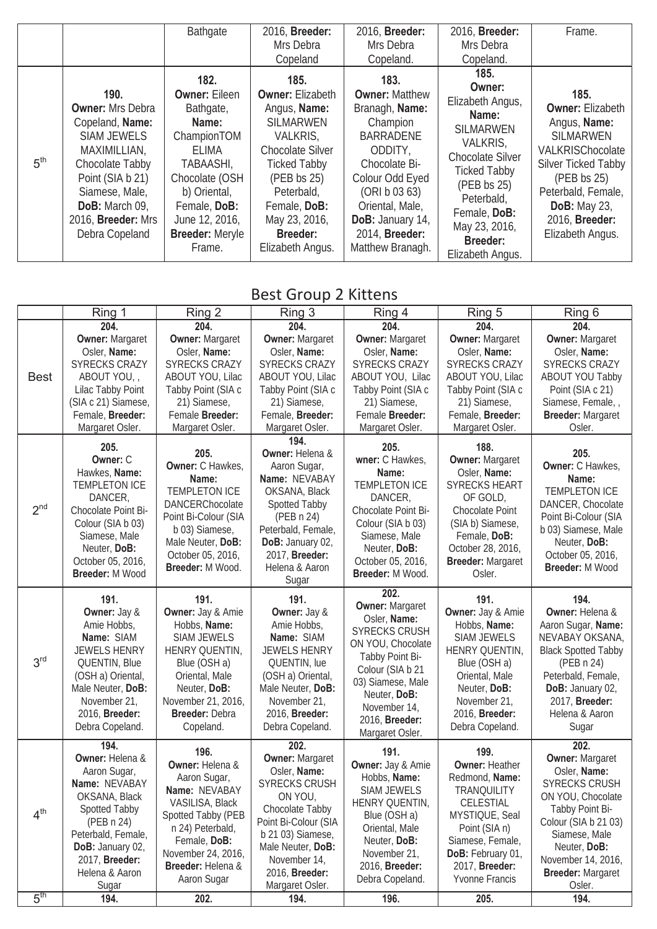|                 |                                                                                                                                                                                                             | <b>Bathgate</b>                                                                                                                                                                       | 2016, Breeder:                                                                                                                                                                                              | 2016, Breeder:                                                                                                                                                                                           | 2016, Breeder:                                                                                                                                                                                                 | Frame.                                                                                                                                                                                                           |
|-----------------|-------------------------------------------------------------------------------------------------------------------------------------------------------------------------------------------------------------|---------------------------------------------------------------------------------------------------------------------------------------------------------------------------------------|-------------------------------------------------------------------------------------------------------------------------------------------------------------------------------------------------------------|----------------------------------------------------------------------------------------------------------------------------------------------------------------------------------------------------------|----------------------------------------------------------------------------------------------------------------------------------------------------------------------------------------------------------------|------------------------------------------------------------------------------------------------------------------------------------------------------------------------------------------------------------------|
|                 |                                                                                                                                                                                                             |                                                                                                                                                                                       | Mrs Debra                                                                                                                                                                                                   | Mrs Debra                                                                                                                                                                                                | Mrs Debra                                                                                                                                                                                                      |                                                                                                                                                                                                                  |
|                 |                                                                                                                                                                                                             |                                                                                                                                                                                       | Copeland                                                                                                                                                                                                    | Copeland.                                                                                                                                                                                                | Copeland.                                                                                                                                                                                                      |                                                                                                                                                                                                                  |
| 5 <sup>th</sup> | 190.<br><b>Owner: Mrs Debra</b><br>Copeland, Name:<br><b>SIAM JEWELS</b><br>MAXIMILLIAN,<br>Chocolate Tabby<br>Point (SIA b 21)<br>Siamese, Male,<br>DoB: March 09,<br>2016, Breeder: Mrs<br>Debra Copeland | 182.<br><b>Owner: Eileen</b><br>Bathgate,<br>Name:<br>ChampionTOM<br>ELIMA<br>TABAASHI,<br>Chocolate (OSH<br>b) Oriental,<br>Female, DoB:<br>June 12, 2016,<br><b>Breeder: Meryle</b> | 185.<br><b>Owner: Elizabeth</b><br>Angus, Name:<br><b>SILMARWEN</b><br>VALKRIS,<br><b>Chocolate Silver</b><br><b>Ticked Tabby</b><br>(PEB bs 25)<br>Peterbald,<br>Female, DoB:<br>May 23, 2016,<br>Breeder: | 183.<br><b>Owner: Matthew</b><br>Branagh, Name:<br>Champion<br><b>BARRADENE</b><br>ODDITY,<br>Chocolate Bi-<br>Colour Odd Eyed<br>(ORI b 03 63)<br>Oriental, Male,<br>DoB: January 14,<br>2014, Breeder: | 185.<br>Owner:<br>Elizabeth Angus,<br>Name:<br><b>SILMARWEN</b><br>VALKRIS,<br><b>Chocolate Silver</b><br><b>Ticked Tabby</b><br>(PEB bs 25)<br>Peterbald,<br>Female, DoB:<br>May 23, 2016,<br><b>Breeder:</b> | 185.<br><b>Owner: Elizabeth</b><br>Angus, Name:<br><b>SILMARWEN</b><br>VALKRISChocolate<br>Silver Ticked Tabby<br>(PEB bs 25)<br>Peterbald, Female,<br><b>DoB:</b> May 23,<br>2016, Breeder:<br>Elizabeth Angus. |
|                 |                                                                                                                                                                                                             | Frame.                                                                                                                                                                                | Elizabeth Angus.                                                                                                                                                                                            | Matthew Branagh.                                                                                                                                                                                         | Elizabeth Angus.                                                                                                                                                                                               |                                                                                                                                                                                                                  |

Best Group 2 Kittens

|                 | Ring 1                                                                                                                                                                                          | Ring 2                                                                                                                                                                                          | Ring 3                                                                                                                                                                                                               | Ring 4                                                                                                                                                                                                                       | Ring 5                                                                                                                                                                                             | Ring 6                                                                                                                                                                                                                       |
|-----------------|-------------------------------------------------------------------------------------------------------------------------------------------------------------------------------------------------|-------------------------------------------------------------------------------------------------------------------------------------------------------------------------------------------------|----------------------------------------------------------------------------------------------------------------------------------------------------------------------------------------------------------------------|------------------------------------------------------------------------------------------------------------------------------------------------------------------------------------------------------------------------------|----------------------------------------------------------------------------------------------------------------------------------------------------------------------------------------------------|------------------------------------------------------------------------------------------------------------------------------------------------------------------------------------------------------------------------------|
|                 | 204.                                                                                                                                                                                            | 204.                                                                                                                                                                                            | 204.                                                                                                                                                                                                                 | 204.                                                                                                                                                                                                                         | 204.                                                                                                                                                                                               | 204.                                                                                                                                                                                                                         |
| <b>Best</b>     | <b>Owner: Margaret</b><br>Osler, Name:<br><b>SYRECKS CRAZY</b><br>ABOUT YOU,<br>Lilac Tabby Point<br>(SIA c 21) Siamese,<br>Female, Breeder:<br>Margaret Osler.                                 | <b>Owner: Margaret</b><br>Osler, Name:<br><b>SYRECKS CRAZY</b><br>ABOUT YOU, Lilac<br>Tabby Point (SIA c<br>21) Siamese,<br>Female Breeder:<br>Margaret Osler.                                  | <b>Owner: Margaret</b><br>Osler, Name:<br><b>SYRECKS CRAZY</b><br>ABOUT YOU, Lilac<br>Tabby Point (SIA c<br>21) Siamese,<br>Female, Breeder:<br>Margaret Osler.                                                      | <b>Owner: Margaret</b><br>Osler, Name:<br><b>SYRECKS CRAZY</b><br>ABOUT YOU, Lilac<br>Tabby Point (SIA c<br>21) Siamese,<br>Female Breeder:<br>Margaret Osler.                                                               | <b>Owner: Margaret</b><br>Osler, Name:<br><b>SYRECKS CRAZY</b><br>ABOUT YOU, Lilac<br>Tabby Point (SIA c<br>21) Siamese,<br>Female, Breeder:<br>Margaret Osler.                                    | <b>Owner: Margaret</b><br>Osler, Name:<br><b>SYRECKS CRAZY</b><br><b>ABOUT YOU Tabby</b><br>Point (SIA c 21)<br>Siamese, Female, ,<br><b>Breeder: Margaret</b><br>Osler.                                                     |
| 2 <sup>nd</sup> | 205.<br>Owner: C<br>Hawkes, Name:<br><b>TEMPLETON ICE</b><br>DANCER,<br>Chocolate Point Bi-<br>Colour (SIA b 03)<br>Siamese, Male<br>Neuter, DoB:<br>October 05, 2016,<br>Breeder: M Wood       | 205.<br>Owner: C Hawkes,<br>Name:<br><b>TEMPLETON ICE</b><br>DANCERChocolate<br>Point Bi-Colour (SIA<br>b 03) Siamese,<br>Male Neuter, DoB:<br>October 05, 2016,<br>Breeder: M Wood.            | 194.<br>Owner: Helena &<br>Aaron Sugar,<br>Name: NEVABAY<br>OKSANA, Black<br>Spotted Tabby<br>(PEB n 24)<br>Peterbald, Female,<br>DoB: January 02,<br>2017, Breeder:<br>Helena & Aaron<br>Sugar                      | 205.<br>wner: C Hawkes,<br>Name:<br><b>TEMPLETON ICE</b><br>DANCER,<br>Chocolate Point Bi-<br>Colour (SIA b 03)<br>Siamese, Male<br>Neuter, DoB:<br>October 05, 2016,<br>Breeder: M Wood.                                    | 188.<br><b>Owner: Margaret</b><br>Osler, Name:<br><b>SYRECKS HEART</b><br>OF GOLD,<br>Chocolate Point<br>(SIA b) Siamese,<br>Female, DoB:<br>October 28, 2016,<br>Breeder: Margaret<br>Osler.      | 205.<br>Owner: C Hawkes,<br>Name:<br><b>TEMPLETON ICE</b><br>DANCER, Chocolate<br>Point Bi-Colour (SIA<br>b 03) Siamese, Male<br>Neuter, DoB:<br>October 05, 2016,<br><b>Breeder: M Wood</b>                                 |
| 3 <sup>rd</sup> | 191.<br>Owner: Jay &<br>Amie Hobbs,<br>Name: SIAM<br><b>JEWELS HENRY</b><br>QUENTIN, Blue<br>(OSH a) Oriental,<br>Male Neuter, DoB:<br>November 21,<br>2016, Breeder:<br>Debra Copeland.        | 191.<br>Owner: Jay & Amie<br>Hobbs, Name:<br><b>SIAM JEWELS</b><br>HENRY QUENTIN,<br>Blue (OSH a)<br>Oriental, Male<br>Neuter, DoB:<br>November 21, 2016,<br>Breeder: Debra<br>Copeland.        | 191.<br>Owner: Jay &<br>Amie Hobbs,<br>Name: SIAM<br><b>JEWELS HENRY</b><br>QUENTIN, lue<br>(OSH a) Oriental,<br>Male Neuter, DoB:<br>November 21,<br>2016, Breeder:<br>Debra Copeland.                              | 202.<br><b>Owner: Margaret</b><br>Osler, Name:<br><b>SYRECKS CRUSH</b><br>ON YOU, Chocolate<br>Tabby Point Bi-<br>Colour (SIA b 21<br>03) Siamese, Male<br>Neuter, DoB:<br>November 14,<br>2016, Breeder:<br>Margaret Osler. | 191.<br>Owner: Jay & Amie<br>Hobbs, Name:<br><b>SIAM JEWELS</b><br>HENRY QUENTIN,<br>Blue (OSH a)<br>Oriental, Male<br>Neuter, DoB:<br>November 21,<br>2016, Breeder:<br>Debra Copeland.           | 194.<br>Owner: Helena &<br>Aaron Sugar, Name:<br>NEVABAY OKSANA,<br><b>Black Spotted Tabby</b><br>(PEB n 24)<br>Peterbald, Female,<br>DoB: January 02,<br>2017, Breeder:<br>Helena & Aaron<br>Sugar                          |
| 4 <sup>th</sup> | 194.<br>Owner: Helena &<br>Aaron Sugar,<br>Name: NEVABAY<br>OKSANA, Black<br>Spotted Tabby<br>(PEB n 24)<br>Peterbald, Female,<br>DoB: January 02,<br>2017, Breeder:<br>Helena & Aaron<br>Sugar | 196.<br>Owner: Helena &<br>Aaron Sugar,<br>Name: NEVABAY<br>VASILISA, Black<br>Spotted Tabby (PEB<br>n 24) Peterbald,<br>Female, DoB:<br>November 24, 2016,<br>Breeder: Helena &<br>Aaron Sugar | 202.<br><b>Owner: Margaret</b><br>Osler, Name:<br>SYRECKS CRUSH<br>ON YOU,<br>Chocolate Tabby<br>Point Bi-Colour (SIA<br>b 21 03) Siamese,<br>Male Neuter, DoB:<br>November 14,<br>2016, Breeder:<br>Margaret Osler. | 191.<br>Owner: Jay & Amie<br>Hobbs, Name:<br><b>SIAM JEWELS</b><br>HENRY QUENTIN,<br>Blue (OSH a)<br>Oriental, Male<br>Neuter, DoB:<br>November 21,<br>2016, Breeder:<br>Debra Copeland.                                     | 199.<br><b>Owner: Heather</b><br>Redmond, Name:<br><b>TRANQUILITY</b><br>CELESTIAL<br>MYSTIQUE, Seal<br>Point (SIA n)<br>Siamese, Female,<br>DoB: February 01,<br>2017, Breeder:<br>Yvonne Francis | 202.<br><b>Owner: Margaret</b><br>Osler, Name:<br>SYRECKS CRUSH<br>ON YOU, Chocolate<br>Tabby Point Bi-<br>Colour (SIA b 21 03)<br>Siamese, Male<br>Neuter, DoB:<br>November 14, 2016,<br><b>Breeder: Margaret</b><br>Osler. |
| 5 <sup>th</sup> | 194.                                                                                                                                                                                            | 202.                                                                                                                                                                                            | 194.                                                                                                                                                                                                                 | 196.                                                                                                                                                                                                                         | 205.                                                                                                                                                                                               | 194.                                                                                                                                                                                                                         |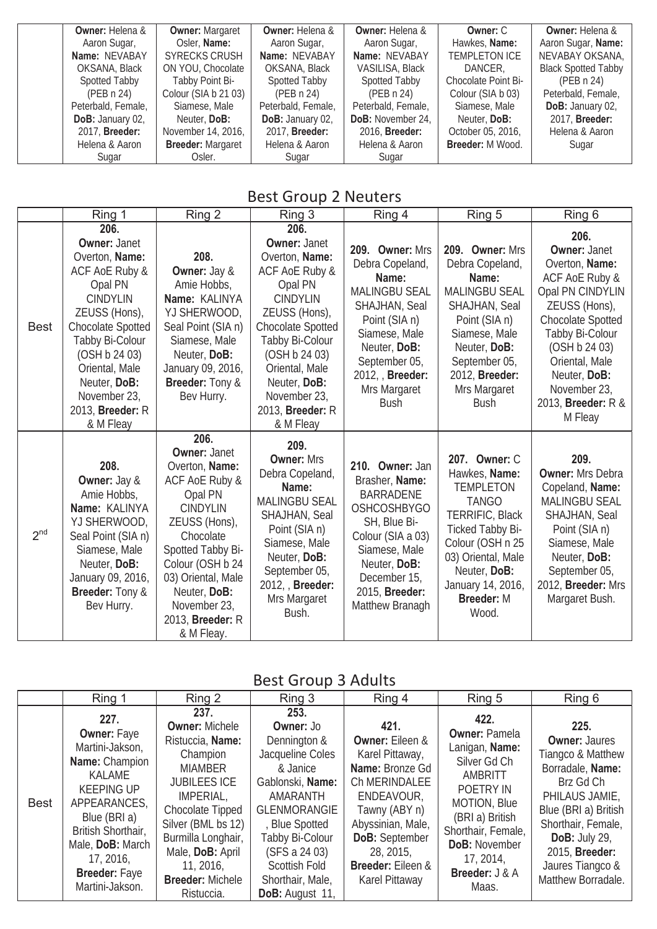| <b>Owner: Helena &amp;</b> | <b>Owner: Margaret</b>   | <b>Owner: Helena &amp;</b> | <b>Owner:</b> Helena &   | Owner: C             | <b>Owner:</b> Helena &     |
|----------------------------|--------------------------|----------------------------|--------------------------|----------------------|----------------------------|
| Aaron Sugar,               | Osler, Name:             | Aaron Sugar,               | Aaron Sugar,             | Hawkes, Name:        | Aaron Sugar, Name:         |
| Name: NEVABAY              | <b>SYRECKS CRUSH</b>     | Name: NEVABAY              | Name: NEVABAY            | <b>TEMPLETON ICE</b> | NEVABAY OKSANA,            |
| OKSANA, Black              | ON YOU, Chocolate        | OKSANA, Black              | VASILISA, Black          | DANCER.              | <b>Black Spotted Tabby</b> |
| Spotted Tabby              | Tabby Point Bi-          | <b>Spotted Tabby</b>       | <b>Spotted Tabby</b>     | Chocolate Point Bi-  | (PEB n 24)                 |
| (PEB n 24)                 | Colour (SIA b 21 03)     | (PEB n 24)                 | (PEB n 24)               | Colour (SIA b 03)    | Peterbald, Female,         |
| Peterbald, Female,         | Siamese, Male            | Peterbald, Female,         | Peterbald, Female,       | Siamese, Male        | DoB: January 02,           |
| DoB: January 02,           | Neuter, DoB:             | DoB: January 02,           | <b>DoB:</b> November 24, | Neuter, DoB:         | 2017, <b>Breeder:</b>      |
| 2017, <b>Breeder:</b>      | November 14, 2016,       | 2017, <b>Breeder:</b>      | 2016, <b>Breeder:</b>    | October 05, 2016,    | Helena & Aaron             |
| Helena & Aaron             | <b>Breeder: Margaret</b> | Helena & Aaron             | Helena & Aaron           | Breeder: M Wood.     | Sugar                      |
| Sugar                      | Osler.                   | Sugar                      | Sugar                    |                      |                            |

#### Best Group 2 Neuters

|                 | Ring 1                                                                                                                                                                                                                                                                   | Ring 2                                                                                                                                                                                                                                                              | Ring 3                                                                                                                                                                                                                                                                       | Ring 4                                                                                                                                                                                                        | Ring 5                                                                                                                                                                                                                 | Ring 6                                                                                                                                                                                                                                           |
|-----------------|--------------------------------------------------------------------------------------------------------------------------------------------------------------------------------------------------------------------------------------------------------------------------|---------------------------------------------------------------------------------------------------------------------------------------------------------------------------------------------------------------------------------------------------------------------|------------------------------------------------------------------------------------------------------------------------------------------------------------------------------------------------------------------------------------------------------------------------------|---------------------------------------------------------------------------------------------------------------------------------------------------------------------------------------------------------------|------------------------------------------------------------------------------------------------------------------------------------------------------------------------------------------------------------------------|--------------------------------------------------------------------------------------------------------------------------------------------------------------------------------------------------------------------------------------------------|
| <b>Best</b>     | 206.<br><b>Owner: Janet</b><br>Overton, Name:<br>ACF AoE Ruby &<br>Opal PN<br><b>CINDYLIN</b><br>ZEUSS (Hons),<br><b>Chocolate Spotted</b><br>Tabby Bi-Colour<br>(OSH b 24 03)<br>Oriental, Male<br>Neuter, DoB:<br>November 23,<br>2013, <b>Breeder:</b> R<br>& M Fleay | 208.<br>Owner: Jay &<br>Amie Hobbs,<br>Name: KALINYA<br>YJ SHERWOOD,<br>Seal Point (SIA n)<br>Siamese, Male<br>Neuter, DoB:<br>January 09, 2016,<br>Breeder: Tony &<br>Bev Hurry.                                                                                   | 206.<br><b>Owner: Janet</b><br>Overton, Name:<br><b>ACF AoE Ruby &amp;</b><br>Opal PN<br><b>CINDYLIN</b><br>ZEUSS (Hons),<br><b>Chocolate Spotted</b><br>Tabby Bi-Colour<br>(OSH b 24 03)<br>Oriental, Male<br>Neuter, DoB:<br>November 23,<br>2013, Breeder: R<br>& M Fleay | 209. Owner: Mrs<br>Debra Copeland,<br>Name:<br><b>MALINGBU SEAL</b><br>SHAJHAN, Seal<br>Point (SIA n)<br>Siamese, Male<br>Neuter, DoB:<br>September 05,<br>2012, Breeder:<br>Mrs Margaret<br><b>Bush</b>      | 209. Owner: Mrs<br>Debra Copeland,<br>Name:<br><b>MALINGBU SEAL</b><br>SHAJHAN, Seal<br>Point (SIA n)<br>Siamese, Male<br>Neuter, DoB:<br>September 05,<br>2012, Breeder:<br>Mrs Margaret<br><b>Bush</b>               | 206.<br><b>Owner: Janet</b><br>Overton, Name:<br>ACF AoE Ruby &<br>Opal PN CINDYLIN<br>ZEUSS (Hons),<br>Chocolate Spotted<br>Tabby Bi-Colour<br>(OSH b 24 03)<br>Oriental, Male<br>Neuter, DoB:<br>November 23,<br>2013, Breeder: R &<br>M Fleay |
| 2 <sup>nd</sup> | 208.<br>Owner: Jay &<br>Amie Hobbs,<br>Name: KALINYA<br>YJ SHERWOOD,<br>Seal Point (SIA n)<br>Siamese, Male<br>Neuter, DoB:<br>January 09, 2016,<br><b>Breeder: Tony &amp;</b><br>Bev Hurry.                                                                             | 206.<br><b>Owner: Janet</b><br>Overton, Name:<br>ACF AoE Ruby &<br>Opal PN<br><b>CINDYLIN</b><br>ZEUSS (Hons),<br>Chocolate<br>Spotted Tabby Bi-<br>Colour (OSH b 24<br>03) Oriental, Male<br>Neuter, DoB:<br>November 23,<br>2013, <b>Breeder:</b> R<br>& M Fleay. | 209.<br><b>Owner: Mrs</b><br>Debra Copeland,<br>Name:<br><b>MALINGBU SEAL</b><br>SHAJHAN, Seal<br>Point (SIA n)<br>Siamese, Male<br>Neuter, DoB:<br>September 05,<br>2012, Breeder:<br>Mrs Margaret<br>Bush.                                                                 | 210. Owner: Jan<br>Brasher, Name:<br><b>BARRADENE</b><br><b>OSHCOSHBYGO</b><br>SH, Blue Bi-<br>Colour (SIA a 03)<br>Siamese, Male<br>Neuter, DoB:<br>December 15,<br>2015, <b>Breeder:</b><br>Matthew Branagh | 207. Owner: C<br>Hawkes, Name:<br><b>TEMPLETON</b><br><b>TANGO</b><br>TERRIFIC, Black<br>Ticked Tabby Bi-<br>Colour (OSH n 25<br>03) Oriental, Male<br>Neuter, DoB:<br>January 14, 2016,<br><b>Breeder: M</b><br>Wood. | 209.<br><b>Owner: Mrs Debra</b><br>Copeland, Name:<br><b>MALINGBU SEAL</b><br>SHAJHAN, Seal<br>Point (SIA n)<br>Siamese, Male<br>Neuter, DoB:<br>September 05,<br>2012, Breeder: Mrs<br>Margaret Bush.                                           |

Best Group 3 Adults

|             | Ring 1                                                                                                                                                                                                                           | Ring 2                                                                                                                                                                                                                                                        | Ring 3                                                                                                                                                                                                                                 | Ring 4                                                                                                                                                                                                              | Ring 5                                                                                                                                                                                                          | Ring 6                                                                                                                                                                                                                                 |
|-------------|----------------------------------------------------------------------------------------------------------------------------------------------------------------------------------------------------------------------------------|---------------------------------------------------------------------------------------------------------------------------------------------------------------------------------------------------------------------------------------------------------------|----------------------------------------------------------------------------------------------------------------------------------------------------------------------------------------------------------------------------------------|---------------------------------------------------------------------------------------------------------------------------------------------------------------------------------------------------------------------|-----------------------------------------------------------------------------------------------------------------------------------------------------------------------------------------------------------------|----------------------------------------------------------------------------------------------------------------------------------------------------------------------------------------------------------------------------------------|
| <b>Best</b> | 227.<br><b>Owner: Faye</b><br>Martini-Jakson,<br>Name: Champion<br>KALAME<br><b>KEEPING UP</b><br>APPEARANCES,<br>Blue (BRI a)<br>British Shorthair,<br>Male, DoB: March<br>17, 2016,<br><b>Breeder: Faye</b><br>Martini-Jakson. | 237.<br><b>Owner: Michele</b><br>Ristuccia, Name:<br>Champion<br><b>MIAMBER</b><br><b>JUBILEES ICE</b><br>IMPERIAL,<br>Chocolate Tipped<br>Silver (BML bs 12)<br>Burmilla Longhair,<br>Male, DoB: April<br>11, 2016,<br><b>Breeder: Michele</b><br>Ristuccia. | 253.<br>Owner: Jo<br>Dennington &<br>Jacqueline Coles<br>& Janice<br>Gablonski, Name:<br>AMARANTH<br>GLENMORANGIE<br>, Blue Spotted<br>Tabby Bi-Colour<br>(SFS a 24 03)<br><b>Scottish Fold</b><br>Shorthair, Male,<br>DoB: August 11, | 421.<br><b>Owner: Eileen &amp;</b><br>Karel Pittaway,<br>Name: Bronze Gd<br>Ch MERINDALEE<br>ENDEAVOUR,<br>Tawny (ABY n)<br>Abyssinian, Male,<br>DoB: September<br>28, 2015,<br>Breeder: Eileen &<br>Karel Pittaway | 422.<br><b>Owner: Pamela</b><br>Lanigan, Name:<br>Silver Gd Ch<br>AMBRITT<br>POETRY IN<br>MOTION, Blue<br>(BRI a) British<br>Shorthair, Female,<br><b>DoB: November</b><br>17, 2014,<br>Breeder: J & A<br>Maas. | 225.<br><b>Owner: Jaures</b><br>Tiangco & Matthew<br>Borradale, Name:<br>Brz Gd Ch<br>PHILAUS JAMIE,<br>Blue (BRI a) British<br>Shorthair, Female,<br>DoB: July 29,<br>2015, <b>Breeder:</b><br>Jaures Tiangco &<br>Matthew Borradale. |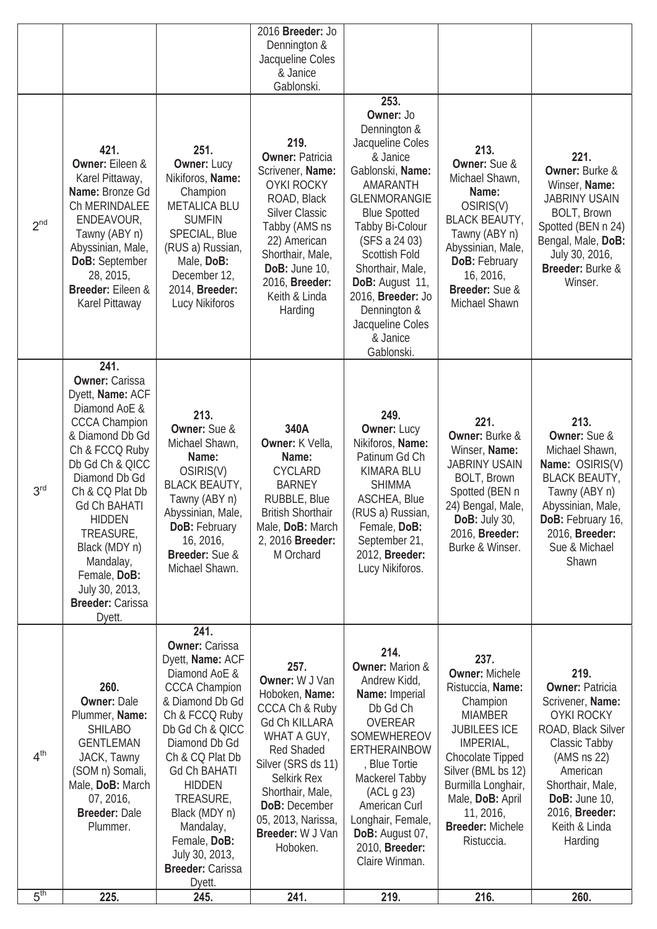|                 |                                                                                                                                                                                                                                                                                                                                                  |                                                                                                                                                                                                                                                                                                                                                  | 2016 Breeder: Jo<br>Dennington &<br>Jacqueline Coles<br>& Janice<br>Gablonski.                                                                                                                                                                                           |                                                                                                                                                                                                                                                                                                                                       |                                                                                                                                                                                                                                                               |                                                                                                                                                                                                                                 |
|-----------------|--------------------------------------------------------------------------------------------------------------------------------------------------------------------------------------------------------------------------------------------------------------------------------------------------------------------------------------------------|--------------------------------------------------------------------------------------------------------------------------------------------------------------------------------------------------------------------------------------------------------------------------------------------------------------------------------------------------|--------------------------------------------------------------------------------------------------------------------------------------------------------------------------------------------------------------------------------------------------------------------------|---------------------------------------------------------------------------------------------------------------------------------------------------------------------------------------------------------------------------------------------------------------------------------------------------------------------------------------|---------------------------------------------------------------------------------------------------------------------------------------------------------------------------------------------------------------------------------------------------------------|---------------------------------------------------------------------------------------------------------------------------------------------------------------------------------------------------------------------------------|
| 2 <sup>nd</sup> | 421.<br><b>Owner: Eileen &amp;</b><br>Karel Pittaway,<br>Name: Bronze Gd<br>Ch MERINDALEE<br>ENDEAVOUR,<br>Tawny (ABY n)<br>Abyssinian, Male,<br>DoB: September<br>28, 2015,<br>Breeder: Eileen &<br>Karel Pittaway                                                                                                                              | 251.<br><b>Owner: Lucy</b><br>Nikiforos, Name:<br>Champion<br><b>METALICA BLU</b><br><b>SUMFIN</b><br>SPECIAL, Blue<br>(RUS a) Russian,<br>Male, DoB:<br>December 12,<br>2014, Breeder:<br>Lucy Nikiforos                                                                                                                                        | 219.<br><b>Owner: Patricia</b><br>Scrivener, Name:<br><b>OYKI ROCKY</b><br>ROAD, Black<br><b>Silver Classic</b><br>Tabby (AMS ns<br>22) American<br>Shorthair, Male,<br>DoB: June 10,<br>2016, Breeder:<br>Keith & Linda<br>Harding                                      | 253.<br>Owner: Jo<br>Dennington &<br>Jacqueline Coles<br>& Janice<br>Gablonski, Name:<br>AMARANTH<br><b>GLENMORANGIE</b><br><b>Blue Spotted</b><br>Tabby Bi-Colour<br>(SFS a 24 03)<br><b>Scottish Fold</b><br>Shorthair, Male,<br>DoB: August 11,<br>2016, Breeder: Jo<br>Dennington &<br>Jacqueline Coles<br>& Janice<br>Gablonski. | 213.<br><b>Owner:</b> Sue &<br>Michael Shawn,<br>Name:<br>OSIRIS(V)<br><b>BLACK BEAUTY,</b><br>Tawny (ABY n)<br>Abyssinian, Male,<br><b>DoB: February</b><br>16, 2016,<br>Breeder: Sue &<br>Michael Shawn                                                     | 221.<br><b>Owner: Burke &amp;</b><br>Winser, Name:<br><b>JABRINY USAIN</b><br><b>BOLT, Brown</b><br>Spotted (BEN n 24)<br>Bengal, Male, DoB:<br>July 30, 2016,<br>Breeder: Burke &<br>Winser.                                   |
| 3 <sup>rd</sup> | 241.<br><b>Owner: Carissa</b><br>Dyett, Name: ACF<br>Diamond AoE &<br><b>CCCA Champion</b><br>& Diamond Db Gd<br>Ch & FCCQ Ruby<br>Db Gd Ch & QICC<br>Diamond Db Gd<br>Ch & CQ Plat Db<br><b>Gd Ch BAHATI</b><br><b>HIDDEN</b><br>TREASURE,<br>Black (MDY n)<br>Mandalay,<br>Female, DoB:<br>July 30, 2013,<br><b>Breeder: Carissa</b><br>Dyett. | 213.<br>Owner: Sue &<br>Michael Shawn,<br>Name:<br>OSIRIS(V)<br><b>BLACK BEAUTY,</b><br>Tawny (ABY n)<br>Abyssinian, Male,<br><b>DoB: February</b><br>16, 2016,<br>Breeder: Sue &<br>Michael Shawn.                                                                                                                                              | 340A<br>Owner: K Vella,<br>Name:<br><b>CYCLARD</b><br><b>BARNEY</b><br>RUBBLE, Blue<br><b>British Shorthair</b><br>Male, DoB: March<br>2, 2016 Breeder:<br>M Orchard                                                                                                     | 249.<br><b>Owner: Lucy</b><br>Nikiforos, Name:<br>Patinum Gd Ch<br>KIMARA BLU<br><b>SHIMMA</b><br><b>ASCHEA, Blue</b><br>(RUS a) Russian,<br>Female, DoB:<br>September 21,<br>2012, Breeder:<br>Lucy Nikiforos.                                                                                                                       | 221.<br><b>Owner: Burke &amp;</b><br>Winser, Name:<br><b>JABRINY USAIN</b><br><b>BOLT, Brown</b><br>Spotted (BEN n<br>24) Bengal, Male,<br><b>DoB:</b> July 30,<br>2016, Breeder:<br>Burke & Winser.                                                          | 213.<br><b>Owner: Sue &amp;</b><br>Michael Shawn,<br>Name: OSIRIS(V)<br><b>BLACK BEAUTY,</b><br>Tawny (ABY n)<br>Abyssinian, Male,<br>DoB: February 16,<br>2016, Breeder:<br>Sue & Michael<br>Shawn                             |
| 4 <sup>th</sup> | 260.<br><b>Owner: Dale</b><br>Plummer, Name:<br><b>SHILABO</b><br><b>GENTLEMAN</b><br>JACK, Tawny<br>(SOM n) Somali,<br>Male, DoB: March<br>07, 2016,<br><b>Breeder: Dale</b><br>Plummer.                                                                                                                                                        | 241.<br><b>Owner: Carissa</b><br>Dyett, Name: ACF<br>Diamond AoE &<br><b>CCCA Champion</b><br>& Diamond Db Gd<br>Ch & FCCQ Ruby<br>Db Gd Ch & QICC<br>Diamond Db Gd<br>Ch & CQ Plat Db<br><b>Gd Ch BAHATI</b><br><b>HIDDEN</b><br>TREASURE,<br>Black (MDY n)<br>Mandalay,<br>Female, DoB:<br>July 30, 2013,<br><b>Breeder: Carissa</b><br>Dyett. | 257.<br>Owner: W J Van<br>Hoboken, Name:<br><b>CCCA Ch &amp; Ruby</b><br><b>Gd Ch KILLARA</b><br>WHAT A GUY,<br><b>Red Shaded</b><br>Silver (SRS ds 11)<br>Selkirk Rex<br>Shorthair, Male,<br><b>DoB: December</b><br>05, 2013, Narissa,<br>Breeder: W J Van<br>Hoboken. | 214.<br><b>Owner: Marion &amp;</b><br>Andrew Kidd,<br>Name: Imperial<br>Db Gd Ch<br><b>OVEREAR</b><br>SOMEWHEREOV<br>ERTHERAINBOW<br>, Blue Tortie<br>Mackerel Tabby<br>(ACL g 23)<br>American Curl<br>Longhair, Female,<br>DoB: August 07,<br>2010, Breeder:<br>Claire Winman.                                                       | 237.<br><b>Owner: Michele</b><br>Ristuccia, Name:<br>Champion<br><b>MIAMBER</b><br><b>JUBILEES ICE</b><br>IMPERIAL,<br>Chocolate Tipped<br>Silver (BML bs 12)<br>Burmilla Longhair,<br>Male, DoB: April<br>11, 2016,<br><b>Breeder: Michele</b><br>Ristuccia. | 219.<br><b>Owner: Patricia</b><br>Scrivener, Name:<br><b>OYKI ROCKY</b><br>ROAD, Black Silver<br>Classic Tabby<br>(AMS ns 22)<br>American<br>Shorthair, Male,<br>DoB: June $10$ ,<br>2016, Breeder:<br>Keith & Linda<br>Harding |
| 5 <sup>th</sup> | 225.                                                                                                                                                                                                                                                                                                                                             | 245.                                                                                                                                                                                                                                                                                                                                             | 241.                                                                                                                                                                                                                                                                     | 219.                                                                                                                                                                                                                                                                                                                                  | 216.                                                                                                                                                                                                                                                          | 260.                                                                                                                                                                                                                            |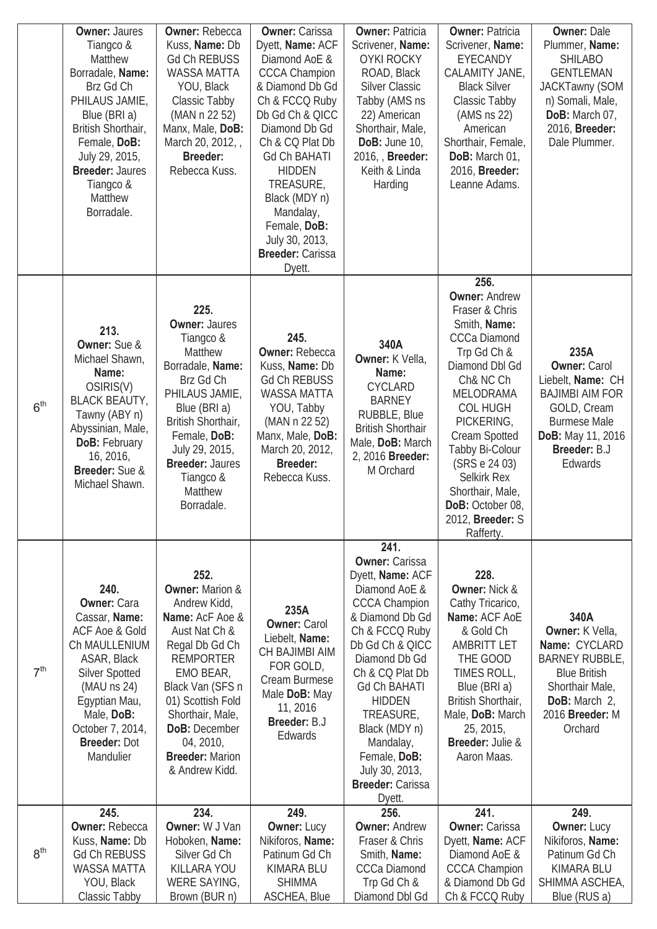|                 | <b>Owner: Jaures</b><br>Tiangco &<br>Matthew<br>Borradale, Name:<br>Brz Gd Ch<br>PHILAUS JAMIE,<br>Blue (BRI a)<br>British Shorthair,<br>Female, DoB:<br>July 29, 2015,<br><b>Breeder: Jaures</b><br>Tiangco &<br>Matthew<br>Borradale.   | <b>Owner: Rebecca</b><br>Kuss, Name: Db<br><b>Gd Ch REBUSS</b><br><b>WASSA MATTA</b><br>YOU, Black<br>Classic Tabby<br>(MAN n 22 52)<br>Manx, Male, DoB:<br>March 20, 2012,<br><b>Breeder:</b><br>Rebecca Kuss.                                                                  | <b>Owner: Carissa</b><br>Dyett, Name: ACF<br>Diamond AoE &<br><b>CCCA Champion</b><br>& Diamond Db Gd<br>Ch & FCCQ Ruby<br>Db Gd Ch & QICC<br>Diamond Db Gd<br>Ch & CQ Plat Db<br><b>Gd Ch BAHATI</b><br><b>HIDDEN</b><br>TREASURE,<br>Black (MDY n)<br>Mandalay,<br>Female, DoB:<br>July 30, 2013,<br><b>Breeder: Carissa</b><br>Dyett. | <b>Owner: Patricia</b><br>Scrivener, Name:<br><b>OYKI ROCKY</b><br>ROAD, Black<br><b>Silver Classic</b><br>Tabby (AMS ns<br>22) American<br>Shorthair, Male,<br>DoB: June 10,<br>2016, Breeder:<br>Keith & Linda<br>Harding                                                                                                                      | <b>Owner: Patricia</b><br>Scrivener, Name:<br>EYECANDY<br>CALAMITY JANE,<br><b>Black Silver</b><br>Classic Tabby<br>(AMS ns 22)<br>American<br>Shorthair, Female,<br>DoB: March 01,<br>2016, Breeder:<br>Leanne Adams.                                                                                                                              | <b>Owner: Dale</b><br>Plummer, Name:<br><b>SHILABO</b><br><b>GENTLEMAN</b><br><b>JACKTawny (SOM</b><br>n) Somali, Male,<br>DoB: March 07,<br>2016, <b>Breeder:</b><br>Dale Plummer. |
|-----------------|-------------------------------------------------------------------------------------------------------------------------------------------------------------------------------------------------------------------------------------------|----------------------------------------------------------------------------------------------------------------------------------------------------------------------------------------------------------------------------------------------------------------------------------|------------------------------------------------------------------------------------------------------------------------------------------------------------------------------------------------------------------------------------------------------------------------------------------------------------------------------------------|--------------------------------------------------------------------------------------------------------------------------------------------------------------------------------------------------------------------------------------------------------------------------------------------------------------------------------------------------|-----------------------------------------------------------------------------------------------------------------------------------------------------------------------------------------------------------------------------------------------------------------------------------------------------------------------------------------------------|-------------------------------------------------------------------------------------------------------------------------------------------------------------------------------------|
| 6 <sup>th</sup> | 213.<br>Owner: Sue &<br>Michael Shawn,<br>Name:<br>OSIRIS(V)<br><b>BLACK BEAUTY,</b><br>Tawny (ABY n)<br>Abyssinian, Male,<br>DoB: February<br>16, 2016,<br>Breeder: Sue &<br>Michael Shawn.                                              | 225.<br><b>Owner: Jaures</b><br>Tiangco &<br>Matthew<br>Borradale, Name:<br>Brz Gd Ch<br>PHILAUS JAMIE,<br>Blue (BRI a)<br>British Shorthair,<br>Female, DoB:<br>July 29, 2015,<br><b>Breeder: Jaures</b><br>Tiangco &<br>Matthew<br>Borradale.                                  | 245.<br><b>Owner: Rebecca</b><br>Kuss, Name: Db<br><b>Gd Ch REBUSS</b><br><b>WASSA MATTA</b><br>YOU, Tabby<br>(MAN n 22 52)<br>Manx, Male, DoB:<br>March 20, 2012,<br><b>Breeder:</b><br>Rebecca Kuss.                                                                                                                                   | 340A<br>Owner: K Vella,<br>Name:<br><b>CYCLARD</b><br><b>BARNEY</b><br>RUBBLE, Blue<br><b>British Shorthair</b><br>Male, DoB: March<br>2, 2016 Breeder:<br>M Orchard                                                                                                                                                                             | 256.<br><b>Owner: Andrew</b><br>Fraser & Chris<br>Smith, Name:<br><b>CCCa Diamond</b><br>Trp Gd Ch &<br>Diamond Dbl Gd<br>Ch& NC Ch<br><b>MELODRAMA</b><br><b>COL HUGH</b><br>PICKERING,<br>Cream Spotted<br>Tabby Bi-Colour<br>(SRS e 24 03)<br><b>Selkirk Rex</b><br>Shorthair, Male,<br>DoB: October 08,<br>2012, <b>Breeder:</b> S<br>Rafferty. | 235A<br><b>Owner: Carol</b><br>Liebelt, Name: CH<br><b>BAJIMBI AIM FOR</b><br>GOLD, Cream<br><b>Burmese Male</b><br>DoB: May 11, 2016<br>Breeder: B.J<br>Edwards                    |
| 7 <sup>th</sup> | 240.<br><b>Owner: Cara</b><br>Cassar, Name:<br><b>ACF Aoe &amp; Gold</b><br>Ch MAULLENIUM<br>ASAR, Black<br><b>Silver Spotted</b><br>$(MAU$ ns 24)<br>Egyptian Mau,<br>Male, DoB:<br>October 7, 2014,<br><b>Breeder: Dot</b><br>Mandulier | 252.<br><b>Owner: Marion &amp;</b><br>Andrew Kidd,<br>Name: AcF Aoe &<br>Aust Nat Ch &<br>Regal Db Gd Ch<br><b>REMPORTER</b><br>EMO BEAR,<br>Black Van (SFS n<br>01) Scottish Fold<br>Shorthair, Male,<br>DoB: December<br>04, 2010,<br><b>Breeder: Marion</b><br>& Andrew Kidd. | 235A<br><b>Owner: Carol</b><br>Liebelt, Name:<br>CH BAJIMBI AIM<br>FOR GOLD,<br>Cream Burmese<br>Male DoB: May<br>11, 2016<br>Breeder: B.J<br>Edwards                                                                                                                                                                                    | 241.<br><b>Owner: Carissa</b><br>Dyett, Name: ACF<br>Diamond AoE &<br><b>CCCA Champion</b><br>& Diamond Db Gd<br>Ch & FCCQ Ruby<br>Db Gd Ch & QICC<br>Diamond Db Gd<br>Ch & CQ Plat Db<br><b>Gd Ch BAHATI</b><br><b>HIDDEN</b><br>TREASURE,<br>Black (MDY n)<br>Mandalay,<br>Female, DoB:<br>July 30, 2013,<br><b>Breeder: Carissa</b><br>Dyett. | 228.<br><b>Owner: Nick &amp;</b><br>Cathy Tricarico,<br>Name: ACF AOE<br>& Gold Ch<br><b>AMBRITT LET</b><br>THE GOOD<br>TIMES ROLL,<br>Blue (BRI a)<br>British Shorthair,<br>Male, DoB: March<br>25, 2015,<br>Breeder: Julie &<br>Aaron Maas.                                                                                                       | 340A<br>Owner: K Vella,<br>Name: CYCLARD<br><b>BARNEY RUBBLE,</b><br><b>Blue British</b><br>Shorthair Male,<br>DoB: March 2,<br>2016 Breeder: M<br>Orchard                          |
|                 | 245.                                                                                                                                                                                                                                      | 234.                                                                                                                                                                                                                                                                             | 249.                                                                                                                                                                                                                                                                                                                                     | 256.                                                                                                                                                                                                                                                                                                                                             | 241.                                                                                                                                                                                                                                                                                                                                                | 249.                                                                                                                                                                                |
| 8 <sup>th</sup> | <b>Owner: Rebecca</b><br>Kuss, Name: Db<br><b>Gd Ch REBUSS</b><br><b>WASSA MATTA</b><br>YOU, Black<br>Classic Tabby                                                                                                                       | Owner: W J Van<br>Hoboken, Name:<br>Silver Gd Ch<br>KILLARA YOU<br>WERE SAYING,<br>Brown (BUR n)                                                                                                                                                                                 | <b>Owner: Lucy</b><br>Nikiforos, Name:<br>Patinum Gd Ch<br>KIMARA BLU<br><b>SHIMMA</b><br>ASCHEA, Blue                                                                                                                                                                                                                                   | <b>Owner: Andrew</b><br>Fraser & Chris<br>Smith, Name:<br><b>CCCa Diamond</b><br>Trp Gd Ch &<br>Diamond Dbl Gd                                                                                                                                                                                                                                   | <b>Owner: Carissa</b><br>Dyett, Name: ACF<br>Diamond AoE &<br><b>CCCA Champion</b><br>& Diamond Db Gd<br>Ch & FCCQ Ruby                                                                                                                                                                                                                             | <b>Owner: Lucy</b><br>Nikiforos, Name:<br>Patinum Gd Ch<br>KIMARA BLU<br>SHIMMA ASCHEA,<br>Blue (RUS a)                                                                             |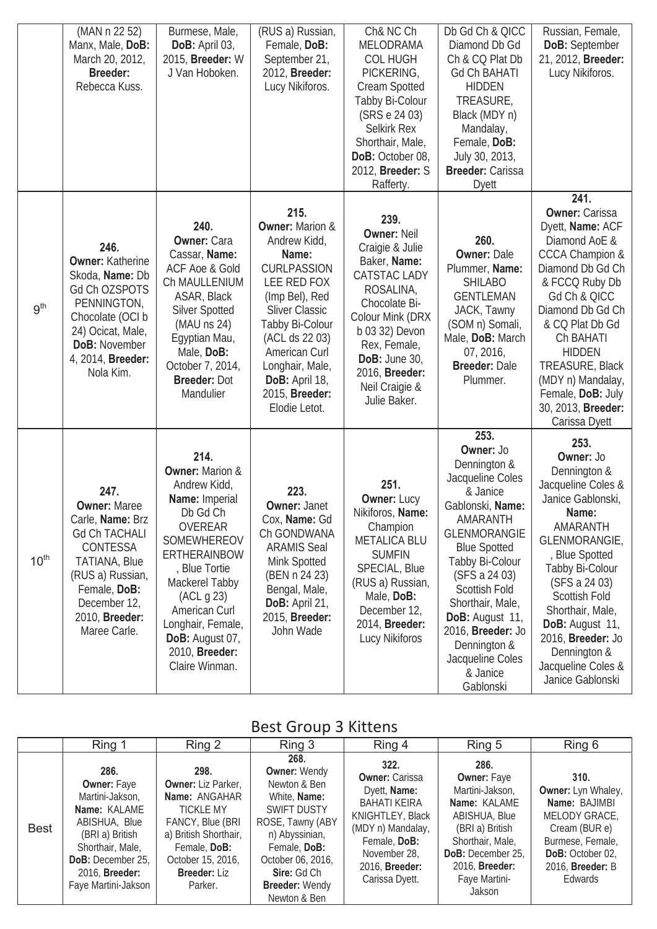|                  | (MAN n 22 52)<br>Manx, Male, DoB:<br>March 20, 2012,<br><b>Breeder:</b><br>Rebecca Kuss.                                                                                                                 | Burmese, Male,<br>DoB: April 03,<br>2015, Breeder: W<br>J Van Hoboken.                                                                                                                                                                                                                 | (RUS a) Russian,<br>Female, DoB:<br>September 21,<br>2012, Breeder:<br>Lucy Nikiforos.                                                                                                                                                                                    | Ch& NC Ch<br>MELODRAMA<br><b>COL HUGH</b><br>PICKERING,<br>Cream Spotted<br>Tabby Bi-Colour<br>(SRS e 24 03)<br><b>Selkirk Rex</b><br>Shorthair, Male,<br>DoB: October 08,<br>2012, Breeder: S<br>Rafferty.                                   | Db Gd Ch & QICC<br>Diamond Db Gd<br>Ch & CQ Plat Db<br><b>Gd Ch BAHATI</b><br><b>HIDDEN</b><br>TREASURE,<br>Black (MDY n)<br>Mandalay,<br>Female, DoB:<br>July 30, 2013,<br><b>Breeder: Carissa</b><br><b>Dyett</b>                                                                                                           | Russian, Female,<br>DoB: September<br>21, 2012, Breeder:<br>Lucy Nikiforos.                                                                                                                                                                                                                                                     |
|------------------|----------------------------------------------------------------------------------------------------------------------------------------------------------------------------------------------------------|----------------------------------------------------------------------------------------------------------------------------------------------------------------------------------------------------------------------------------------------------------------------------------------|---------------------------------------------------------------------------------------------------------------------------------------------------------------------------------------------------------------------------------------------------------------------------|-----------------------------------------------------------------------------------------------------------------------------------------------------------------------------------------------------------------------------------------------|-------------------------------------------------------------------------------------------------------------------------------------------------------------------------------------------------------------------------------------------------------------------------------------------------------------------------------|---------------------------------------------------------------------------------------------------------------------------------------------------------------------------------------------------------------------------------------------------------------------------------------------------------------------------------|
| 9 <sup>th</sup>  | 246.<br><b>Owner: Katherine</b><br>Skoda, Name: Db<br>Gd Ch OZSPOTS<br>PENNINGTON,<br>Chocolate (OCI b<br>24) Ocicat, Male,<br><b>DoB: November</b><br>4, 2014, Breeder:<br>Nola Kim.                    | 240.<br><b>Owner: Cara</b><br>Cassar, Name:<br>ACF Aoe & Gold<br>Ch MAULLENIUM<br>ASAR, Black<br><b>Silver Spotted</b><br>$(MAU$ ns 24)<br>Egyptian Mau,<br>Male, DoB:<br>October 7, 2014,<br><b>Breeder: Dot</b><br>Mandulier                                                         | 215.<br><b>Owner: Marion &amp;</b><br>Andrew Kidd,<br>Name:<br><b>CURLPASSION</b><br>LEE RED FOX<br>(Imp Bel), Red<br><b>Sliver Classic</b><br>Tabby Bi-Colour<br>(ACL ds 22 03)<br>American Curl<br>Longhair, Male,<br>DoB: April 18,<br>2015, Breeder:<br>Elodie Letot. | 239.<br><b>Owner: Neil</b><br>Craigie & Julie<br>Baker, Name:<br>CATSTAC LADY<br>ROSALINA,<br>Chocolate Bi-<br>Colour Mink (DRX<br>b 03 32) Devon<br>Rex, Female,<br><b>DoB: June 30,</b><br>2016, Breeder:<br>Neil Craigie &<br>Julie Baker. | 260.<br><b>Owner: Dale</b><br>Plummer, Name:<br><b>SHILABO</b><br><b>GENTLEMAN</b><br>JACK, Tawny<br>(SOM n) Somali,<br>Male, DoB: March<br>07, 2016,<br><b>Breeder: Dale</b><br>Plummer.                                                                                                                                     | 241.<br><b>Owner: Carissa</b><br>Dyett, Name: ACF<br>Diamond AoE &<br><b>CCCA Champion &amp;</b><br>Diamond Db Gd Ch<br>& FCCQ Ruby Db<br>Gd Ch & QICC<br>Diamond Db Gd Ch<br>& CQ Plat Db Gd<br>Ch BAHATI<br><b>HIDDEN</b><br>TREASURE, Black<br>(MDY n) Mandalay,<br>Female, DoB: July<br>30, 2013, Breeder:<br>Carissa Dyett |
| $10^{\text{th}}$ | 247.<br><b>Owner: Maree</b><br>Carle, <b>Name:</b> Brz<br><b>Gd Ch TACHALI</b><br>CONTESSA<br><b>TATIANA, Blue</b><br>(RUS a) Russian,<br>Female, DoB:<br>December 12,<br>2010, Breeder:<br>Maree Carle. | 214.<br><b>Owner: Marion &amp;</b><br>Andrew Kidd,<br>Name: Imperial<br>Db Gd Ch<br><b>OVEREAR</b><br>SOMEWHEREOV<br><b>ERTHERAINBOW</b><br>, Blue Tortie<br>Mackerel Tabby<br>(ACL g 23)<br>American Curl<br>Longhair, Female,<br>DoB: August 07,<br>2010, Breeder:<br>Claire Winman. | 223.<br><b>Owner: Janet</b><br>Cox, <b>Name:</b> Gd<br>Ch GONDWANA<br><b>ARAMIS Seal</b><br>Mink Spotted<br>(BEN n 24 23)<br>Bengal, Male,<br>DoB: April 21,<br>2015, Breeder:<br>John Wade                                                                               | 251.<br><b>Owner: Lucy</b><br>Nikiforos, <b>Name:</b><br>Champion<br><b>METALICA BLU</b><br><b>SUMFIN</b><br>SPECIAL, Blue<br>(RUS a) Russian,<br>Male, DoB:<br>December 12,<br>2014, Breeder:<br>Lucy Nikiforos                              | 253.<br>Owner: Jo<br>Dennington &<br>Jacqueline Coles<br>& Janice<br>Gablonski, Name:<br>AMARANTH<br><b>GLENMORANGIE</b><br><b>Blue Spotted</b><br>Tabby Bi-Colour<br>(SFS a 24 03)<br>Scottish Fold<br>Shorthair, Male,<br>DoB: August 11,<br>2016, Breeder: Jo<br>Dennington &<br>Jacqueline Coles<br>& Janice<br>Gablonski | 253.<br>Owner: Jo<br>Dennington &<br>Jacqueline Coles &<br>Janice Gablonski,<br>Name:<br>AMARANTH<br>GLENMORANGIE,<br>, Blue Spotted<br>Tabby Bi-Colour<br>(SFS a 24 03)<br>Scottish Fold<br>Shorthair, Male,<br>DoB: August 11,<br>2016, Breeder: Jo<br>Dennington &<br>Jacqueline Coles &<br>Janice Gablonski                 |

### Best Group 3 Kittens

|             | Ring 1                                                                                                                                                                                     | Ring 2                                                                                                                                                                                     | Ring 3                                                                                                                                                                                                                      | Ring 4                                                                                                                                                                            | Ring 5                                                                                                                                                                                         | Ring 6                                                                                                                                                             |
|-------------|--------------------------------------------------------------------------------------------------------------------------------------------------------------------------------------------|--------------------------------------------------------------------------------------------------------------------------------------------------------------------------------------------|-----------------------------------------------------------------------------------------------------------------------------------------------------------------------------------------------------------------------------|-----------------------------------------------------------------------------------------------------------------------------------------------------------------------------------|------------------------------------------------------------------------------------------------------------------------------------------------------------------------------------------------|--------------------------------------------------------------------------------------------------------------------------------------------------------------------|
| <b>Best</b> | 286.<br><b>Owner: Faye</b><br>Martini-Jakson,<br>Name: KALAME<br>ABISHUA, Blue<br>(BRI a) British<br>Shorthair, Male,<br>DoB: December 25,<br>2016, <b>Breeder:</b><br>Faye Martini-Jakson | 298.<br><b>Owner:</b> Liz Parker,<br>Name: ANGAHAR<br><b>TICKLE MY</b><br>FANCY, Blue (BRI<br>a) British Shorthair,<br>Female, DoB:<br>October 15, 2016,<br><b>Breeder: Liz</b><br>Parker. | 268.<br><b>Owner: Wendy</b><br>Newton & Ben<br>White, Name:<br><b>SWIFT DUSTY</b><br>ROSE, Tawny (ABY<br>n) Abyssinian,<br>Female, DoB:<br>October 06, 2016,<br><b>Sire: Gd Ch</b><br><b>Breeder: Wendy</b><br>Newton & Ben | 322.<br><b>Owner: Carissa</b><br>Dyett, Name:<br>BAHATI KEIRA<br>KNIGHTLEY, Black<br>(MDY n) Mandalay,<br>Female, DoB:<br>November 28,<br>2016, <b>Breeder:</b><br>Carissa Dyett. | 286.<br><b>Owner: Faye</b><br>Martini-Jakson,<br>Name: KALAME<br>ABISHUA, Blue<br>(BRI a) British<br>Shorthair, Male,<br>DoB: December 25,<br>2016, <b>Breeder:</b><br>Faye Martini-<br>Jakson | 310.<br><b>Owner:</b> Lyn Whaley,<br>Name: BAJIMBI<br>MELODY GRACE,<br>Cream (BUR e)<br>Burmese, Female,<br>DoB: October 02,<br>2016, <b>Breeder:</b> B<br>Edwards |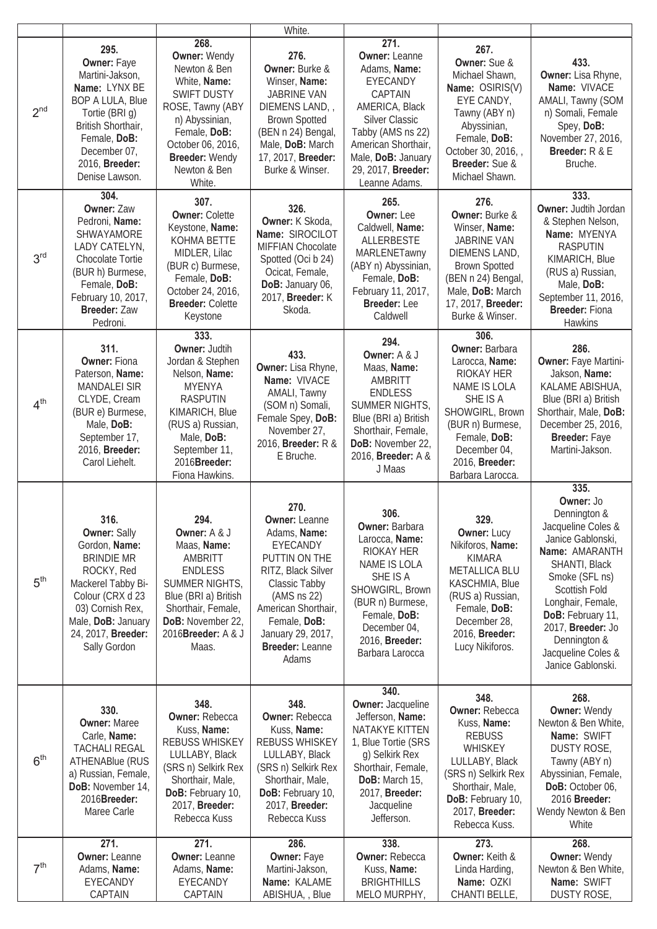|                 |                                                                                                                                                                                                           |                                                                                                                                                                                                              | White.                                                                                                                                                                                                                  |                                                                                                                                                                                                                         |                                                                                                                                                                                                        |                                                                                                                                                                                                                                                                              |
|-----------------|-----------------------------------------------------------------------------------------------------------------------------------------------------------------------------------------------------------|--------------------------------------------------------------------------------------------------------------------------------------------------------------------------------------------------------------|-------------------------------------------------------------------------------------------------------------------------------------------------------------------------------------------------------------------------|-------------------------------------------------------------------------------------------------------------------------------------------------------------------------------------------------------------------------|--------------------------------------------------------------------------------------------------------------------------------------------------------------------------------------------------------|------------------------------------------------------------------------------------------------------------------------------------------------------------------------------------------------------------------------------------------------------------------------------|
| 2 <sup>nd</sup> | 295.<br>Owner: Faye<br>Martini-Jakson,<br>Name: LYNX BE<br><b>BOP A LULA, Blue</b><br>Tortie (BRI g)<br>British Shorthair,<br>Female, DoB:<br>December 07,<br>2016, Breeder:<br>Denise Lawson.            | 268.<br><b>Owner: Wendy</b><br>Newton & Ben<br>White, Name:<br><b>SWIFT DUSTY</b><br>ROSE, Tawny (ABY<br>n) Abyssinian,<br>Female, DoB:<br>October 06, 2016,<br>Breeder: Wendy<br>Newton & Ben<br>White.     | 276.<br>Owner: Burke &<br>Winser, Name:<br><b>JABRINE VAN</b><br>DIEMENS LAND,<br><b>Brown Spotted</b><br>(BEN n 24) Bengal,<br>Male, DoB: March<br>17, 2017, Breeder:<br>Burke & Winser.                               | 271.<br><b>Owner: Leanne</b><br>Adams, Name:<br>EYECANDY<br>CAPTAIN<br>AMERICA, Black<br><b>Silver Classic</b><br>Tabby (AMS ns 22)<br>American Shorthair,<br>Male, DoB: January<br>29, 2017, Breeder:<br>Leanne Adams. | 267.<br>Owner: Sue &<br>Michael Shawn,<br>Name: OSIRIS(V)<br>EYE CANDY,<br>Tawny (ABY n)<br>Abyssinian,<br>Female, DoB:<br>October 30, 2016,<br>Breeder: Sue &<br>Michael Shawn.                       | 433.<br>Owner: Lisa Rhyne,<br>Name: VIVACE<br>AMALI, Tawny (SOM<br>n) Somali, Female<br>Spey, DoB:<br>November 27, 2016,<br>Breeder: R & E<br>Bruche.                                                                                                                        |
| 3 <sup>rd</sup> | 304.<br><b>Owner: Zaw</b><br>Pedroni, Name:<br>SHWAYAMORE<br>LADY CATELYN,<br><b>Chocolate Tortie</b><br>(BUR h) Burmese,<br>Female, DoB:<br>February 10, 2017,<br>Breeder: Zaw<br>Pedroni.               | 307.<br><b>Owner: Colette</b><br>Keystone, Name:<br>KOHMA BETTE<br>MIDLER, Lilac<br>(BUR c) Burmese,<br>Female, DoB:<br>October 24, 2016,<br><b>Breeder: Colette</b><br>Keystone                             | 326.<br>Owner: K Skoda,<br>Name: SIROCILOT<br>MIFFIAN Chocolate<br>Spotted (Oci b 24)<br>Ocicat, Female,<br>DoB: January 06,<br>2017, Breeder: K<br>Skoda.                                                              | 265.<br><b>Owner: Lee</b><br>Caldwell, Name:<br>ALLERBESTE<br>MARLENETawny<br>(ABY n) Abyssinian,<br>Female, DoB:<br>February 11, 2017,<br>Breeder: Lee<br>Caldwell                                                     | 276.<br>Owner: Burke &<br>Winser, Name:<br><b>JABRINE VAN</b><br>DIEMENS LAND,<br><b>Brown Spotted</b><br>(BEN n 24) Bengal,<br>Male, DoB: March<br>17, 2017, Breeder:<br>Burke & Winser.              | 333.<br>Owner: Judtih Jordan<br>& Stephen Nelson,<br>Name: MYENYA<br><b>RASPUTIN</b><br>KIMARICH, Blue<br>(RUS a) Russian,<br>Male, DoB:<br>September 11, 2016,<br><b>Breeder: Fiona</b><br><b>Hawkins</b>                                                                   |
| 4 <sup>th</sup> | 311.<br><b>Owner: Fiona</b><br>Paterson, Name:<br><b>MANDALEI SIR</b><br>CLYDE, Cream<br>(BUR e) Burmese,<br>Male, DoB:<br>September 17,<br>2016, Breeder:<br>Carol Liehelt.                              | 333.<br><b>Owner: Judtih</b><br>Jordan & Stephen<br>Nelson, Name:<br><b>MYENYA</b><br><b>RASPUTIN</b><br>KIMARICH, Blue<br>(RUS a) Russian,<br>Male, DoB:<br>September 11,<br>2016Breeder:<br>Fiona Hawkins. | 433.<br>Owner: Lisa Rhyne,<br>Name: VIVACE<br>AMALI, Tawny<br>(SOM n) Somali,<br>Female Spey, DoB:<br>November 27,<br>2016, Breeder: R &<br>E Bruche.                                                                   | 294.<br>Owner: A & J<br>Maas, Name:<br>AMBRITT<br><b>ENDLESS</b><br>SUMMER NIGHTS,<br>Blue (BRI a) British<br>Shorthair, Female,<br>DoB: November 22,<br>2016, Breeder: A &<br>J Maas                                   | 306.<br><b>Owner: Barbara</b><br>Larocca, Name:<br>RIOKAY HER<br>NAME IS LOLA<br>SHE IS A<br>SHOWGIRL, Brown<br>(BUR n) Burmese,<br>Female, DoB:<br>December 04,<br>2016, Breeder:<br>Barbara Larocca. | 286.<br>Owner: Faye Martini-<br>Jakson, Name:<br>KALAME ABISHUA,<br>Blue (BRI a) British<br>Shorthair, Male, DoB:<br>December 25, 2016,<br>Breeder: Faye<br>Martini-Jakson.                                                                                                  |
| 5 <sup>th</sup> | 316.<br><b>Owner: Sally</b><br>Gordon, Name:<br><b>BRINDIE MR</b><br>ROCKY, Red<br>Mackerel Tabby Bi-<br>Colour (CRX d 23<br>03) Cornish Rex,<br>Male, DoB: January<br>24, 2017, Breeder:<br>Sally Gordon | 294.<br>Owner: A & J<br>Maas, Name:<br>AMBRITT<br><b>ENDLESS</b><br>SUMMER NIGHTS,<br>Blue (BRI a) British<br>Shorthair, Female,<br>DoB: November 22,<br>2016Breeder: A & J<br>Maas.                         | 270.<br><b>Owner: Leanne</b><br>Adams, Name:<br>EYECANDY<br>PUTTIN ON THE<br>RITZ, Black Silver<br>Classic Tabby<br>(AMS ns 22)<br>American Shorthair,<br>Female, DoB:<br>January 29, 2017,<br>Breeder: Leanne<br>Adams | 306.<br>Owner: Barbara<br>Larocca, Name:<br>RIOKAY HER<br>NAME IS LOLA<br>SHE IS A<br>SHOWGIRL, Brown<br>(BUR n) Burmese,<br>Female, DoB:<br>December 04,<br>2016, Breeder:<br>Barbara Larocca                          | 329.<br>Owner: Lucy<br>Nikiforos, Name:<br><b>KIMARA</b><br><b>METALLICA BLU</b><br>KASCHMIA, Blue<br>(RUS a) Russian,<br>Female, DoB:<br>December 28,<br>2016, Breeder:<br>Lucy Nikiforos.            | 335.<br>Owner: Jo<br>Dennington &<br>Jacqueline Coles &<br>Janice Gablonski,<br>Name: AMARANTH<br>SHANTI, Black<br>Smoke (SFL ns)<br>Scottish Fold<br>Longhair, Female,<br>DoB: February 11,<br>2017, Breeder: Jo<br>Dennington &<br>Jacqueline Coles &<br>Janice Gablonski. |
| 6 <sup>th</sup> | 330.<br><b>Owner: Maree</b><br>Carle, Name:<br><b>TACHALI REGAL</b><br><b>ATHENABlue (RUS</b><br>a) Russian, Female,<br>DoB: November 14,<br>2016Breeder:<br>Maree Carle                                  | 348.<br><b>Owner: Rebecca</b><br>Kuss, Name:<br><b>REBUSS WHISKEY</b><br>LULLABY, Black<br>(SRS n) Selkirk Rex<br>Shorthair, Male,<br>DoB: February 10,<br>2017, Breeder:<br>Rebecca Kuss                    | 348.<br><b>Owner: Rebecca</b><br>Kuss, Name:<br><b>REBUSS WHISKEY</b><br>LULLABY, Black<br>(SRS n) Selkirk Rex<br>Shorthair, Male,<br>DoB: February 10,<br>2017, Breeder:<br>Rebecca Kuss                               | 340.<br><b>Owner: Jacqueline</b><br>Jefferson, Name:<br>NATAKYE KITTEN<br>1, Blue Tortie (SRS<br>g) Selkirk Rex<br>Shorthair, Female,<br>DoB: March 15,<br>2017, Breeder:<br>Jacqueline<br>Jefferson.                   | 348.<br><b>Owner: Rebecca</b><br>Kuss, Name:<br><b>REBUSS</b><br>WHISKEY<br>LULLABY, Black<br>(SRS n) Selkirk Rex<br>Shorthair, Male,<br>DoB: February 10,<br>2017, Breeder:<br>Rebecca Kuss.          | 268.<br><b>Owner: Wendy</b><br>Newton & Ben White,<br>Name: SWIFT<br>DUSTY ROSE,<br>Tawny (ABY n)<br>Abyssinian, Female,<br>DoB: October 06,<br>2016 Breeder:<br>Wendy Newton & Ben<br>White                                                                                 |
| 7 <sup>th</sup> | 271.<br><b>Owner: Leanne</b><br>Adams, Name:<br>EYECANDY<br>CAPTAIN                                                                                                                                       | 271.<br><b>Owner: Leanne</b><br>Adams, Name:<br>EYECANDY<br>CAPTAIN                                                                                                                                          | 286.<br>Owner: Faye<br>Martini-Jakson,<br>Name: KALAME<br>ABISHUA, , Blue                                                                                                                                               | 338.<br><b>Owner: Rebecca</b><br>Kuss, Name:<br><b>BRIGHTHILLS</b><br>MELO MURPHY,                                                                                                                                      | 273.<br>Owner: Keith &<br>Linda Harding,<br>Name: OZKI<br>CHANTI BELLE,                                                                                                                                | 268.<br><b>Owner: Wendy</b><br>Newton & Ben White,<br>Name: SWIFT<br>DUSTY ROSE,                                                                                                                                                                                             |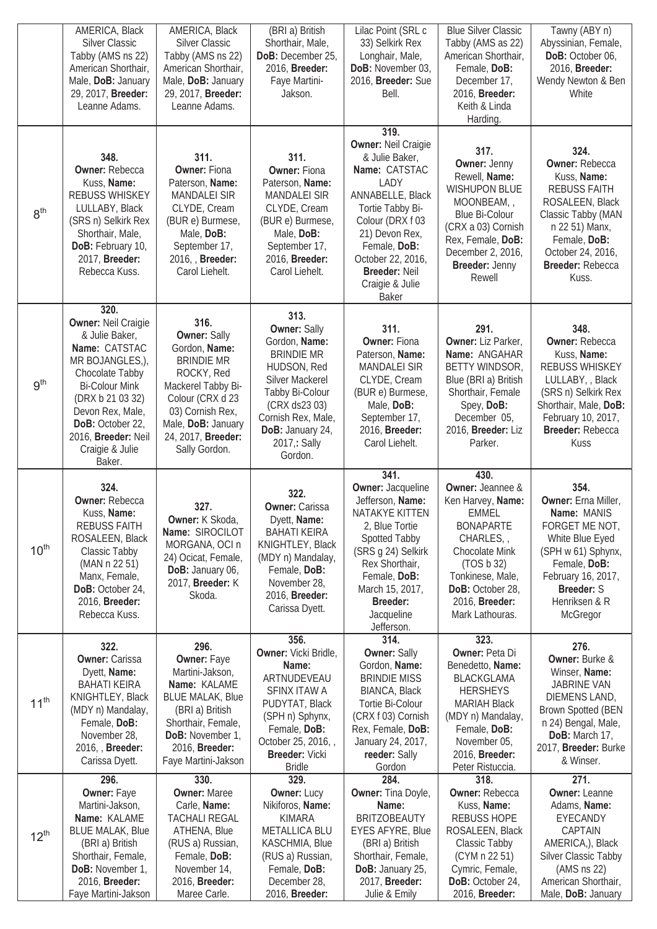|                  | AMERICA, Black<br><b>Silver Classic</b><br>Tabby (AMS ns 22)                                                                                                                                                                               | AMERICA, Black<br><b>Silver Classic</b><br>Tabby (AMS ns 22)                                                                                                                                               | (BRI a) British<br>Shorthair, Male,<br>DoB: December 25,                                                                                                                                                            | Lilac Point (SRL c<br>33) Selkirk Rex<br>Longhair, Male,                                                                                                                                                                 | <b>Blue Silver Classic</b><br>Tabby (AMS as 22)<br>American Shorthair,                                                                                                                              | Tawny (ABY n)<br>Abyssinian, Female,<br>DoB: October 06,                                                                                                                                         |
|------------------|--------------------------------------------------------------------------------------------------------------------------------------------------------------------------------------------------------------------------------------------|------------------------------------------------------------------------------------------------------------------------------------------------------------------------------------------------------------|---------------------------------------------------------------------------------------------------------------------------------------------------------------------------------------------------------------------|--------------------------------------------------------------------------------------------------------------------------------------------------------------------------------------------------------------------------|-----------------------------------------------------------------------------------------------------------------------------------------------------------------------------------------------------|--------------------------------------------------------------------------------------------------------------------------------------------------------------------------------------------------|
|                  | American Shorthair,<br>Male, DoB: January                                                                                                                                                                                                  | American Shorthair,<br>Male, DoB: January                                                                                                                                                                  | 2016, Breeder:<br>Faye Martini-                                                                                                                                                                                     | DoB: November 03,<br>2016, Breeder: Sue                                                                                                                                                                                  | Female, DoB:<br>December 17,                                                                                                                                                                        | 2016, Breeder:<br>Wendy Newton & Ben                                                                                                                                                             |
|                  | 29, 2017, Breeder:<br>Leanne Adams.                                                                                                                                                                                                        | 29, 2017, Breeder:<br>Leanne Adams.                                                                                                                                                                        | Jakson.                                                                                                                                                                                                             | Bell.                                                                                                                                                                                                                    | 2016, Breeder:<br>Keith & Linda<br>Harding.                                                                                                                                                         | White                                                                                                                                                                                            |
|                  |                                                                                                                                                                                                                                            |                                                                                                                                                                                                            |                                                                                                                                                                                                                     | 319.<br><b>Owner: Neil Craigie</b>                                                                                                                                                                                       |                                                                                                                                                                                                     |                                                                                                                                                                                                  |
| 8 <sup>th</sup>  | 348.<br><b>Owner: Rebecca</b><br>Kuss, Name:<br>REBUSS WHISKEY<br>LULLABY, Black<br>(SRS n) Selkirk Rex<br>Shorthair, Male,<br>DoB: February 10,<br>2017, Breeder:<br>Rebecca Kuss.                                                        | 311.<br><b>Owner: Fiona</b><br>Paterson, Name:<br><b>MANDALEI SIR</b><br>CLYDE, Cream<br>(BUR e) Burmese,<br>Male, DoB:<br>September 17,<br>2016, Breeder:<br>Carol Liehelt.                               | 311.<br><b>Owner: Fiona</b><br>Paterson, Name:<br><b>MANDALEI SIR</b><br>CLYDE, Cream<br>(BUR e) Burmese,<br>Male, DoB:<br>September 17,<br>2016, Breeder:<br>Carol Liehelt.                                        | & Julie Baker,<br>Name: CATSTAC<br>LADY<br>ANNABELLE, Black<br>Tortie Tabby Bi-<br>Colour (DRX f 03<br>21) Devon Rex,<br>Female, DoB:<br>October 22, 2016,<br>Breeder: Neil<br>Craigie & Julie<br><b>Baker</b>           | 317.<br><b>Owner: Jenny</b><br>Rewell, Name:<br><b>WISHUPON BLUE</b><br>MOONBEAM,,<br>Blue Bi-Colour<br>(CRX a 03) Cornish<br>Rex, Female, DoB:<br>December 2, 2016,<br>Breeder: Jenny<br>Rewell    | 324.<br><b>Owner: Rebecca</b><br>Kuss, Name:<br><b>REBUSS FAITH</b><br>ROSALEEN, Black<br>Classic Tabby (MAN<br>n 22 51) Manx,<br>Female, DoB:<br>October 24, 2016,<br>Breeder: Rebecca<br>Kuss. |
| 9 <sup>th</sup>  | 320.<br><b>Owner: Neil Craigie</b><br>& Julie Baker,<br>Name: CATSTAC<br>MR BOJANGLES,),<br>Chocolate Tabby<br><b>Bi-Colour Mink</b><br>(DRX b 21 03 32)<br>Devon Rex, Male,<br>DoB: October 22,<br>2016, Breeder: Neil<br>Craigie & Julie | 316.<br><b>Owner: Sally</b><br>Gordon, Name:<br><b>BRINDIE MR</b><br>ROCKY, Red<br>Mackerel Tabby Bi-<br>Colour (CRX d 23<br>03) Cornish Rex,<br>Male, DoB: January<br>24, 2017, Breeder:<br>Sally Gordon. | 313.<br><b>Owner: Sally</b><br>Gordon, Name:<br><b>BRINDIE MR</b><br>HUDSON, Red<br><b>Silver Mackerel</b><br>Tabby Bi-Colour<br>(CRX ds23 03)<br>Cornish Rex, Male,<br>DoB: January 24,<br>2017,: Sally<br>Gordon. | 311.<br><b>Owner: Fiona</b><br>Paterson, Name:<br><b>MANDALEI SIR</b><br>CLYDE, Cream<br>(BUR e) Burmese,<br>Male, DoB:<br>September 17,<br>2016, Breeder:<br>Carol Liehelt.                                             | 291.<br>Owner: Liz Parker,<br>Name: ANGAHAR<br>BETTY WINDSOR,<br>Blue (BRI a) British<br>Shorthair, Female<br>Spey, DoB:<br>December 05,<br>2016, Breeder: Liz<br>Parker.                           | 348.<br><b>Owner: Rebecca</b><br>Kuss, Name:<br>REBUSS WHISKEY<br>LULLABY, , Black<br>(SRS n) Selkirk Rex<br>Shorthair, Male, DoB:<br>February 10, 2017,<br>Breeder: Rebecca<br>Kuss             |
|                  | Baker.                                                                                                                                                                                                                                     |                                                                                                                                                                                                            |                                                                                                                                                                                                                     |                                                                                                                                                                                                                          |                                                                                                                                                                                                     |                                                                                                                                                                                                  |
| $10^{\text{th}}$ | 324.<br><b>Owner: Rebecca</b><br>Kuss, Name:<br><b>REBUSS FAITH</b><br>ROSALEEN, Black<br>Classic Tabby<br>(MAN n 22 51)<br>Manx, Female,<br>DoB: October 24,<br>2016, Breeder:<br>Rebecca Kuss.                                           | 327.<br><b>Owner:</b> K Skoda,<br>Name: SIROCILOT<br>MORGANA, OCI n<br>24) Ocicat, Female,<br>DoB: January 06,<br>2017, Breeder: K<br>Skoda.                                                               | 322.<br><b>Owner: Carissa</b><br>Dyett, Name:<br><b>BAHATI KEIRA</b><br>KNIGHTLEY, Black<br>(MDY n) Mandalay,<br>Female, DoB:<br>November 28,<br>2016, Breeder:<br>Carissa Dyett.                                   | 341.<br><b>Owner: Jacqueline</b><br>Jefferson, Name:<br>NATAKYE KITTEN<br>2, Blue Tortie<br>Spotted Tabby<br>(SRS g 24) Selkirk<br>Rex Shorthair,<br>Female, DoB:<br>March 15, 2017,<br>Breeder:<br>Jacqueline           | 430.<br>Owner: Jeannee &<br>Ken Harvey, Name:<br>EMMEL<br><b>BONAPARTE</b><br>CHARLES,<br>Chocolate Mink<br>(TOS b 32)<br>Tonkinese, Male,<br>DoB: October 28,<br>2016, Breeder:<br>Mark Lathouras. | 354.<br>Owner: Erna Miller,<br><b>Name: MANIS</b><br>FORGET ME NOT,<br>White Blue Eyed<br>(SPH w 61) Sphynx,<br>Female, DoB:<br>February 16, 2017,<br>Breeder: S<br>Henriksen & R<br>McGregor    |
| 11 <sup>th</sup> | 322.<br><b>Owner: Carissa</b><br>Dyett, Name:<br><b>BAHATI KEIRA</b><br>KNIGHTLEY, Black<br>(MDY n) Mandalay,<br>Female, DoB:<br>November 28,<br>2016, Breeder:<br>Carissa Dyett.                                                          | 296.<br>Owner: Faye<br>Martini-Jakson,<br>Name: KALAME<br><b>BLUE MALAK, Blue</b><br>(BRI a) British<br>Shorthair, Female,<br>DoB: November 1,<br>2016, Breeder:<br>Faye Martini-Jakson                    | 356.<br>Owner: Vicki Bridle,<br>Name:<br>ARTNUDEVEAU<br>SFINX ITAW A<br>PUDYTAT, Black<br>(SPH n) Sphynx,<br>Female, DoB:<br>October 25, 2016, ,<br>Breeder: Vicki<br><b>Bridle</b>                                 | Jefferson.<br>314.<br><b>Owner: Sally</b><br>Gordon, Name:<br><b>BRINDIE MISS</b><br><b>BIANCA, Black</b><br>Tortie Bi-Colour<br>(CRX f 03) Cornish<br>Rex, Female, DoB:<br>January 24, 2017,<br>reeder: Sally<br>Gordon | 323.<br>Owner: Peta Di<br>Benedetto, Name:<br>BLACKGLAMA<br><b>HERSHEYS</b><br><b>MARIAH Black</b><br>(MDY n) Mandalay,<br>Female, DoB:<br>November 05,<br>2016, Breeder:<br>Peter Ristuccia.       | 276.<br>Owner: Burke &<br>Winser, Name:<br>JABRINE VAN<br>DIEMENS LAND,<br><b>Brown Spotted (BEN</b><br>n 24) Bengal, Male,<br>DoB: March 17,<br>2017, Breeder: Burke<br>& Winser.               |
| $12^{th}$        | 296.<br>Owner: Faye<br>Martini-Jakson,<br>Name: KALAME<br><b>BLUE MALAK, Blue</b><br>(BRI a) British<br>Shorthair, Female,<br><b>DoB:</b> November 1,                                                                                      | 330.<br><b>Owner: Maree</b><br>Carle, Name:<br><b>TACHALI REGAL</b><br>ATHENA, Blue<br>(RUS a) Russian,<br>Female, DoB:<br>November 14,                                                                    | 329.<br><b>Owner: Lucy</b><br>Nikiforos, Name:<br><b>KIMARA</b><br><b>METALLICA BLU</b><br>KASCHMIA, Blue<br>(RUS a) Russian,<br>Female, DoB:                                                                       | 284.<br>Owner: Tina Doyle,<br>Name:<br><b>BRITZOBEAUTY</b><br><b>EYES AFYRE, Blue</b><br>(BRI a) British<br>Shorthair, Female,<br>DoB: January 25,                                                                       | 318.<br><b>Owner: Rebecca</b><br>Kuss, Name:<br><b>REBUSS HOPE</b><br>ROSALEEN, Black<br>Classic Tabby<br>(CYM n 22 51)<br>Cymric, Female,                                                          | 271.<br><b>Owner: Leanne</b><br>Adams, Name:<br>EYECANDY<br>CAPTAIN<br>AMERICA,), Black<br>Silver Classic Tabby<br>$(AMS \, ns \, 22)$                                                           |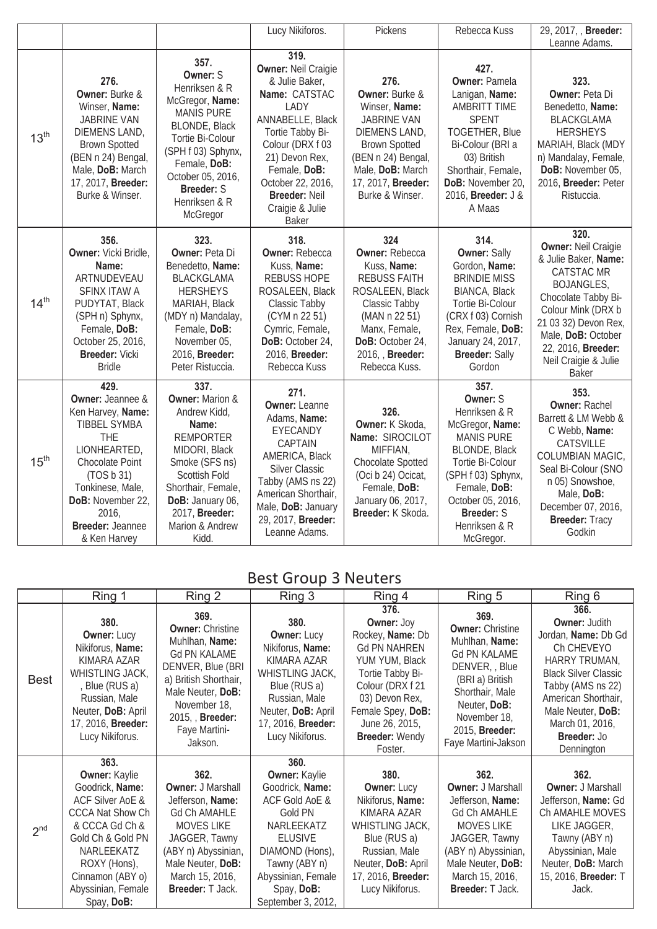|                  |                                                                                                                                                                                                                    |                                                                                                                                                                                                                                    | Lucy Nikiforos.                                                                                                                                                                                                                                      | Pickens                                                                                                                                                                                         | Rebecca Kuss                                                                                                                                                                                                                 | 29, 2017, , Breeder:<br>Leanne Adams.                                                                                                                                                                                                                  |
|------------------|--------------------------------------------------------------------------------------------------------------------------------------------------------------------------------------------------------------------|------------------------------------------------------------------------------------------------------------------------------------------------------------------------------------------------------------------------------------|------------------------------------------------------------------------------------------------------------------------------------------------------------------------------------------------------------------------------------------------------|-------------------------------------------------------------------------------------------------------------------------------------------------------------------------------------------------|------------------------------------------------------------------------------------------------------------------------------------------------------------------------------------------------------------------------------|--------------------------------------------------------------------------------------------------------------------------------------------------------------------------------------------------------------------------------------------------------|
| 13 <sup>th</sup> | 276.<br>Owner: Burke &<br>Winser, Name:<br><b>JABRINE VAN</b><br>DIEMENS LAND,<br><b>Brown Spotted</b><br>(BEN n 24) Bengal,<br>Male, DoB: March<br>17, 2017, Breeder:<br>Burke & Winser.                          | 357.<br>Owner: S<br>Henriksen & R<br>McGregor, Name:<br><b>MANIS PURE</b><br><b>BLONDE, Black</b><br>Tortie Bi-Colour<br>(SPH f 03) Sphynx,<br>Female, DoB:<br>October 05, 2016,<br><b>Breeder: S</b><br>Henriksen & R<br>McGregor | 319.<br><b>Owner: Neil Craigie</b><br>& Julie Baker,<br>Name: CATSTAC<br>LADY<br>ANNABELLE, Black<br>Tortie Tabby Bi-<br>Colour (DRX f 03<br>21) Devon Rex,<br>Female, DoB:<br>October 22, 2016,<br>Breeder: Neil<br>Craigie & Julie<br><b>Baker</b> | 276.<br>Owner: Burke &<br>Winser, Name:<br><b>JABRINE VAN</b><br>DIEMENS LAND,<br><b>Brown Spotted</b><br>(BEN n 24) Bengal,<br>Male, DoB: March<br>17, 2017, Breeder:<br>Burke & Winser.       | 427.<br><b>Owner: Pamela</b><br>Lanigan, Name:<br><b>AMBRITT TIME</b><br><b>SPENT</b><br><b>TOGETHER, Blue</b><br>Bi-Colour (BRI a<br>03) British<br>Shorthair, Female,<br>DoB: November 20,<br>2016, Breeder: J &<br>A Maas | 323.<br><b>Owner: Peta Di</b><br>Benedetto, Name:<br><b>BLACKGLAMA</b><br><b>HERSHEYS</b><br>MARIAH, Black (MDY<br>n) Mandalay, Female,<br>DoB: November 05,<br>2016, Breeder: Peter<br>Ristuccia.                                                     |
| 14 <sup>th</sup> | 356.<br>Owner: Vicki Bridle,<br>Name:<br>ARTNUDEVEAU<br>SFINX ITAW A<br>PUDYTAT, Black<br>(SPH n) Sphynx,<br>Female, DoB:<br>October 25, 2016,<br><b>Breeder: Vicki</b><br><b>Bridle</b>                           | 323.<br><b>Owner: Peta Di</b><br>Benedetto, Name:<br>BLACKGLAMA<br><b>HERSHEYS</b><br>MARIAH, Black<br>(MDY n) Mandalay,<br>Female, DoB:<br>November 05,<br>2016, Breeder:<br>Peter Ristuccia.                                     | 318.<br><b>Owner: Rebecca</b><br>Kuss, Name:<br><b>REBUSS HOPE</b><br>ROSALEEN, Black<br>Classic Tabby<br>(CYM n 22 51)<br>Cymric, Female,<br>DoB: October 24,<br>2016, Breeder:<br>Rebecca Kuss                                                     | 324<br><b>Owner: Rebecca</b><br>Kuss, Name:<br><b>REBUSS FAITH</b><br>ROSALEEN, Black<br>Classic Tabby<br>(MAN n 22 51)<br>Manx, Female,<br>DoB: October 24,<br>2016, Breeder:<br>Rebecca Kuss. | 314.<br><b>Owner: Sally</b><br>Gordon, Name:<br><b>BRINDIE MISS</b><br><b>BIANCA, Black</b><br>Tortie Bi-Colour<br>(CRX f 03) Cornish<br>Rex, Female, DoB:<br>January 24, 2017,<br><b>Breeder: Sally</b><br>Gordon           | 320.<br><b>Owner: Neil Craigie</b><br>& Julie Baker, Name:<br>CATSTAC MR<br><b>BOJANGLES,</b><br>Chocolate Tabby Bi-<br>Colour Mink (DRX b<br>21 03 32) Devon Rex,<br>Male, DoB: October<br>22, 2016, Breeder:<br>Neil Craigie & Julie<br><b>Baker</b> |
| 15 <sup>th</sup> | 429.<br>Owner: Jeannee &<br>Ken Harvey, Name:<br><b>TIBBEL SYMBA</b><br>THE<br>LIONHEARTED,<br>Chocolate Point<br>(TOS b 31)<br>Tonkinese, Male,<br>DoB: November 22,<br>2016,<br>Breeder: Jeannee<br>& Ken Harvey | 337.<br><b>Owner: Marion &amp;</b><br>Andrew Kidd,<br>Name:<br><b>REMPORTER</b><br>MIDORI, Black<br>Smoke (SFS ns)<br>Scottish Fold<br>Shorthair, Female,<br>DoB: January 06,<br>2017, Breeder:<br>Marion & Andrew<br>Kidd.        | 271.<br><b>Owner: Leanne</b><br>Adams, Name:<br>EYECANDY<br>CAPTAIN<br>AMERICA, Black<br><b>Silver Classic</b><br>Tabby (AMS ns 22)<br>American Shorthair,<br>Male, DoB: January<br>29, 2017, Breeder:<br>Leanne Adams.                              | 326.<br>Owner: K Skoda,<br>Name: SIROCILOT<br>MIFFIAN,<br>Chocolate Spotted<br>(Oci b 24) Ocicat,<br>Female, DoB:<br>January 06, 2017,<br>Breeder: K Skoda.                                     | 357.<br>Owner: S<br>Henriksen & R<br>McGregor, Name:<br><b>MANIS PURE</b><br><b>BLONDE, Black</b><br>Tortie Bi-Colour<br>(SPH f 03) Sphynx,<br>Female, DoB:<br>October 05, 2016,<br>Breeder: S<br>Henriksen & R<br>McGregor. | 353.<br><b>Owner: Rachel</b><br>Barrett & LM Webb &<br>C Webb, Name:<br>CATSVILLE<br>COLUMBIAN MAGIC,<br>Seal Bi-Colour (SNO<br>n 05) Snowshoe,<br>Male, DoB:<br>December 07, 2016,<br>Breeder: Tracy<br>Godkin                                        |

## Best Group 3 Neuters

|                 | Ring 1                                                                                                                                                                                                                                 | Ring 2                                                                                                                                                                                                    | Ring 3                                                                                                                                                                                                     | Ring 4                                                                                                                                                                                                               | Ring 5                                                                                                                                                                                                         | Ring 6                                                                                                                                                                                                                             |
|-----------------|----------------------------------------------------------------------------------------------------------------------------------------------------------------------------------------------------------------------------------------|-----------------------------------------------------------------------------------------------------------------------------------------------------------------------------------------------------------|------------------------------------------------------------------------------------------------------------------------------------------------------------------------------------------------------------|----------------------------------------------------------------------------------------------------------------------------------------------------------------------------------------------------------------------|----------------------------------------------------------------------------------------------------------------------------------------------------------------------------------------------------------------|------------------------------------------------------------------------------------------------------------------------------------------------------------------------------------------------------------------------------------|
| <b>Best</b>     | 380.<br><b>Owner: Lucy</b><br>Nikiforus, Name:<br>KIMARA AZAR<br>WHISTLING JACK,<br>, Blue (RUS a)<br>Russian, Male<br>Neuter, DoB: April<br>17, 2016, Breeder:<br>Lucy Nikiforus.                                                     | 369.<br><b>Owner: Christine</b><br>Muhlhan, Name:<br><b>Gd PN KALAME</b><br>DENVER, Blue (BRI<br>a) British Shorthair,<br>Male Neuter, DoB:<br>November 18,<br>2015, Breeder:<br>Faye Martini-<br>Jakson. | 380.<br><b>Owner: Lucy</b><br>Nikiforus, Name:<br>KIMARA AZAR<br>WHISTLING JACK,<br>Blue (RUS a)<br>Russian, Male<br>Neuter, DoB: April<br>17, 2016, Breeder:<br>Lucy Nikiforus.                           | 376.<br><b>Owner: Joy</b><br>Rockey, Name: Db<br><b>Gd PN NAHREN</b><br>YUM YUM, Black<br>Tortie Tabby Bi-<br>Colour (DRX f 21<br>03) Devon Rex,<br>Female Spey, DoB:<br>June 26, 2015,<br>Breeder: Wendy<br>Foster. | 369.<br><b>Owner: Christine</b><br>Muhlhan, Name:<br><b>Gd PN KALAME</b><br>DENVER, Blue<br>(BRI a) British<br>Shorthair, Male<br>Neuter, DoB:<br>November 18,<br>2015, <b>Breeder:</b><br>Faye Martini-Jakson | 366.<br><b>Owner: Judith</b><br>Jordan, Name: Db Gd<br>Ch CHEVEYO<br>HARRY TRUMAN,<br><b>Black Silver Classic</b><br>Tabby (AMS ns 22)<br>American Shorthair,<br>Male Neuter, DoB:<br>March 01, 2016,<br>Breeder: Jo<br>Dennington |
| 2 <sup>nd</sup> | 363.<br><b>Owner: Kaylie</b><br>Goodrick, Name:<br><b>ACF Silver AoE &amp;</b><br><b>CCCA Nat Show Ch</b><br>& CCCA Gd Ch &<br>Gold Ch & Gold PN<br>NARLEEKATZ<br>ROXY (Hons),<br>Cinnamon (ABY o)<br>Abyssinian, Female<br>Spay, DoB: | 362.<br><b>Owner: J Marshall</b><br>Jefferson, Name:<br><b>Gd Ch AMAHLE</b><br>MOVES LIKE<br>JAGGER, Tawny<br>(ABY n) Abyssinian,<br>Male Neuter, DoB:<br>March 15, 2016,<br><b>Breeder: T Jack.</b>      | 360.<br><b>Owner: Kaylie</b><br>Goodrick, Name:<br>ACF Gold AoE &<br>Gold PN<br>NARLEEKATZ<br><b>ELUSIVE</b><br>DIAMOND (Hons),<br>Tawny (ABY n)<br>Abyssinian, Female<br>Spay, DoB:<br>September 3, 2012, | 380.<br><b>Owner: Lucy</b><br>Nikiforus, Name:<br>KIMARA AZAR<br>WHISTLING JACK,<br>Blue (RUS a)<br>Russian, Male<br>Neuter, DoB: April<br>17, 2016, Breeder:<br>Lucy Nikiforus.                                     | 362.<br><b>Owner: J Marshall</b><br>Jefferson, Name:<br><b>Gd Ch AMAHLE</b><br><b>MOVES LIKE</b><br>JAGGER, Tawny<br>(ABY n) Abyssinian,<br>Male Neuter, DoB:<br>March 15, 2016,<br><b>Breeder: T Jack.</b>    | 362.<br><b>Owner: J Marshall</b><br>Jefferson, Name: Gd<br>Ch AMAHLE MOVES<br>LIKE JAGGER,<br>Tawny (ABY n)<br>Abyssinian, Male<br>Neuter, DoB: March<br>15, 2016, Breeder: T<br>Jack.                                             |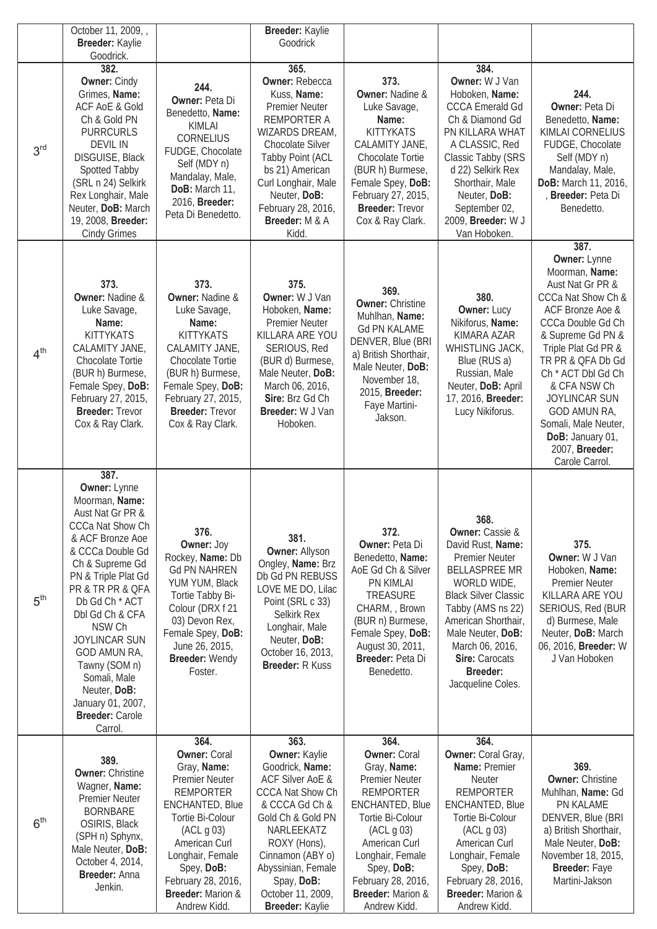|                 | October 11, 2009, ,<br>Breeder: Kaylie<br>Goodrick.                                                                                                                                                                                                                                                                                                                             |                                                                                                                                                                                                                                                                   | Breeder: Kaylie<br>Goodrick                                                                                                                                                                                                                                             |                                                                                                                                                                                                                                                                          |                                                                                                                                                                                                                                                                                                         |                                                                                                                                                                                                                                                                                                                                                          |
|-----------------|---------------------------------------------------------------------------------------------------------------------------------------------------------------------------------------------------------------------------------------------------------------------------------------------------------------------------------------------------------------------------------|-------------------------------------------------------------------------------------------------------------------------------------------------------------------------------------------------------------------------------------------------------------------|-------------------------------------------------------------------------------------------------------------------------------------------------------------------------------------------------------------------------------------------------------------------------|--------------------------------------------------------------------------------------------------------------------------------------------------------------------------------------------------------------------------------------------------------------------------|---------------------------------------------------------------------------------------------------------------------------------------------------------------------------------------------------------------------------------------------------------------------------------------------------------|----------------------------------------------------------------------------------------------------------------------------------------------------------------------------------------------------------------------------------------------------------------------------------------------------------------------------------------------------------|
| 3 <sup>rd</sup> | 382.<br><b>Owner: Cindy</b><br>Grimes, Name:<br><b>ACF AoE &amp; Gold</b><br>Ch & Gold PN<br><b>PURRCURLS</b><br><b>DEVIL IN</b><br>DISGUISE, Black<br>Spotted Tabby<br>(SRL n 24) Selkirk<br>Rex Longhair, Male<br>Neuter, DoB: March<br>19, 2008, Breeder:<br><b>Cindy Grimes</b>                                                                                             | 244.<br><b>Owner: Peta Di</b><br>Benedetto, Name:<br>KIMLAI<br>CORNELIUS<br>FUDGE, Chocolate<br>Self (MDY n)<br>Mandalay, Male,<br>DoB: March 11,<br>2016, Breeder:<br>Peta Di Benedetto.                                                                         | 365.<br><b>Owner: Rebecca</b><br>Kuss, Name:<br><b>Premier Neuter</b><br>REMPORTER A<br>WIZARDS DREAM,<br>Chocolate Silver<br>Tabby Point (ACL<br>bs 21) American<br>Curl Longhair, Male<br>Neuter, DoB:<br>February 28, 2016,<br>Breeder: M & A<br>Kidd.               | 373.<br><b>Owner: Nadine &amp;</b><br>Luke Savage,<br>Name:<br><b>KITTYKATS</b><br>CALAMITY JANE,<br>Chocolate Tortie<br>(BUR h) Burmese,<br>Female Spey, DoB:<br>February 27, 2015,<br><b>Breeder: Trevor</b><br>Cox & Ray Clark.                                       | 384.<br>Owner: W J Van<br>Hoboken, Name:<br><b>CCCA Emerald Gd</b><br>Ch & Diamond Gd<br>PN KILLARA WHAT<br>A CLASSIC, Red<br>Classic Tabby (SRS<br>d 22) Selkirk Rex<br>Shorthair, Male<br>Neuter, DoB:<br>September 02,<br>2009, Breeder: W J<br>Van Hoboken.                                         | 244.<br>Owner: Peta Di<br>Benedetto, Name:<br>KIMLAI CORNELIUS<br>FUDGE, Chocolate<br>Self (MDY n)<br>Mandalay, Male,<br>DoB: March 11, 2016,<br>Breeder: Peta Di<br>Benedetto.                                                                                                                                                                          |
| 4 <sup>th</sup> | 373.<br><b>Owner: Nadine &amp;</b><br>Luke Savage,<br>Name:<br><b>KITTYKATS</b><br>CALAMITY JANE,<br>Chocolate Tortie<br>(BUR h) Burmese,<br>Female Spey, DoB:<br>February 27, 2015,<br><b>Breeder: Trevor</b><br>Cox & Ray Clark.                                                                                                                                              | 373.<br><b>Owner: Nadine &amp;</b><br>Luke Savage,<br>Name:<br><b>KITTYKATS</b><br>CALAMITY JANE,<br>Chocolate Tortie<br>(BUR h) Burmese,<br>Female Spey, DoB:<br>February 27, 2015,<br><b>Breeder: Trevor</b><br>Cox & Ray Clark.                                | 375.<br>Owner: W J Van<br>Hoboken, Name:<br><b>Premier Neuter</b><br>KILLARA ARE YOU<br>SERIOUS, Red<br>(BUR d) Burmese,<br>Male Neuter, DoB:<br>March 06, 2016,<br><b>Sire: Brz Gd Ch</b><br>Breeder: W J Van<br>Hoboken.                                              | 369.<br><b>Owner: Christine</b><br>Muhlhan, Name:<br><b>Gd PN KALAME</b><br>DENVER, Blue (BRI<br>a) British Shorthair,<br>Male Neuter, DoB:<br>November 18,<br>2015, Breeder:<br>Faye Martini-<br>Jakson.                                                                | 380.<br>Owner: Lucy<br>Nikiforus, Name:<br>KIMARA AZAR<br>WHISTLING JACK,<br>Blue (RUS a)<br>Russian, Male<br>Neuter, DoB: April<br>17, 2016, Breeder:<br>Lucy Nikiforus.                                                                                                                               | 387.<br>Owner: Lynne<br>Moorman, Name:<br>Aust Nat Gr PR &<br>CCCa Nat Show Ch &<br>ACF Bronze Aoe &<br>CCCa Double Gd Ch<br>& Supreme Gd PN &<br>Triple Plat Gd PR &<br>TR PR & QFA Db Gd<br>Ch * ACT Dbl Gd Ch<br>& CFA NSW Ch<br><b>JOYLINCAR SUN</b><br>GOD AMUN RA,<br>Somali, Male Neuter,<br>DoB: January 01,<br>2007, Breeder:<br>Carole Carrol. |
| 5 <sup>th</sup> | 387.<br>Owner: Lynne<br>Moorman, Name:<br>Aust Nat Gr PR &<br>CCCa Nat Show Ch<br>& ACF Bronze Aoe<br>& CCCa Double Gd<br>Ch & Supreme Gd<br>PN & Triple Plat Gd<br>PR & TR PR & QFA<br>Db Gd Ch * ACT<br>Dbl Gd Ch & CFA<br>NSW Ch<br><b>JOYLINCAR SUN</b><br>GOD AMUN RA,<br>Tawny (SOM n)<br>Somali, Male<br>Neuter, DoB:<br>January 01, 2007,<br>Breeder: Carole<br>Carrol. | 376.<br>Owner: Joy<br>Rockey, Name: Db<br><b>Gd PN NAHREN</b><br>YUM YUM, Black<br>Tortie Tabby Bi-<br>Colour (DRX f 21<br>03) Devon Rex,<br>Female Spey, DoB:<br>June 26, 2015,<br>Breeder: Wendy<br>Foster.                                                     | 381.<br><b>Owner: Allyson</b><br>Ongley, Name: Brz<br>Db Gd PN REBUSS<br>LOVE ME DO, Lilac<br>Point (SRL c 33)<br>Selkirk Rex<br>Longhair, Male<br>Neuter, DoB:<br>October 16, 2013,<br><b>Breeder: R Kuss</b>                                                          | 372.<br><b>Owner: Peta Di</b><br>Benedetto, Name:<br>AoE Gd Ch & Silver<br>PN KIMLAI<br>TREASURE<br>CHARM, Brown<br>(BUR n) Burmese,<br>Female Spey, DoB:<br>August 30, 2011,<br>Breeder: Peta Di<br>Benedetto.                                                          | 368.<br><b>Owner:</b> Cassie &<br>David Rust, Name:<br><b>Premier Neuter</b><br><b>BELLASPREE MR</b><br>WORLD WIDE,<br><b>Black Silver Classic</b><br>Tabby (AMS ns 22)<br>American Shorthair,<br>Male Neuter, DoB:<br>March 06, 2016,<br><b>Sire: Carocats</b><br><b>Breeder:</b><br>Jacqueline Coles. | 375.<br><b>Owner: W J Van</b><br>Hoboken, Name:<br><b>Premier Neuter</b><br>KILLARA ARE YOU<br>SERIOUS, Red (BUR<br>d) Burmese, Male<br>Neuter, DoB: March<br>06, 2016, Breeder: W<br>J Van Hoboken                                                                                                                                                      |
| 6 <sup>th</sup> | 389.<br><b>Owner: Christine</b><br>Wagner, Name:<br><b>Premier Neuter</b><br><b>BORNBARE</b><br>OSIRIS, Black<br>(SPH n) Sphynx,<br>Male Neuter, DoB:<br>October 4, 2014,<br>Breeder: Anna<br>Jenkin.                                                                                                                                                                           | 364.<br><b>Owner: Coral</b><br>Gray, Name:<br><b>Premier Neuter</b><br><b>REMPORTER</b><br>ENCHANTED, Blue<br>Tortie Bi-Colour<br>(ACL g 03)<br>American Curl<br>Longhair, Female<br>Spey, DoB:<br>February 28, 2016,<br><b>Breeder:</b> Marion &<br>Andrew Kidd. | 363.<br>Owner: Kaylie<br>Goodrick, Name:<br><b>ACF Silver AoE &amp;</b><br><b>CCCA Nat Show Ch</b><br>& CCCA Gd Ch &<br>Gold Ch & Gold PN<br>NARLEEKATZ<br>ROXY (Hons),<br>Cinnamon (ABY o)<br>Abyssinian, Female<br>Spay, DoB:<br>October 11, 2009,<br>Breeder: Kaylie | 364.<br><b>Owner: Coral</b><br>Gray, Name:<br><b>Premier Neuter</b><br><b>REMPORTER</b><br><b>ENCHANTED, Blue</b><br>Tortie Bi-Colour<br>(ACL g 03)<br>American Curl<br>Longhair, Female<br>Spey, DoB:<br>February 28, 2016,<br><b>Breeder:</b> Marion &<br>Andrew Kidd. | 364.<br>Owner: Coral Gray,<br>Name: Premier<br><b>Neuter</b><br><b>REMPORTER</b><br><b>ENCHANTED, Blue</b><br>Tortie Bi-Colour<br>(ACL g 03)<br>American Curl<br>Longhair, Female<br>Spey, DoB:<br>February 28, 2016,<br><b>Breeder: Marion &amp;</b><br>Andrew Kidd.                                   | 369.<br><b>Owner: Christine</b><br>Muhlhan, Name: Gd<br>PN KALAME<br>DENVER, Blue (BRI<br>a) British Shorthair,<br>Male Neuter, DoB:<br>November 18, 2015,<br>Breeder: Faye<br>Martini-Jakson                                                                                                                                                            |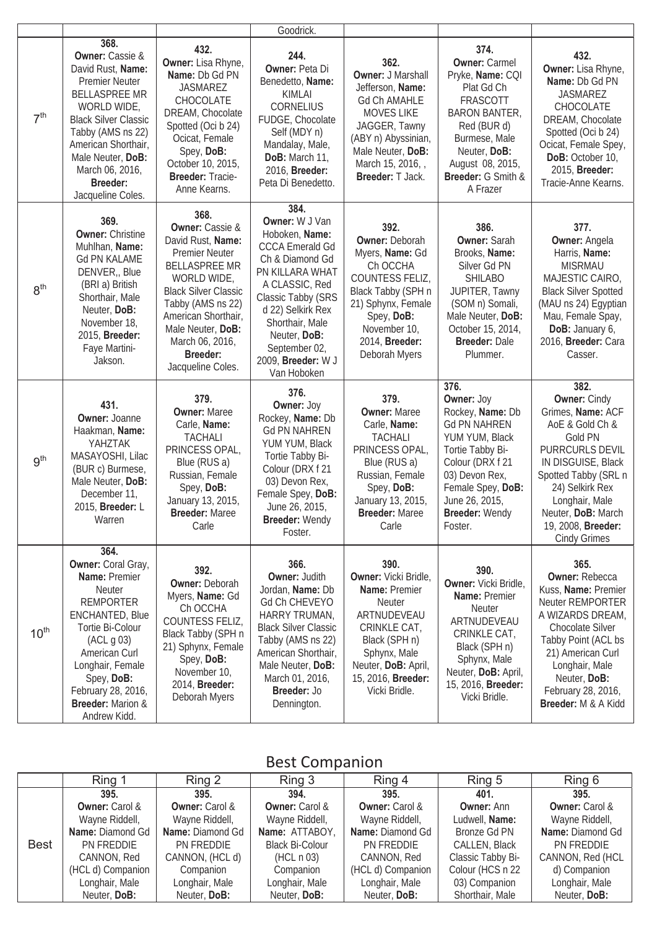|                  |                                                                                                                                                                                                                                                                                |                                                                                                                                                                                                                                                                                | Goodrick.                                                                                                                                                                                                                                                      |                                                                                                                                                                                                        |                                                                                                                                                                                                               |                                                                                                                                                                                                                                                           |
|------------------|--------------------------------------------------------------------------------------------------------------------------------------------------------------------------------------------------------------------------------------------------------------------------------|--------------------------------------------------------------------------------------------------------------------------------------------------------------------------------------------------------------------------------------------------------------------------------|----------------------------------------------------------------------------------------------------------------------------------------------------------------------------------------------------------------------------------------------------------------|--------------------------------------------------------------------------------------------------------------------------------------------------------------------------------------------------------|---------------------------------------------------------------------------------------------------------------------------------------------------------------------------------------------------------------|-----------------------------------------------------------------------------------------------------------------------------------------------------------------------------------------------------------------------------------------------------------|
| 7 <sup>th</sup>  | 368.<br><b>Owner:</b> Cassie &<br>David Rust, Name:<br><b>Premier Neuter</b><br><b>BELLASPREE MR</b><br>WORLD WIDE,<br><b>Black Silver Classic</b><br>Tabby (AMS ns 22)<br>American Shorthair,<br>Male Neuter, DoB:<br>March 06, 2016,<br><b>Breeder:</b><br>Jacqueline Coles. | 432.<br>Owner: Lisa Rhyne,<br>Name: Db Gd PN<br><b>JASMAREZ</b><br>CHOCOLATE<br>DREAM, Chocolate<br>Spotted (Oci b 24)<br>Ocicat, Female<br>Spey, DoB:<br>October 10, 2015,<br>Breeder: Tracie-<br>Anne Kearns.                                                                | 244.<br>Owner: Peta Di<br>Benedetto, Name:<br><b>KIMLAI</b><br>CORNELIUS<br>FUDGE, Chocolate<br>Self (MDY n)<br>Mandalay, Male,<br>DoB: March 11,<br>2016, Breeder:<br>Peta Di Benedetto.                                                                      | 362.<br><b>Owner: J Marshall</b><br>Jefferson, Name:<br><b>Gd Ch AMAHLE</b><br><b>MOVES LIKE</b><br>JAGGER, Tawny<br>(ABY n) Abyssinian,<br>Male Neuter, DoB:<br>March 15, 2016, ,<br>Breeder: T Jack. | 374.<br><b>Owner: Carmel</b><br>Pryke, Name: CQI<br>Plat Gd Ch<br>FRASCOTT<br><b>BARON BANTER,</b><br>Red (BUR d)<br>Burmese, Male<br>Neuter, DoB:<br>August 08, 2015,<br>Breeder: G Smith &<br>A Frazer      | 432.<br>Owner: Lisa Rhyne,<br>Name: Db Gd PN<br><b>JASMAREZ</b><br>CHOCOLATE<br>DREAM, Chocolate<br>Spotted (Oci b 24)<br>Ocicat, Female Spey,<br>DoB: October 10,<br>2015, Breeder:<br>Tracie-Anne Kearns.                                               |
| 8 <sup>th</sup>  | 369.<br><b>Owner: Christine</b><br>Muhlhan, Name:<br><b>Gd PN KALAME</b><br>DENVER, Blue<br>(BRI a) British<br>Shorthair, Male<br>Neuter, DoB:<br>November 18,<br>2015, Breeder:<br>Faye Martini-<br>Jakson.                                                                   | 368.<br><b>Owner:</b> Cassie &<br>David Rust, Name:<br><b>Premier Neuter</b><br><b>BELLASPREE MR</b><br>WORLD WIDE,<br><b>Black Silver Classic</b><br>Tabby (AMS ns 22)<br>American Shorthair,<br>Male Neuter, DoB:<br>March 06, 2016,<br><b>Breeder:</b><br>Jacqueline Coles. | 384.<br>Owner: W J Van<br>Hoboken, Name:<br><b>CCCA Emerald Gd</b><br>Ch & Diamond Gd<br>PN KILLARA WHAT<br>A CLASSIC, Red<br>Classic Tabby (SRS<br>d 22) Selkirk Rex<br>Shorthair, Male<br>Neuter, DoB:<br>September 02,<br>2009, Breeder: W J<br>Van Hoboken | 392.<br><b>Owner: Deborah</b><br>Myers, Name: Gd<br>Ch OCCHA<br>COUNTESS FELIZ,<br>Black Tabby (SPH n<br>21) Sphynx, Female<br>Spey, DoB:<br>November 10,<br>2014, Breeder:<br>Deborah Myers           | 386.<br>Owner: Sarah<br>Brooks, Name:<br>Silver Gd PN<br><b>SHILABO</b><br>JUPITER, Tawny<br>(SOM n) Somali,<br>Male Neuter, DoB:<br>October 15, 2014,<br><b>Breeder: Dale</b><br>Plummer.                    | 377.<br><b>Owner: Angela</b><br>Harris, Name:<br><b>MISRMAU</b><br>MAJESTIC CAIRO,<br><b>Black Silver Spotted</b><br>(MAU ns 24) Egyptian<br>Mau, Female Spay,<br>DoB: January 6,<br>2016, Breeder: Cara<br>Casser.                                       |
| 9 <sup>th</sup>  | 431.<br><b>Owner: Joanne</b><br>Haakman, Name:<br>YAHZTAK<br>MASAYOSHI, Lilac<br>(BUR c) Burmese,<br>Male Neuter, DoB:<br>December 11,<br>2015, Breeder: L<br>Warren                                                                                                           | 379.<br><b>Owner: Maree</b><br>Carle, Name:<br><b>TACHALI</b><br>PRINCESS OPAL,<br>Blue (RUS a)<br>Russian, Female<br>Spey, DoB:<br>January 13, 2015,<br><b>Breeder: Maree</b><br>Carle                                                                                        | 376.<br>Owner: Joy<br>Rockey, Name: Db<br><b>Gd PN NAHREN</b><br>YUM YUM, Black<br>Tortie Tabby Bi-<br>Colour (DRX f 21<br>03) Devon Rex,<br>Female Spey, DoB:<br>June 26, 2015,<br><b>Breeder: Wendy</b><br>Foster.                                           | 379.<br><b>Owner: Maree</b><br>Carle, Name:<br><b>TACHALI</b><br>PRINCESS OPAL,<br>Blue (RUS a)<br>Russian, Female<br>Spey, DoB:<br>January 13, 2015,<br><b>Breeder: Maree</b><br>Carle                | 376.<br>Owner: Joy<br>Rockey, Name: Db<br><b>Gd PN NAHREN</b><br>YUM YUM, Black<br>Tortie Tabby Bi-<br>Colour (DRX f 21<br>03) Devon Rex,<br>Female Spey, DoB:<br>June 26, 2015,<br>Breeder: Wendy<br>Foster. | 382.<br><b>Owner: Cindy</b><br>Grimes, Name: ACF<br>AoE & Gold Ch &<br>Gold PN<br>PURRCURLS DEVIL<br>IN DISGUISE, Black<br>Spotted Tabby (SRL n<br>24) Selkirk Rex<br>Longhair, Male<br>Neuter, DoB: March<br>19, 2008, Breeder:<br><b>Cindy Grimes</b>   |
| 10 <sup>th</sup> | 364.<br>Owner: Coral Gray,<br>Name: Premier<br><b>Neuter</b><br><b>REMPORTER</b><br>ENCHANTED, Blue<br>Tortie Bi-Colour<br>(ACL g 03)<br>American Curl<br>Longhair, Female<br>Spey, DoB:<br>February 28, 2016,<br><b>Breeder: Marion &amp;</b><br>Andrew Kidd.                 | 392.<br>Owner: Deborah<br>Myers, Name: Gd<br>Ch OCCHA<br>COUNTESS FELIZ,<br>Black Tabby (SPH n<br>21) Sphynx, Female<br>Spey, DoB:<br>November 10,<br>2014, Breeder:<br>Deborah Myers                                                                                          | 366.<br><b>Owner: Judith</b><br>Jordan, Name: Db<br>Gd Ch CHEVEYO<br>HARRY TRUMAN,<br><b>Black Silver Classic</b><br>Tabby (AMS ns 22)<br>American Shorthair,<br>Male Neuter, DoB:<br>March 01, 2016,<br>Breeder: Jo<br>Dennington.                            | 390.<br>Owner: Vicki Bridle,<br>Name: Premier<br><b>Neuter</b><br>ARTNUDEVEAU<br>CRINKLE CAT,<br>Black (SPH n)<br>Sphynx, Male<br>Neuter, DoB: April,<br>15, 2016, Breeder:<br>Vicki Bridle.           | 390.<br>Owner: Vicki Bridle,<br>Name: Premier<br>Neuter<br>ARTNUDEVEAU<br>CRINKLE CAT,<br>Black (SPH n)<br>Sphynx, Male<br>Neuter, DoB: April,<br>15, 2016, Breeder:<br>Vicki Bridle.                         | 365.<br><b>Owner: Rebecca</b><br>Kuss, Name: Premier<br><b>Neuter REMPORTER</b><br>A WIZARDS DREAM,<br>Chocolate Silver<br>Tabby Point (ACL bs<br>21) American Curl<br>Longhair, Male<br>Neuter, DoB:<br>February 28, 2016,<br><b>Breeder:</b> M & A Kidd |

### Best Companion

|             | Ring 1                  | Ring 2                | Ring 3                    | Ring 4                | Ring 5            | Ring 6                  |
|-------------|-------------------------|-----------------------|---------------------------|-----------------------|-------------------|-------------------------|
|             | 395.                    | 395.                  | 394.                      | 395.                  | 401.              | 395.                    |
|             | <b>Owner:</b> Carol &   | <b>Owner:</b> Carol & | <b>Owner: Carol &amp;</b> | <b>Owner:</b> Carol & | <b>Owner: Ann</b> | <b>Owner:</b> Carol &   |
|             | Wayne Riddell,          | Wayne Riddell,        | Wayne Riddell,            | Wayne Riddell,        | Ludwell, Name:    | Wayne Riddell,          |
|             | <b>Name: Diamond Gd</b> | Name: Diamond Gd      | Name: ATTABOY,            | Name: Diamond Gd      | Bronze Gd PN      | <b>Name: Diamond Gd</b> |
| <b>Best</b> | PN FREDDIE              | PN FREDDIE            | <b>Black Bi-Colour</b>    | PN FREDDIE            | CALLEN, Black     | PN FREDDIE              |
|             | CANNON, Red             | CANNON, (HCL d)       | (HCL n 03)                | CANNON, Red           | Classic Tabby Bi- | CANNON, Red (HCL        |
|             | (HCL d) Companion       | Companion             | Companion                 | (HCL d) Companion     | Colour (HCS n 22  | d) Companion            |
|             | Longhair, Male          | Longhair, Male        | Longhair, Male            | Longhair, Male        | 03) Companion     | Longhair, Male          |
|             | Neuter, DoB:            | Neuter, DoB:          | Neuter, DoB:              | Neuter, DoB:          | Shorthair, Male   | Neuter, DoB:            |